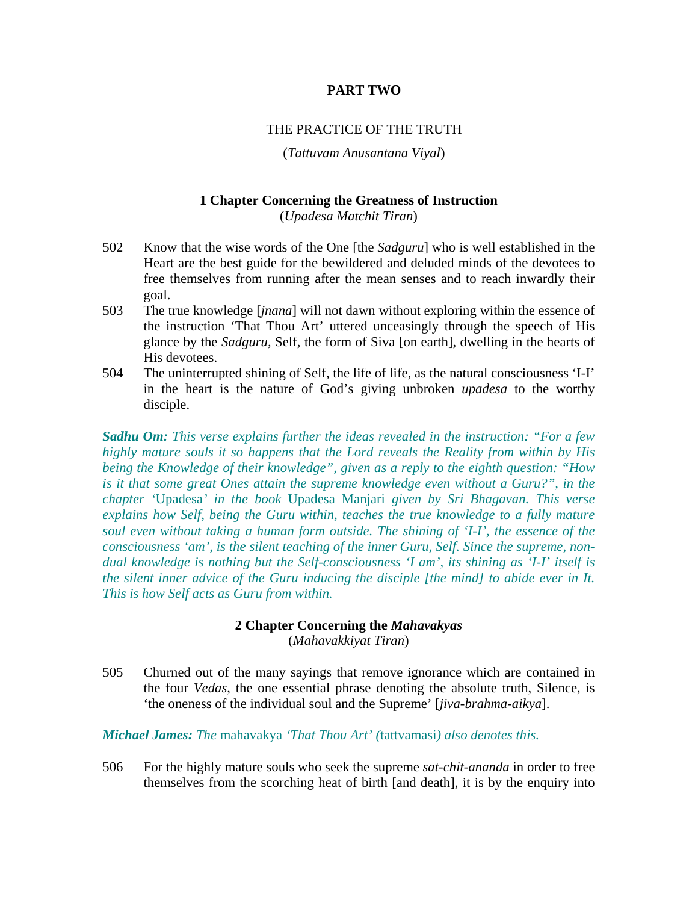### **PART TWO**

### THE PRACTICE OF THE TRUTH

#### (*Tattuvam Anusantana Viyal*)

## **1 Chapter Concerning the Greatness of Instruction**

(*Upadesa Matchit Tiran*)

- 502 Know that the wise words of the One [the *Sadguru*] who is well established in the Heart are the best guide for the bewildered and deluded minds of the devotees to free themselves from running after the mean senses and to reach inwardly their goal.
- 503 The true knowledge [*jnana*] will not dawn without exploring within the essence of the instruction 'That Thou Art' uttered unceasingly through the speech of His glance by the *Sadguru,* Self, the form of Siva [on earth], dwelling in the hearts of His devotees.
- 504 The uninterrupted shining of Self, the life of life, as the natural consciousness 'I-I' in the heart is the nature of God's giving unbroken *upadesa* to the worthy disciple.

*Sadhu Om: This verse explains further the ideas revealed in the instruction: "For a few highly mature souls it so happens that the Lord reveals the Reality from within by His being the Knowledge of their knowledge", given as a reply to the eighth question: "How is it that some great Ones attain the supreme knowledge even without a Guru?", in the chapter '*Upadesa*' in the book* Upadesa Manjari *given by Sri Bhagavan. This verse explains how Self, being the Guru within, teaches the true knowledge to a fully mature soul even without taking a human form outside. The shining of 'I-I', the essence of the consciousness 'am', is the silent teaching of the inner Guru, Self. Since the supreme, nondual knowledge is nothing but the Self-consciousness 'I am', its shining as 'I-I' itself is the silent inner advice of the Guru inducing the disciple [the mind] to abide ever in It. This is how Self acts as Guru from within.* 

## **2 Chapter Concerning the** *Mahavakyas* (*Mahavakkiyat Tiran*)

505 Churned out of the many sayings that remove ignorance which are contained in the four *Vedas*, the one essential phrase denoting the absolute truth, Silence, is 'the oneness of the individual soul and the Supreme' [*jiva-brahma-aikya*].

#### *Michael James: The* mahavakya *'That Thou Art' (*tattvamasi*) also denotes this.*

506 For the highly mature souls who seek the supreme *sat-chit-ananda* in order to free themselves from the scorching heat of birth [and death], it is by the enquiry into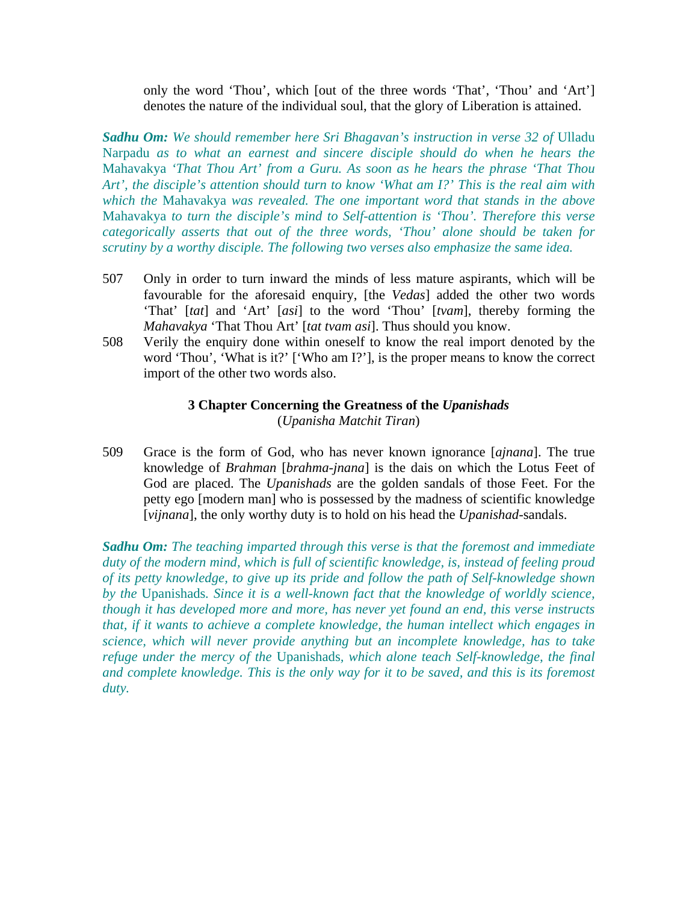only the word 'Thou', which [out of the three words 'That', 'Thou' and 'Art'] denotes the nature of the individual soul, that the glory of Liberation is attained.

*Sadhu Om: We should remember here Sri Bhagavan's instruction in verse 32 of* Ulladu Narpadu *as to what an earnest and sincere disciple should do when he hears the*  Mahavakya *'That Thou Art' from a Guru. As soon as he hears the phrase 'That Thou Art', the disciple's attention should turn to know 'What am I?' This is the real aim with which the* Mahavakya *was revealed. The one important word that stands in the above*  Mahavakya *to turn the disciple's mind to Self-attention is 'Thou'. Therefore this verse categorically asserts that out of the three words, 'Thou' alone should be taken for scrutiny by a worthy disciple. The following two verses also emphasize the same idea.* 

- 507 Only in order to turn inward the minds of less mature aspirants, which will be favourable for the aforesaid enquiry, [the *Vedas*] added the other two words 'That' [*tat*] and 'Art' [*asi*] to the word 'Thou' [*tvam*], thereby forming the *Mahavakya* 'That Thou Art' [*tat tvam asi*]. Thus should you know.
- 508 Verily the enquiry done within oneself to know the real import denoted by the word 'Thou', 'What is it?' ['Who am I?'], is the proper means to know the correct import of the other two words also.

#### **3 Chapter Concerning the Greatness of the** *Upanishads* (*Upanisha Matchit Tiran*)

509 Grace is the form of God, who has never known ignorance [*ajnana*]. The true knowledge of *Brahman* [*brahma-jnana*] is the dais on which the Lotus Feet of God are placed. The *Upanishads* are the golden sandals of those Feet. For the petty ego [modern man] who is possessed by the madness of scientific knowledge [*vijnana*], the only worthy duty is to hold on his head the *Upanishad*-sandals.

*Sadhu Om: The teaching imparted through this verse is that the foremost and immediate duty of the modern mind, which is full of scientific knowledge, is, instead of feeling proud of its petty knowledge, to give up its pride and follow the path of Self-knowledge shown by the* Upanishads*. Since it is a well-known fact that the knowledge of worldly science, though it has developed more and more, has never yet found an end, this verse instructs that, if it wants to achieve a complete knowledge, the human intellect which engages in science, which will never provide anything but an incomplete knowledge, has to take refuge under the mercy of the* Upanishads*, which alone teach Self-knowledge, the final and complete knowledge. This is the only way for it to be saved, and this is its foremost duty.*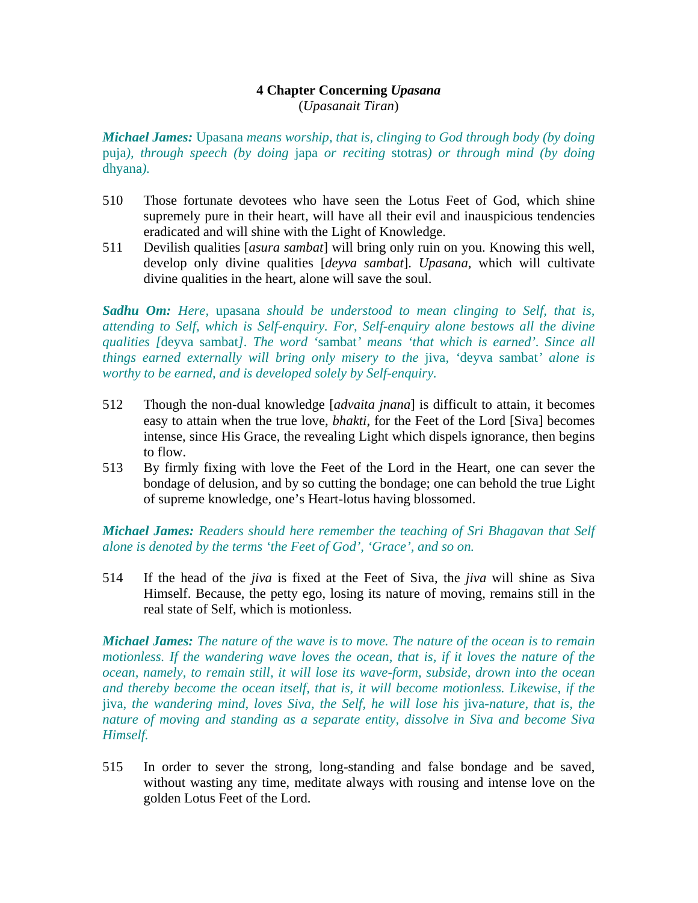## **4 Chapter Concerning** *Upasana* (*Upasanait Tiran*)

*Michael James:* Upasana *means worship, that is, clinging to God through body (by doing*  puja*), through speech (by doing* japa *or reciting* stotras*) or through mind (by doing*  dhyana*).*

- 510 Those fortunate devotees who have seen the Lotus Feet of God, which shine supremely pure in their heart, will have all their evil and inauspicious tendencies eradicated and will shine with the Light of Knowledge.
- 511 Devilish qualities [*asura sambat*] will bring only ruin on you. Knowing this well, develop only divine qualities [*deyva sambat*]. *Upasana*, which will cultivate divine qualities in the heart, alone will save the soul.

*Sadhu Om: Here,* upasana *should be understood to mean clinging to Self, that is, attending to Self, which is Self-enquiry. For, Self-enquiry alone bestows all the divine qualities [*deyva sambat*]. The word '*sambat*' means 'that which is earned'. Since all things earned externally will bring only misery to the* jiva*, '*deyva sambat*' alone is worthy to be earned, and is developed solely by Self-enquiry.* 

- 512 Though the non-dual knowledge [*advaita jnana*] is difficult to attain, it becomes easy to attain when the true love, *bhakti*, for the Feet of the Lord [Siva] becomes intense, since His Grace, the revealing Light which dispels ignorance, then begins to flow.
- 513 By firmly fixing with love the Feet of the Lord in the Heart, one can sever the bondage of delusion, and by so cutting the bondage; one can behold the true Light of supreme knowledge, one's Heart-lotus having blossomed.

*Michael James: Readers should here remember the teaching of Sri Bhagavan that Self alone is denoted by the terms 'the Feet of God', 'Grace', and so on.* 

514 If the head of the *jiva* is fixed at the Feet of Siva, the *jiva* will shine as Siva Himself. Because, the petty ego, losing its nature of moving, remains still in the real state of Self, which is motionless.

*Michael James: The nature of the wave is to move. The nature of the ocean is to remain*  motionless. If the wandering wave loves the ocean, that is, if it loves the nature of the *ocean, namely, to remain still, it will lose its wave-form, subside, drown into the ocean and thereby become the ocean itself, that is, it will become motionless. Likewise, if the*  jiva, *the wandering mind, loves Siva, the Self, he will lose his* jiva*-nature, that is, the nature of moving and standing as a separate entity, dissolve in Siva and become Siva Himself.* 

515 In order to sever the strong, long-standing and false bondage and be saved, without wasting any time, meditate always with rousing and intense love on the golden Lotus Feet of the Lord.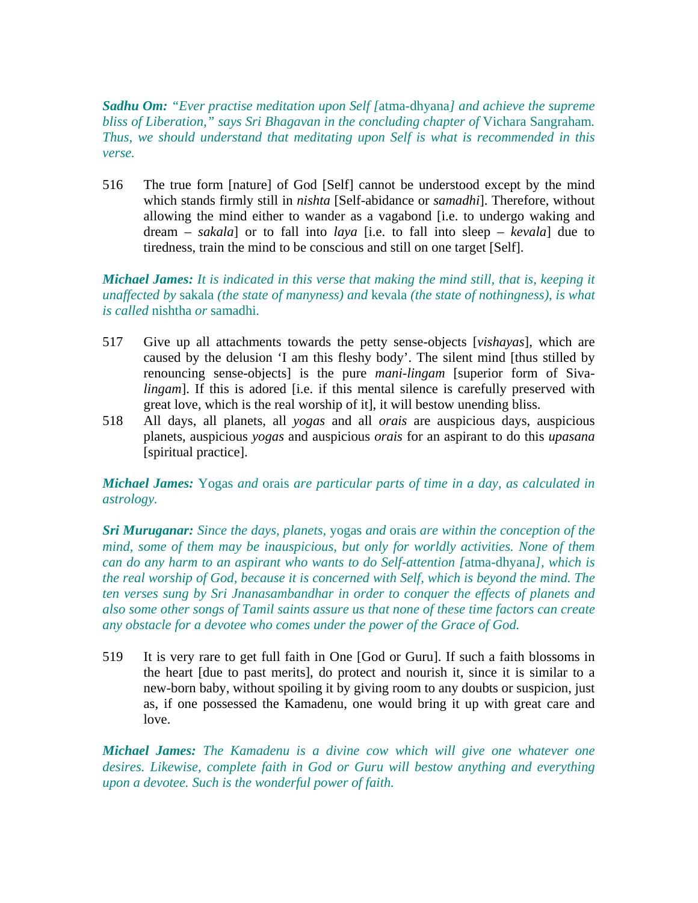*Sadhu Om: "Ever practise meditation upon Self [*atma-dhyana*] and achieve the supreme bliss of Liberation," says Sri Bhagavan in the concluding chapter of* Vichara Sangraham*. Thus, we should understand that meditating upon Self is what is recommended in this verse.* 

516 The true form [nature] of God [Self] cannot be understood except by the mind which stands firmly still in *nishta* [Self-abidance or *samadhi*]. Therefore, without allowing the mind either to wander as a vagabond [i.e. to undergo waking and dream – *sakala*] or to fall into *laya* [i.e. to fall into sleep – *kevala*] due to tiredness, train the mind to be conscious and still on one target [Self].

*Michael James: It is indicated in this verse that making the mind still, that is, keeping it unaffected by* sakala *(the state of manyness) and* kevala *(the state of nothingness), is what is called* nishtha *or* samadhi*.* 

- 517 Give up all attachments towards the petty sense-objects [*vishayas*], which are caused by the delusion 'I am this fleshy body'. The silent mind [thus stilled by renouncing sense-objects] is the pure *mani-lingam* [superior form of Siva*lingam*]. If this is adored [i.e. if this mental silence is carefully preserved with great love, which is the real worship of it], it will bestow unending bliss.
- 518 All days, all planets, all *yogas* and all *orais* are auspicious days, auspicious planets, auspicious *yogas* and auspicious *orais* for an aspirant to do this *upasana* [spiritual practice].

## *Michael James:* Yogas *and* orais *are particular parts of time in a day, as calculated in astrology.*

*Sri Muruganar: Since the days, planets,* yogas *and* orais *are within the conception of the mind, some of them may be inauspicious, but only for worldly activities. None of them can do any harm to an aspirant who wants to do Self-attention [*atma-dhyana*], which is the real worship of God, because it is concerned with Self, which is beyond the mind. The ten verses sung by Sri Jnanasambandhar in order to conquer the effects of planets and also some other songs of Tamil saints assure us that none of these time factors can create any obstacle for a devotee who comes under the power of the Grace of God.* 

519 It is very rare to get full faith in One [God or Guru]. If such a faith blossoms in the heart [due to past merits], do protect and nourish it, since it is similar to a new-born baby, without spoiling it by giving room to any doubts or suspicion, just as, if one possessed the Kamadenu, one would bring it up with great care and love.

*Michael James: The Kamadenu is a divine cow which will give one whatever one*  desires. Likewise, complete faith in God or Guru will bestow anything and everything *upon a devotee. Such is the wonderful power of faith.*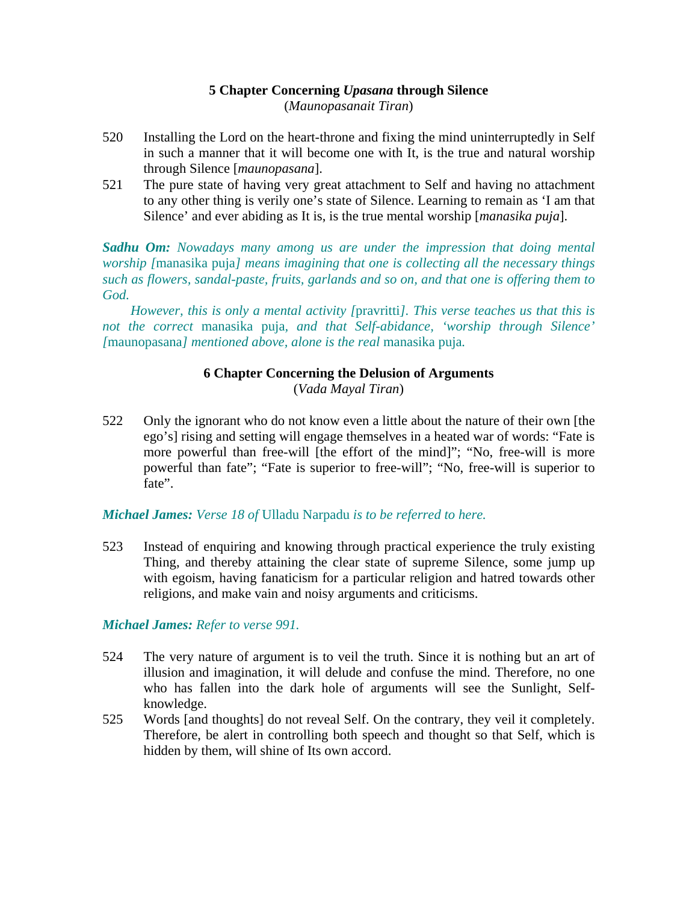#### **5 Chapter Concerning** *Upasana* **through Silence**  (*Maunopasanait Tiran*)

- 520 Installing the Lord on the heart-throne and fixing the mind uninterruptedly in Self in such a manner that it will become one with It, is the true and natural worship through Silence [*maunopasana*].
- 521 The pure state of having very great attachment to Self and having no attachment to any other thing is verily one's state of Silence. Learning to remain as 'I am that Silence' and ever abiding as It is, is the true mental worship [*manasika puja*].

*Sadhu Om: Nowadays many among us are under the impression that doing mental worship [*manasika puja*] means imagining that one is collecting all the necessary things such as flowers, sandal-paste, fruits, garlands and so on, and that one is offering them to God.* 

*However, this is only a mental activity [*pravritti*]. This verse teaches us that this is not the correct* manasika puja*, and that Self-abidance, 'worship through Silence' [*maunopasana*] mentioned above, alone is the real* manasika puja*.* 

## **6 Chapter Concerning the Delusion of Arguments**

(*Vada Mayal Tiran*)

522 Only the ignorant who do not know even a little about the nature of their own [the ego's] rising and setting will engage themselves in a heated war of words: "Fate is more powerful than free-will [the effort of the mind]"; "No, free-will is more powerful than fate"; "Fate is superior to free-will"; "No, free-will is superior to fate".

## *Michael James: Verse 18 of* Ulladu Narpadu *is to be referred to here.*

523 Instead of enquiring and knowing through practical experience the truly existing Thing, and thereby attaining the clear state of supreme Silence, some jump up with egoism, having fanaticism for a particular religion and hatred towards other religions, and make vain and noisy arguments and criticisms.

## *Michael James: Refer to verse 991.*

- 524 The very nature of argument is to veil the truth. Since it is nothing but an art of illusion and imagination, it will delude and confuse the mind. Therefore, no one who has fallen into the dark hole of arguments will see the Sunlight, Selfknowledge.
- 525 Words [and thoughts] do not reveal Self. On the contrary, they veil it completely. Therefore, be alert in controlling both speech and thought so that Self, which is hidden by them, will shine of Its own accord.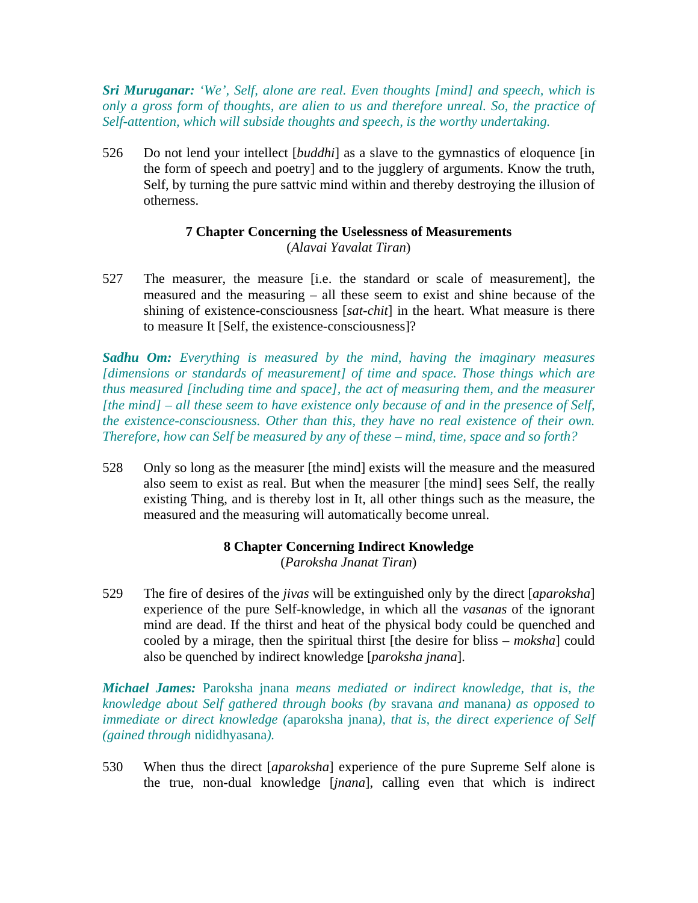*Sri Muruganar: 'We', Self, alone are real. Even thoughts [mind] and speech, which is only a gross form of thoughts, are alien to us and therefore unreal. So, the practice of Self-attention, which will subside thoughts and speech, is the worthy undertaking.* 

526 Do not lend your intellect [*buddhi*] as a slave to the gymnastics of eloquence [in the form of speech and poetry] and to the jugglery of arguments. Know the truth, Self, by turning the pure sattvic mind within and thereby destroying the illusion of otherness.

## **7 Chapter Concerning the Uselessness of Measurements**  (*Alavai Yavalat Tiran*)

527 The measurer, the measure [i.e. the standard or scale of measurement], the measured and the measuring – all these seem to exist and shine because of the shining of existence-consciousness [*sat-chit*] in the heart. What measure is there to measure It [Self, the existence-consciousness]?

*Sadhu Om: Everything is measured by the mind, having the imaginary measures [dimensions or standards of measurement] of time and space. Those things which are thus measured [including time and space], the act of measuring them, and the measurer [the mind] – all these seem to have existence only because of and in the presence of Self, the existence-consciousness. Other than this, they have no real existence of their own. Therefore, how can Self be measured by any of these – mind, time, space and so forth?* 

528 Only so long as the measurer [the mind] exists will the measure and the measured also seem to exist as real. But when the measurer [the mind] sees Self, the really existing Thing, and is thereby lost in It, all other things such as the measure, the measured and the measuring will automatically become unreal.

# **8 Chapter Concerning Indirect Knowledge**

(*Paroksha Jnanat Tiran*)

529 The fire of desires of the *jivas* will be extinguished only by the direct [*aparoksha*] experience of the pure Self-knowledge, in which all the *vasanas* of the ignorant mind are dead. If the thirst and heat of the physical body could be quenched and cooled by a mirage, then the spiritual thirst [the desire for bliss – *moksha*] could also be quenched by indirect knowledge [*paroksha jnana*].

*Michael James:* Paroksha jnana *means mediated or indirect knowledge, that is, the knowledge about Self gathered through books (by* sravana *and* manana*) as opposed to immediate or direct knowledge (*aparoksha jnana*), that is, the direct experience of Self (gained through* nididhyasana*).*

530 When thus the direct [*aparoksha*] experience of the pure Supreme Self alone is the true, non-dual knowledge [*jnana*], calling even that which is indirect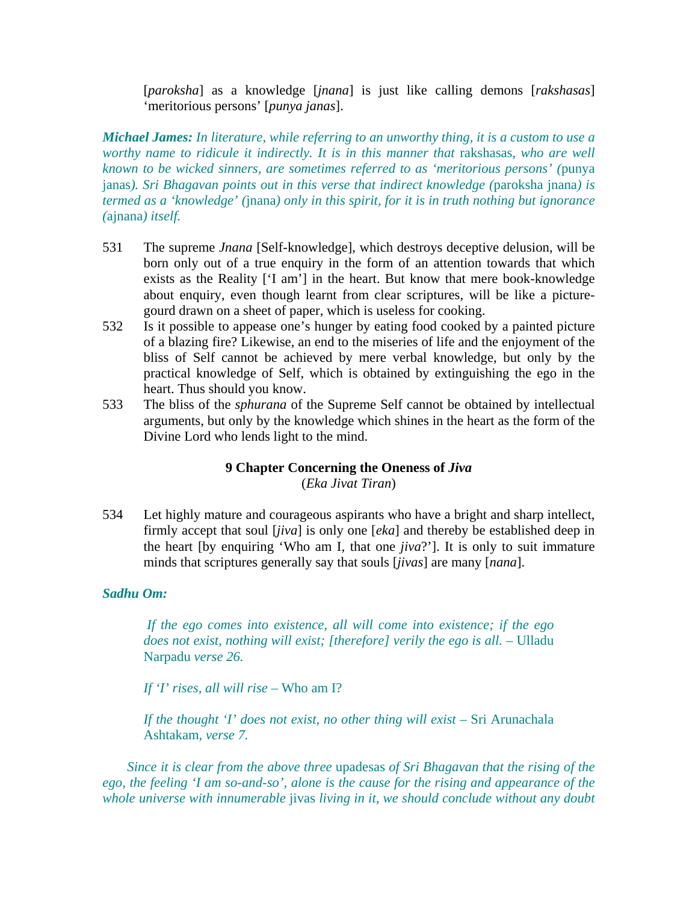[*paroksha*] as a knowledge [*jnana*] is just like calling demons [*rakshasas*] 'meritorious persons' [*punya janas*].

*Michael James: In literature, while referring to an unworthy thing, it is a custom to use a worthy name to ridicule it indirectly. It is in this manner that rakshasas, who are well known to be wicked sinners, are sometimes referred to as 'meritorious persons' (*punya janas*). Sri Bhagavan points out in this verse that indirect knowledge (*paroksha jnana*) is termed as a 'knowledge' (*jnana*) only in this spirit, for it is in truth nothing but ignorance (*ajnana*) itself.* 

- 531 The supreme *Jnana* [Self-knowledge], which destroys deceptive delusion, will be born only out of a true enquiry in the form of an attention towards that which exists as the Reality ['I am'] in the heart. But know that mere book-knowledge about enquiry, even though learnt from clear scriptures, will be like a picturegourd drawn on a sheet of paper, which is useless for cooking.
- 532 Is it possible to appease one's hunger by eating food cooked by a painted picture of a blazing fire? Likewise, an end to the miseries of life and the enjoyment of the bliss of Self cannot be achieved by mere verbal knowledge, but only by the practical knowledge of Self, which is obtained by extinguishing the ego in the heart. Thus should you know.
- 533 The bliss of the *sphurana* of the Supreme Self cannot be obtained by intellectual arguments, but only by the knowledge which shines in the heart as the form of the Divine Lord who lends light to the mind.

## **9 Chapter Concerning the Oneness of** *Jiva* (*Eka Jivat Tiran*)

534 Let highly mature and courageous aspirants who have a bright and sharp intellect, firmly accept that soul [*jiva*] is only one [*eka*] and thereby be established deep in the heart [by enquiring 'Who am I, that one *jiva*?']. It is only to suit immature minds that scriptures generally say that souls [*jivas*] are many [*nana*].

## *Sadhu Om:*

*If the ego comes into existence, all will come into existence; if the ego does not exist, nothing will exist; [therefore] verily the ego is all. –* Ulladu Narpadu *verse 26.* 

*If 'I' rises, all will rise –* Who am I?

*If the thought 'I' does not exist, no other thing will exist – Sri Arunachala* Ashtakam*, verse 7.* 

*Since it is clear from the above three* upadesas *of Sri Bhagavan that the rising of the ego, the feeling 'I am so-and-so', alone is the cause for the rising and appearance of the whole universe with innumerable* jivas *living in it, we should conclude without any doubt*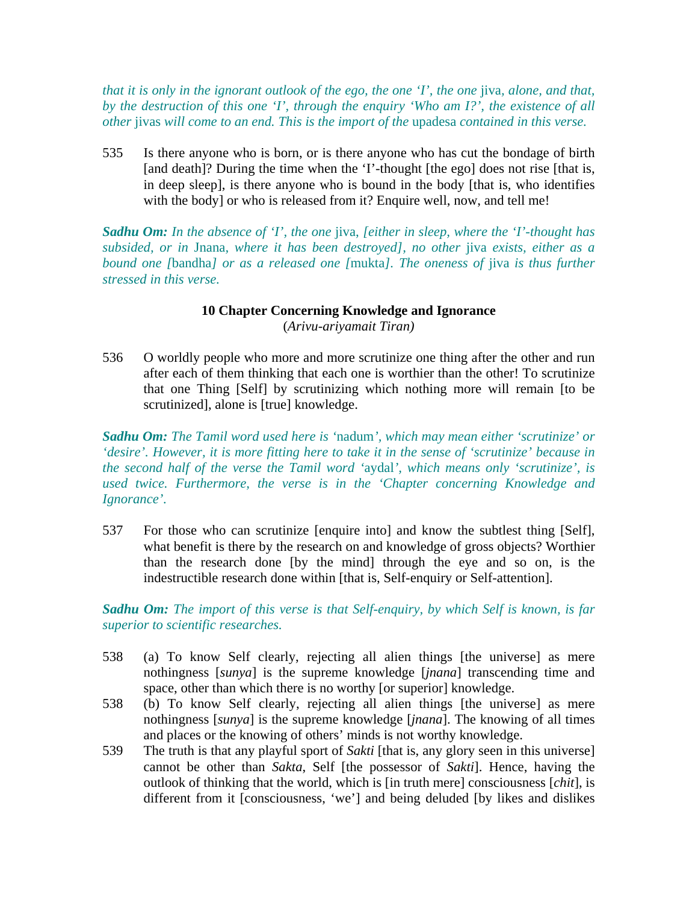*that it is only in the ignorant outlook of the ego, the one 'I', the one jiva, alone, and that, by the destruction of this one 'I', through the enquiry 'Who am I?', the existence of all other* jivas *will come to an end. This is the import of the* upadesa *contained in this verse.* 

535 Is there anyone who is born, or is there anyone who has cut the bondage of birth [and death]? During the time when the 'I'-thought [the ego] does not rise [that is, in deep sleep], is there anyone who is bound in the body [that is, who identifies with the body] or who is released from it? Enquire well, now, and tell me!

*Sadhu Om: In the absence of 'I', the one* jiva, *[either in sleep, where the 'I'-thought has subsided, or in* Jnana*, where it has been destroyed], no other* jiva *exists, either as a bound one [*bandha*] or as a released one [*mukta*]. The oneness of* jiva *is thus further stressed in this verse.* 

## **10 Chapter Concerning Knowledge and Ignorance**  (*Arivu-ariyamait Tiran)*

536 O worldly people who more and more scrutinize one thing after the other and run after each of them thinking that each one is worthier than the other! To scrutinize that one Thing [Self] by scrutinizing which nothing more will remain [to be scrutinized], alone is [true] knowledge.

*Sadhu Om: The Tamil word used here is '*nadum*', which may mean either 'scrutinize' or 'desire'. However, it is more fitting here to take it in the sense of 'scrutinize' because in the second half of the verse the Tamil word '*aydal*', which means only 'scrutinize', is used twice. Furthermore, the verse is in the 'Chapter concerning Knowledge and Ignorance'.* 

537 For those who can scrutinize [enquire into] and know the subtlest thing [Self], what benefit is there by the research on and knowledge of gross objects? Worthier than the research done [by the mind] through the eye and so on, is the indestructible research done within [that is, Self-enquiry or Self-attention].

*Sadhu Om: The import of this verse is that Self-enquiry, by which Self is known, is far superior to scientific researches.* 

- 538 (a) To know Self clearly, rejecting all alien things [the universe] as mere nothingness [*sunya*] is the supreme knowledge [*jnana*] transcending time and space, other than which there is no worthy [or superior] knowledge.
- 538 (b) To know Self clearly, rejecting all alien things [the universe] as mere nothingness [*sunya*] is the supreme knowledge [*jnana*]. The knowing of all times and places or the knowing of others' minds is not worthy knowledge.
- 539 The truth is that any playful sport of *Sakti* [that is, any glory seen in this universe] cannot be other than *Sakta*, Self [the possessor of *Sakti*]. Hence, having the outlook of thinking that the world, which is [in truth mere] consciousness [*chit*], is different from it [consciousness, 'we'] and being deluded [by likes and dislikes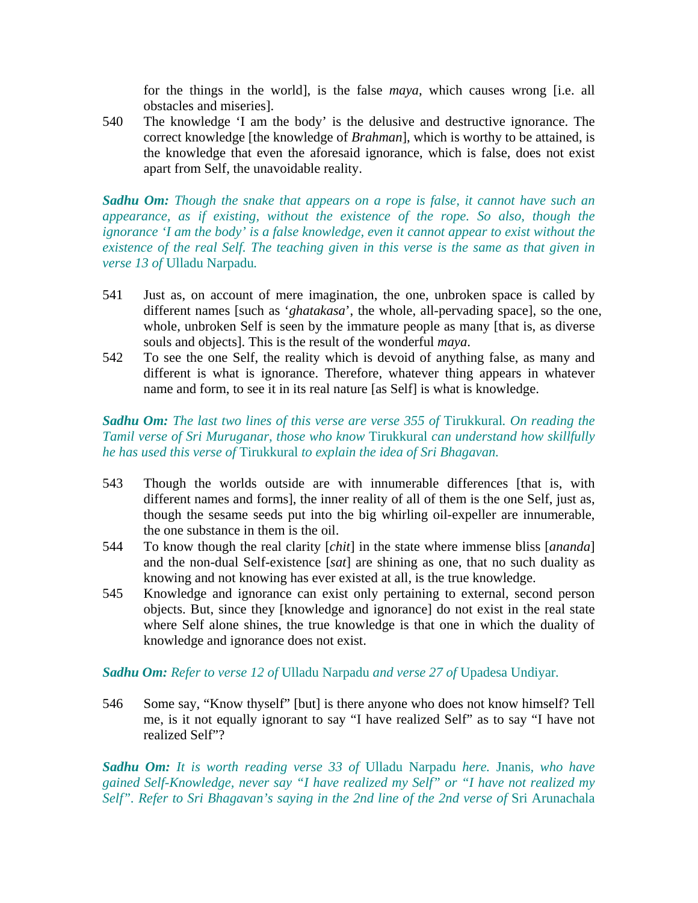for the things in the world], is the false *maya*, which causes wrong [i.e. all obstacles and miseries].

540 The knowledge 'I am the body' is the delusive and destructive ignorance. The correct knowledge [the knowledge of *Brahman*], which is worthy to be attained, is the knowledge that even the aforesaid ignorance, which is false, does not exist apart from Self, the unavoidable reality.

*Sadhu Om: Though the snake that appears on a rope is false, it cannot have such an appearance, as if existing, without the existence of the rope. So also, though the ignorance 'I am the body' is a false knowledge, even it cannot appear to exist without the existence of the real Self. The teaching given in this verse is the same as that given in verse 13 of* Ulladu Narpadu*.* 

- 541 Just as, on account of mere imagination, the one, unbroken space is called by different names [such as '*ghatakasa*', the whole, all-pervading space], so the one, whole, unbroken Self is seen by the immature people as many [that is, as diverse souls and objects]. This is the result of the wonderful *maya*.
- 542 To see the one Self, the reality which is devoid of anything false, as many and different is what is ignorance. Therefore, whatever thing appears in whatever name and form, to see it in its real nature [as Self] is what is knowledge.

*Sadhu Om: The last two lines of this verse are verse 355 of* Tirukkural*. On reading the Tamil verse of Sri Muruganar, those who know* Tirukkural *can understand how skillfully he has used this verse of* Tirukkural *to explain the idea of Sri Bhagavan.* 

- 543 Though the worlds outside are with innumerable differences [that is, with different names and forms], the inner reality of all of them is the one Self, just as, though the sesame seeds put into the big whirling oil-expeller are innumerable, the one substance in them is the oil.
- 544 To know though the real clarity [*chit*] in the state where immense bliss [*ananda*] and the non-dual Self-existence [*sat*] are shining as one, that no such duality as knowing and not knowing has ever existed at all, is the true knowledge.
- 545 Knowledge and ignorance can exist only pertaining to external, second person objects. But, since they [knowledge and ignorance] do not exist in the real state where Self alone shines, the true knowledge is that one in which the duality of knowledge and ignorance does not exist.

*Sadhu Om: Refer to verse 12 of* Ulladu Narpadu *and verse 27 of* Upadesa Undiyar*.* 

546 Some say, "Know thyself" [but] is there anyone who does not know himself? Tell me, is it not equally ignorant to say "I have realized Self" as to say "I have not realized Self"?

*Sadhu Om: It is worth reading verse 33 of* Ulladu Narpadu *here.* Jnanis*, who have gained Self-Knowledge, never say "I have realized my Self" or "I have not realized my Self". Refer to Sri Bhagavan's saying in the 2nd line of the 2nd verse of* Sri Arunachala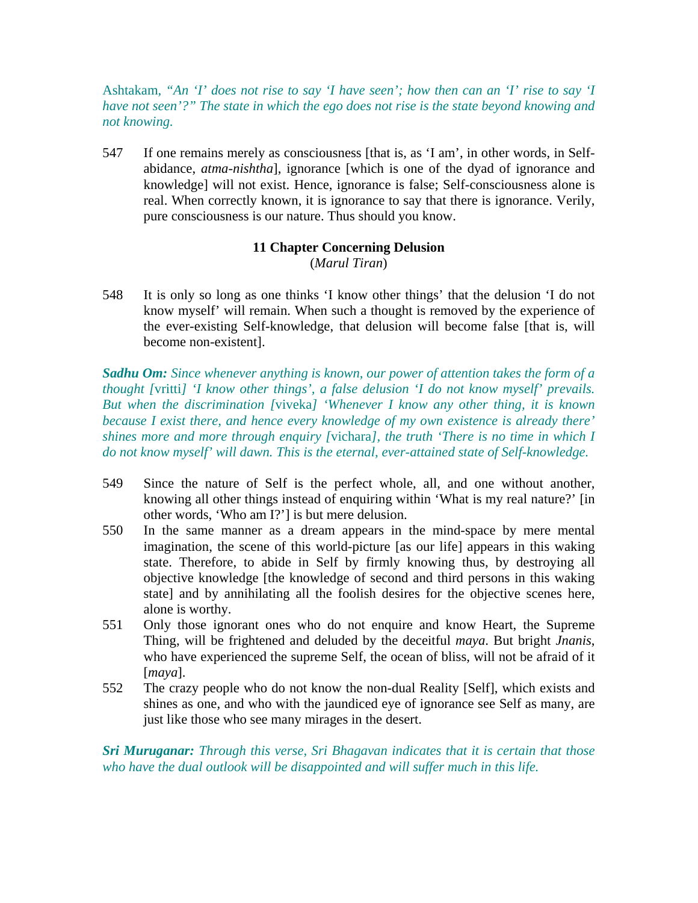Ashtakam*, "An 'I' does not rise to say 'I have seen'; how then can an 'I' rise to say 'I have not seen'?" The state in which the ego does not rise is the state beyond knowing and not knowing.* 

547 If one remains merely as consciousness [that is, as 'I am', in other words, in Selfabidance, *atma-nishtha*], ignorance [which is one of the dyad of ignorance and knowledge] will not exist. Hence, ignorance is false; Self-consciousness alone is real. When correctly known, it is ignorance to say that there is ignorance. Verily, pure consciousness is our nature. Thus should you know.

### **11 Chapter Concerning Delusion**  (*Marul Tiran*)

548 It is only so long as one thinks 'I know other things' that the delusion 'I do not know myself' will remain. When such a thought is removed by the experience of the ever-existing Self-knowledge, that delusion will become false [that is, will become non-existent].

*Sadhu Om: Since whenever anything is known, our power of attention takes the form of a thought [*vritti*] 'I know other things', a false delusion 'I do not know myself' prevails. But when the discrimination [*viveka*] 'Whenever I know any other thing, it is known because I exist there, and hence every knowledge of my own existence is already there' shines more and more through enquiry [*vichara*], the truth 'There is no time in which I do not know myself' will dawn. This is the eternal, ever-attained state of Self-knowledge.* 

- 549 Since the nature of Self is the perfect whole, all, and one without another, knowing all other things instead of enquiring within 'What is my real nature?' [in other words, 'Who am I?'] is but mere delusion.
- 550 In the same manner as a dream appears in the mind-space by mere mental imagination, the scene of this world-picture [as our life] appears in this waking state. Therefore, to abide in Self by firmly knowing thus, by destroying all objective knowledge [the knowledge of second and third persons in this waking state] and by annihilating all the foolish desires for the objective scenes here, alone is worthy.
- 551 Only those ignorant ones who do not enquire and know Heart, the Supreme Thing, will be frightened and deluded by the deceitful *maya*. But bright *Jnanis*, who have experienced the supreme Self, the ocean of bliss, will not be afraid of it [*maya*].
- 552 The crazy people who do not know the non-dual Reality [Self], which exists and shines as one, and who with the jaundiced eye of ignorance see Self as many, are just like those who see many mirages in the desert.

*Sri Muruganar: Through this verse, Sri Bhagavan indicates that it is certain that those*  who have the dual outlook will be disappointed and will suffer much in this life.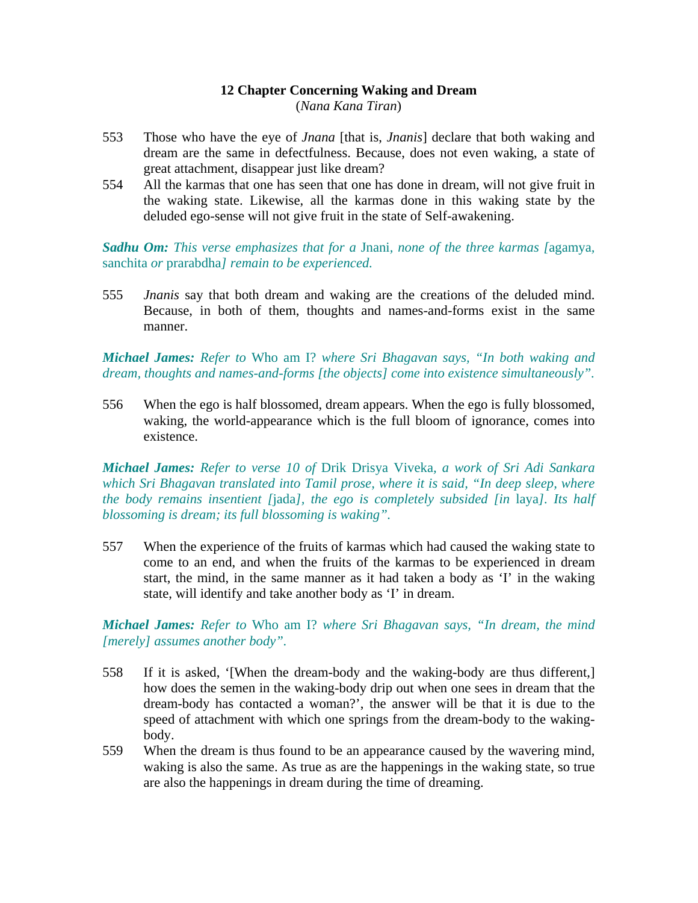#### **12 Chapter Concerning Waking and Dream**  (*Nana Kana Tiran*)

- 553 Those who have the eye of *Jnana* [that is, *Jnanis*] declare that both waking and dream are the same in defectfulness. Because, does not even waking, a state of great attachment, disappear just like dream?
- 554 All the karmas that one has seen that one has done in dream, will not give fruit in the waking state. Likewise, all the karmas done in this waking state by the deluded ego-sense will not give fruit in the state of Self-awakening.

*Sadhu Om: This verse emphasizes that for a* Jnani*, none of the three karmas [*agamya*,*  sanchita *or* prarabdha*] remain to be experienced.* 

555 *Jnanis* say that both dream and waking are the creations of the deluded mind. Because, in both of them, thoughts and names-and-forms exist in the same manner.

### *Michael James: Refer to* Who am I? *where Sri Bhagavan says, "In both waking and dream, thoughts and names-and-forms [the objects] come into existence simultaneously".*

556 When the ego is half blossomed, dream appears. When the ego is fully blossomed, waking, the world-appearance which is the full bloom of ignorance, comes into existence.

*Michael James: Refer to verse 10 of* Drik Drisya Viveka*, a work of Sri Adi Sankara which Sri Bhagavan translated into Tamil prose, where it is said, "In deep sleep, where the body remains insentient [*jada*], the ego is completely subsided [in* laya*]. Its half blossoming is dream; its full blossoming is waking".* 

557 When the experience of the fruits of karmas which had caused the waking state to come to an end, and when the fruits of the karmas to be experienced in dream start, the mind, in the same manner as it had taken a body as 'I' in the waking state, will identify and take another body as 'I' in dream.

*Michael James: Refer to* Who am I? *where Sri Bhagavan says, "In dream, the mind [merely] assumes another body".* 

- 558 If it is asked, '[When the dream-body and the waking-body are thus different,] how does the semen in the waking-body drip out when one sees in dream that the dream-body has contacted a woman?', the answer will be that it is due to the speed of attachment with which one springs from the dream-body to the wakingbody.
- 559 When the dream is thus found to be an appearance caused by the wavering mind, waking is also the same. As true as are the happenings in the waking state, so true are also the happenings in dream during the time of dreaming.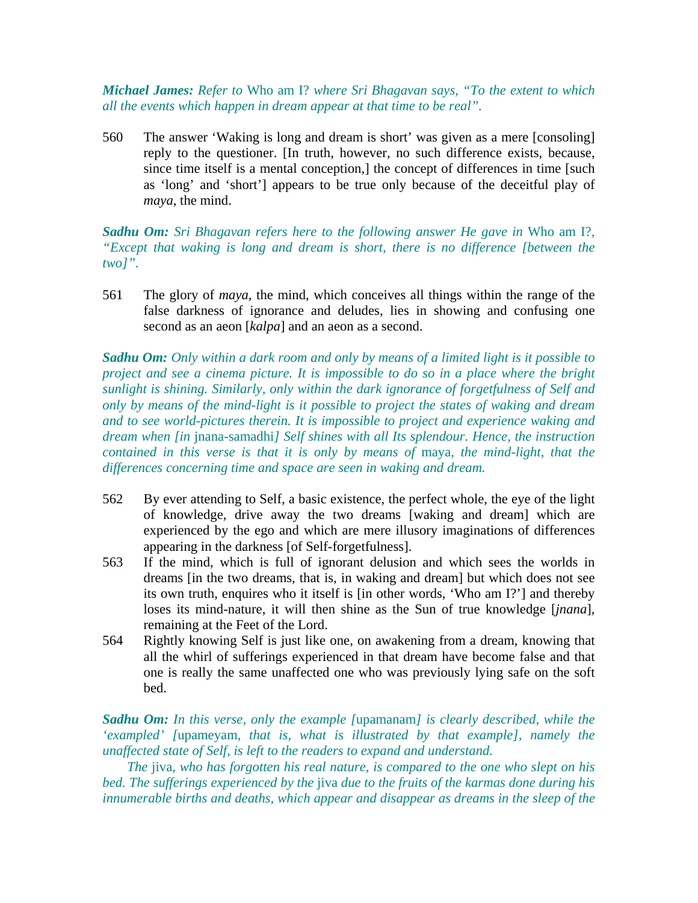*Michael James: Refer to* Who am I? *where Sri Bhagavan says, "To the extent to which all the events which happen in dream appear at that time to be real".* 

560 The answer 'Waking is long and dream is short' was given as a mere [consoling] reply to the questioner. [In truth, however, no such difference exists, because, since time itself is a mental conception,] the concept of differences in time [such as 'long' and 'short'] appears to be true only because of the deceitful play of *maya*, the mind.

*Sadhu Om: Sri Bhagavan refers here to the following answer He gave in* Who am I?*, "Except that waking is long and dream is short, there is no difference [between the two]".* 

561 The glory of *maya*, the mind, which conceives all things within the range of the false darkness of ignorance and deludes, lies in showing and confusing one second as an aeon [*kalpa*] and an aeon as a second.

*Sadhu Om: Only within a dark room and only by means of a limited light is it possible to project and see a cinema picture. It is impossible to do so in a place where the bright sunlight is shining. Similarly, only within the dark ignorance of forgetfulness of Self and only by means of the mind-light is it possible to project the states of waking and dream and to see world-pictures therein. It is impossible to project and experience waking and dream when [in* jnana-samadhi*] Self shines with all Its splendour. Hence, the instruction contained in this verse is that it is only by means of* maya*, the mind-light, that the differences concerning time and space are seen in waking and dream.* 

- 562 By ever attending to Self, a basic existence, the perfect whole, the eye of the light of knowledge, drive away the two dreams [waking and dream] which are experienced by the ego and which are mere illusory imaginations of differences appearing in the darkness [of Self-forgetfulness].
- 563 If the mind, which is full of ignorant delusion and which sees the worlds in dreams [in the two dreams, that is, in waking and dream] but which does not see its own truth, enquires who it itself is [in other words, 'Who am I?'] and thereby loses its mind-nature, it will then shine as the Sun of true knowledge [*jnana*], remaining at the Feet of the Lord.
- 564 Rightly knowing Self is just like one, on awakening from a dream, knowing that all the whirl of sufferings experienced in that dream have become false and that one is really the same unaffected one who was previously lying safe on the soft bed.

*Sadhu Om: In this verse, only the example [*upamanam*] is clearly described, while the 'exampled' [*upameyam*, that is, what is illustrated by that example], namely the unaffected state of Self, is left to the readers to expand and understand.* 

 *The* jiva*, who has forgotten his real nature, is compared to the one who slept on his bed. The sufferings experienced by the* jiva *due to the fruits of the karmas done during his innumerable births and deaths, which appear and disappear as dreams in the sleep of the*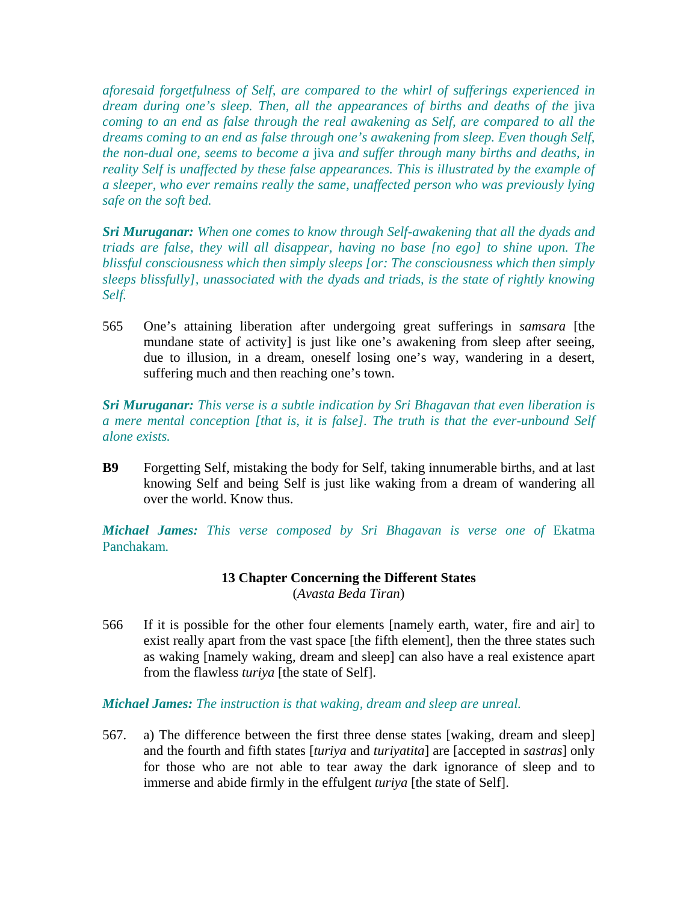*aforesaid forgetfulness of Self, are compared to the whirl of sufferings experienced in dream during one's sleep. Then, all the appearances of births and deaths of the jiva coming to an end as false through the real awakening as Self, are compared to all the dreams coming to an end as false through one's awakening from sleep. Even though Self, the non-dual one, seems to become a* jiva *and suffer through many births and deaths, in reality Self is unaffected by these false appearances. This is illustrated by the example of a sleeper, who ever remains really the same, unaffected person who was previously lying safe on the soft bed.* 

*Sri Muruganar: When one comes to know through Self-awakening that all the dyads and triads are false, they will all disappear, having no base [no ego] to shine upon. The blissful consciousness which then simply sleeps [or: The consciousness which then simply sleeps blissfully], unassociated with the dyads and triads, is the state of rightly knowing Self.* 

565 One's attaining liberation after undergoing great sufferings in *samsara* [the mundane state of activity] is just like one's awakening from sleep after seeing, due to illusion, in a dream, oneself losing one's way, wandering in a desert, suffering much and then reaching one's town.

*Sri Muruganar: This verse is a subtle indication by Sri Bhagavan that even liberation is a mere mental conception [that is, it is false]. The truth is that the ever-unbound Self alone exists.*

**B9** Forgetting Self, mistaking the body for Self, taking innumerable births, and at last knowing Self and being Self is just like waking from a dream of wandering all over the world. Know thus.

*Michael James: This verse composed by Sri Bhagavan is verse one of* Ekatma Panchakam*.* 

#### **13 Chapter Concerning the Different States**

(*Avasta Beda Tiran*)

566 If it is possible for the other four elements [namely earth, water, fire and air] to exist really apart from the vast space [the fifth element], then the three states such as waking [namely waking, dream and sleep] can also have a real existence apart from the flawless *turiya* [the state of Self].

*Michael James: The instruction is that waking, dream and sleep are unreal.* 

567. a) The difference between the first three dense states [waking, dream and sleep] and the fourth and fifth states [*turiya* and *turiyatita*] are [accepted in *sastras*] only for those who are not able to tear away the dark ignorance of sleep and to immerse and abide firmly in the effulgent *turiya* [the state of Self].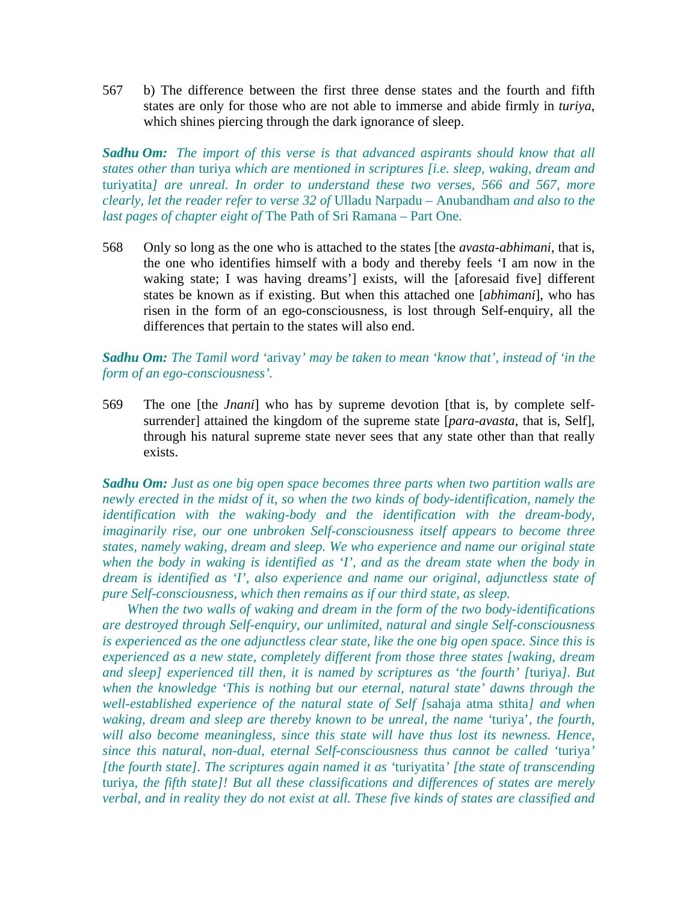567 b) The difference between the first three dense states and the fourth and fifth states are only for those who are not able to immerse and abide firmly in *turiya*, which shines piercing through the dark ignorance of sleep.

*Sadhu Om: The import of this verse is that advanced aspirants should know that all states other than* turiya *which are mentioned in scriptures [i.e. sleep, waking, dream and*  turiyatita*] are unreal. In order to understand these two verses, 566 and 567, more clearly, let the reader refer to verse 32 of* Ulladu Narpadu – Anubandham *and also to the last pages of chapter eight of* The Path of Sri Ramana – Part One.

568 Only so long as the one who is attached to the states [the *avasta*-*abhimani*, that is, the one who identifies himself with a body and thereby feels 'I am now in the waking state; I was having dreams'] exists, will the [aforesaid five] different states be known as if existing. But when this attached one [*abhimani*], who has risen in the form of an ego-consciousness, is lost through Self-enquiry, all the differences that pertain to the states will also end.

#### *Sadhu Om: The Tamil word '*arivay*' may be taken to mean 'know that', instead of 'in the form of an ego-consciousness'.*

569 The one [the *Jnani*] who has by supreme devotion [that is, by complete selfsurrender] attained the kingdom of the supreme state [*para-avasta*, that is, Self], through his natural supreme state never sees that any state other than that really exists.

*Sadhu Om: Just as one big open space becomes three parts when two partition walls are newly erected in the midst of it, so when the two kinds of body-identification, namely the identification with the waking-body and the identification with the dream-body, imaginarily rise, our one unbroken Self-consciousness itself appears to become three states, namely waking, dream and sleep. We who experience and name our original state when the body in waking is identified as 'I', and as the dream state when the body in dream is identified as 'I', also experience and name our original, adjunctless state of pure Self-consciousness, which then remains as if our third state, as sleep.* 

*When the two walls of waking and dream in the form of the two body-identifications are destroyed through Self-enquiry, our unlimited, natural and single Self-consciousness is experienced as the one adjunctless clear state, like the one big open space. Since this is experienced as a new state, completely different from those three states [waking, dream and sleep] experienced till then, it is named by scriptures as 'the fourth' [*turiya*]. But when the knowledge 'This is nothing but our eternal, natural state' dawns through the well-established experience of the natural state of Self [*sahaja atma sthita*] and when waking, dream and sleep are thereby known to be unreal, the name '*turiya'*, the fourth,*  will also become meaningless, since this state will have thus lost its newness. Hence, *since this natural, non-dual, eternal Self-consciousness thus cannot be called '*turiya*' [the fourth state]. The scriptures again named it as '*turiyatita*' [the state of transcending*  turiya*, the fifth state]! But all these classifications and differences of states are merely verbal, and in reality they do not exist at all. These five kinds of states are classified and*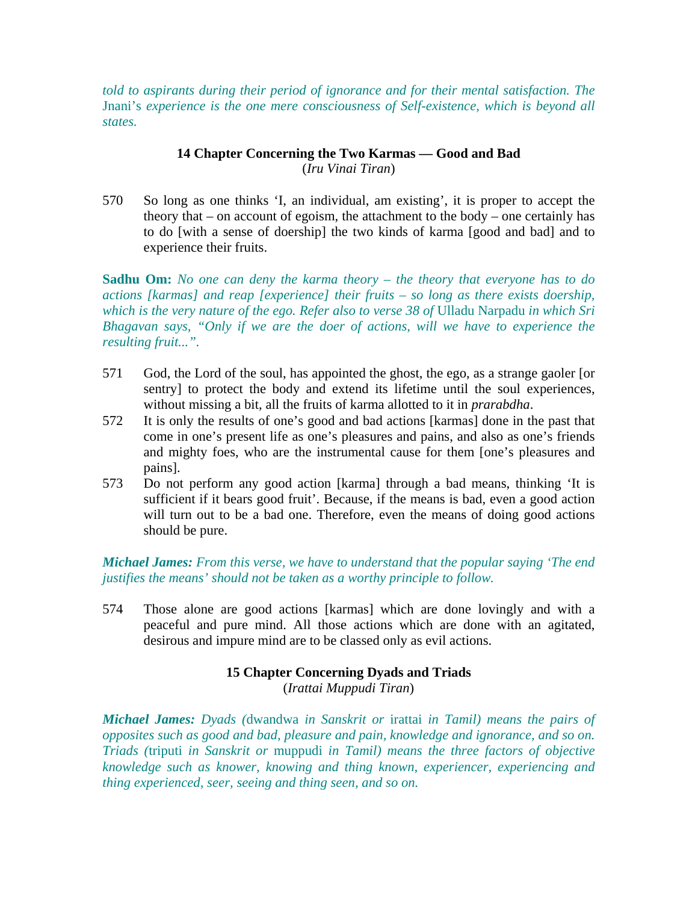*told to aspirants during their period of ignorance and for their mental satisfaction. The*  Jnani's *experience is the one mere consciousness of Self-existence, which is beyond all states.* 

## **14 Chapter Concerning the Two Karmas — Good and Bad**  (*Iru Vinai Tiran*)

570 So long as one thinks 'I, an individual, am existing', it is proper to accept the theory that – on account of egoism, the attachment to the body – one certainly has to do [with a sense of doership] the two kinds of karma [good and bad] and to experience their fruits.

**Sadhu Om:** *No one can deny the karma theory – the theory that everyone has to do actions [karmas] and reap [experience] their fruits – so long as there exists doership, which is the very nature of the ego. Refer also to verse 38 of* Ulladu Narpadu *in which Sri Bhagavan says, "Only if we are the doer of actions, will we have to experience the resulting fruit...".* 

- 571 God, the Lord of the soul, has appointed the ghost, the ego, as a strange gaoler [or sentry] to protect the body and extend its lifetime until the soul experiences, without missing a bit, all the fruits of karma allotted to it in *prarabdha*.
- 572 It is only the results of one's good and bad actions [karmas] done in the past that come in one's present life as one's pleasures and pains, and also as one's friends and mighty foes, who are the instrumental cause for them [one's pleasures and pains].
- 573 Do not perform any good action [karma] through a bad means, thinking 'It is sufficient if it bears good fruit'. Because, if the means is bad, even a good action will turn out to be a bad one. Therefore, even the means of doing good actions should be pure.

*Michael James: From this verse, we have to understand that the popular saying 'The end justifies the means' should not be taken as a worthy principle to follow.* 

574 Those alone are good actions [karmas] which are done lovingly and with a peaceful and pure mind. All those actions which are done with an agitated, desirous and impure mind are to be classed only as evil actions.

## **15 Chapter Concerning Dyads and Triads**

(*Irattai Muppudi Tiran*)

*Michael James: Dyads (*dwandwa *in Sanskrit or* irattai *in Tamil) means the pairs of opposites such as good and bad, pleasure and pain, knowledge and ignorance, and so on. Triads (*triputi *in Sanskrit or* muppudi *in Tamil) means the three factors of objective knowledge such as knower, knowing and thing known, experiencer, experiencing and thing experienced, seer, seeing and thing seen, and so on.*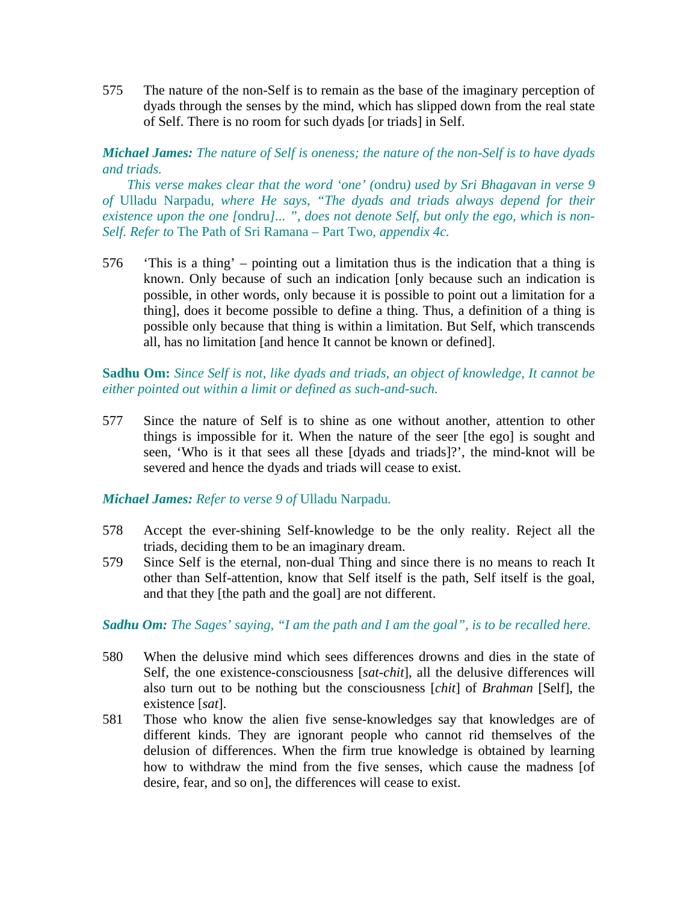575 The nature of the non-Self is to remain as the base of the imaginary perception of dyads through the senses by the mind, which has slipped down from the real state of Self. There is no room for such dyads [or triads] in Self.

## *Michael James: The nature of Self is oneness; the nature of the non-Self is to have dyads and triads.*

*This verse makes clear that the word 'one' (*ondru*) used by Sri Bhagavan in verse 9 of* Ulladu Narpadu*, where He says, "The dyads and triads always depend for their existence upon the one [*ondru*]... ", does not denote Self, but only the ego, which is non-Self. Refer to* The Path of Sri Ramana – Part Two*, appendix 4c.* 

576 'This is a thing' – pointing out a limitation thus is the indication that a thing is known. Only because of such an indication [only because such an indication is possible, in other words, only because it is possible to point out a limitation for a thing], does it become possible to define a thing. Thus, a definition of a thing is possible only because that thing is within a limitation. But Self, which transcends all, has no limitation [and hence It cannot be known or defined].

## **Sadhu Om:** *Since Self is not, like dyads and triads, an object of knowledge, It cannot be either pointed out within a limit or defined as such-and-such.*

577 Since the nature of Self is to shine as one without another, attention to other things is impossible for it. When the nature of the seer [the ego] is sought and seen, 'Who is it that sees all these [dyads and triads]?', the mind-knot will be severed and hence the dyads and triads will cease to exist.

#### *Michael James: Refer to verse 9 of* Ulladu Narpadu*.*

- 578 Accept the ever-shining Self-knowledge to be the only reality. Reject all the triads, deciding them to be an imaginary dream.
- 579 Since Self is the eternal, non-dual Thing and since there is no means to reach It other than Self-attention, know that Self itself is the path, Self itself is the goal, and that they [the path and the goal] are not different.

#### *Sadhu Om: The Sages' saying, "I am the path and I am the goal", is to be recalled here.*

- 580 When the delusive mind which sees differences drowns and dies in the state of Self, the one existence-consciousness [*sat-chit*], all the delusive differences will also turn out to be nothing but the consciousness [*chit*] of *Brahman* [Self], the existence [*sat*].
- 581 Those who know the alien five sense-knowledges say that knowledges are of different kinds. They are ignorant people who cannot rid themselves of the delusion of differences. When the firm true knowledge is obtained by learning how to withdraw the mind from the five senses, which cause the madness [of desire, fear, and so on], the differences will cease to exist.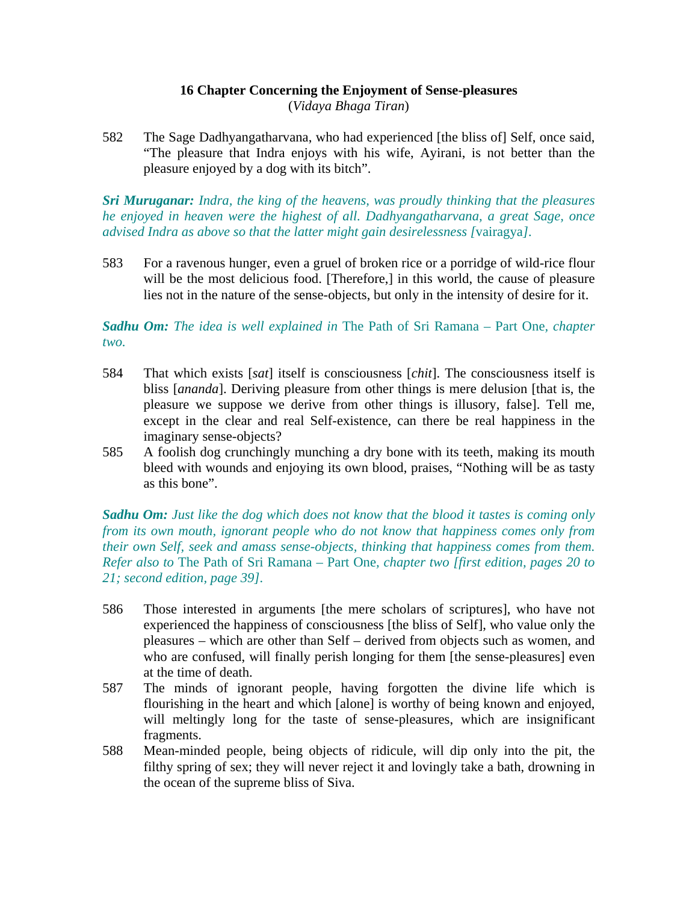#### **16 Chapter Concerning the Enjoyment of Sense-pleasures**  (*Vidaya Bhaga Tiran*)

582 The Sage Dadhyangatharvana, who had experienced [the bliss of] Self, once said, "The pleasure that Indra enjoys with his wife, Ayirani, is not better than the pleasure enjoyed by a dog with its bitch".

*Sri Muruganar: Indra, the king of the heavens, was proudly thinking that the pleasures he enjoyed in heaven were the highest of all. Dadhyangatharvana, a great Sage, once advised Indra as above so that the latter might gain desirelessness [*vairagya*].*

583 For a ravenous hunger, even a gruel of broken rice or a porridge of wild-rice flour will be the most delicious food. [Therefore,] in this world, the cause of pleasure lies not in the nature of the sense-objects, but only in the intensity of desire for it.

*Sadhu Om: The idea is well explained in* The Path of Sri Ramana – Part One*, chapter two.* 

- 584 That which exists [*sat*] itself is consciousness [*chit*]. The consciousness itself is bliss [*ananda*]. Deriving pleasure from other things is mere delusion [that is, the pleasure we suppose we derive from other things is illusory, false]. Tell me, except in the clear and real Self-existence, can there be real happiness in the imaginary sense-objects?
- 585 A foolish dog crunchingly munching a dry bone with its teeth, making its mouth bleed with wounds and enjoying its own blood, praises, "Nothing will be as tasty as this bone".

*Sadhu Om: Just like the dog which does not know that the blood it tastes is coming only from its own mouth, ignorant people who do not know that happiness comes only from their own Self, seek and amass sense-objects, thinking that happiness comes from them. Refer also to* The Path of Sri Ramana – Part One*, chapter two [first edition, pages 20 to 21; second edition, page 39].* 

- 586 Those interested in arguments [the mere scholars of scriptures], who have not experienced the happiness of consciousness [the bliss of Self], who value only the pleasures – which are other than Self – derived from objects such as women, and who are confused, will finally perish longing for them [the sense-pleasures] even at the time of death.
- 587 The minds of ignorant people, having forgotten the divine life which is flourishing in the heart and which [alone] is worthy of being known and enjoyed, will meltingly long for the taste of sense-pleasures, which are insignificant fragments.
- 588 Mean-minded people, being objects of ridicule, will dip only into the pit, the filthy spring of sex; they will never reject it and lovingly take a bath, drowning in the ocean of the supreme bliss of Siva.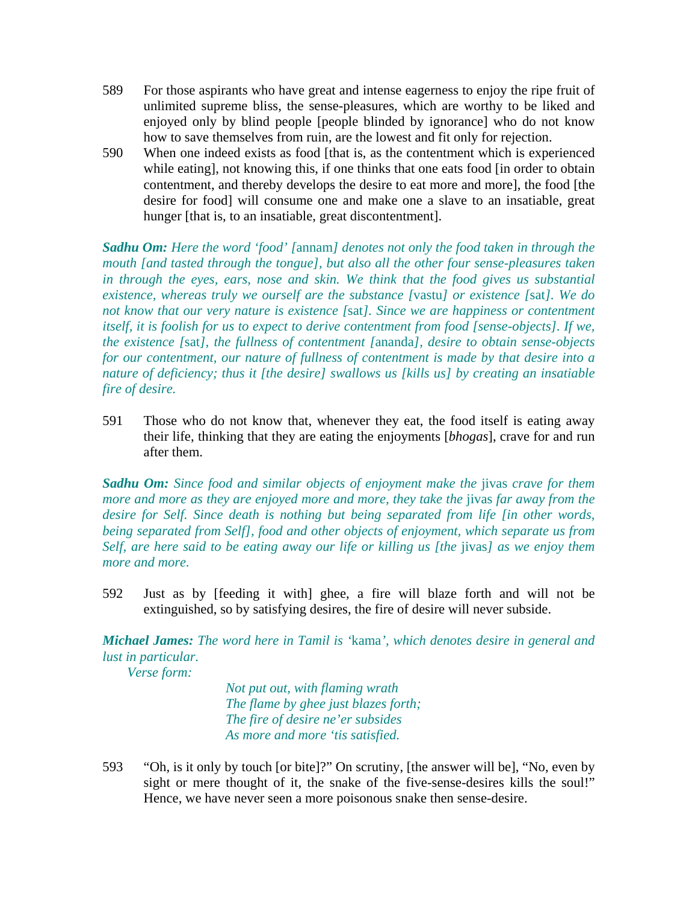- 589 For those aspirants who have great and intense eagerness to enjoy the ripe fruit of unlimited supreme bliss, the sense-pleasures, which are worthy to be liked and enjoyed only by blind people [people blinded by ignorance] who do not know how to save themselves from ruin, are the lowest and fit only for rejection.
- 590 When one indeed exists as food [that is, as the contentment which is experienced while eating], not knowing this, if one thinks that one eats food [in order to obtain contentment, and thereby develops the desire to eat more and more], the food [the desire for food] will consume one and make one a slave to an insatiable, great hunger [that is, to an insatiable, great discontentment].

*Sadhu Om: Here the word 'food' [*annam*] denotes not only the food taken in through the mouth [and tasted through the tongue], but also all the other four sense-pleasures taken in through the eyes, ears, nose and skin. We think that the food gives us substantial existence, whereas truly we ourself are the substance [*vastu*] or existence [*sat*]. We do not know that our very nature is existence [*sat*]. Since we are happiness or contentment itself, it is foolish for us to expect to derive contentment from food [sense-objects]. If we, the existence [*sat*], the fullness of contentment [*ananda*], desire to obtain sense-objects for our contentment, our nature of fullness of contentment is made by that desire into a nature of deficiency; thus it [the desire] swallows us [kills us] by creating an insatiable fire of desire.* 

591 Those who do not know that, whenever they eat, the food itself is eating away their life, thinking that they are eating the enjoyments [*bhogas*], crave for and run after them.

**Sadhu Om:** Since food and similar objects of enjoyment make the jivas crave for them *more and more as they are enjoyed more and more, they take the jivas far away from the desire for Self. Since death is nothing but being separated from life [in other words, being separated from Self], food and other objects of enjoyment, which separate us from Self, are here said to be eating away our life or killing us [the* jivas*] as we enjoy them more and more.* 

592 Just as by [feeding it with] ghee, a fire will blaze forth and will not be extinguished, so by satisfying desires, the fire of desire will never subside.

*Michael James: The word here in Tamil is '*kama*', which denotes desire in general and lust in particular.* 

 *Verse form:* 

*Not put out, with flaming wrath The flame by ghee just blazes forth; The fire of desire ne'er subsides As more and more 'tis satisfied.* 

593 "Oh, is it only by touch [or bite]?" On scrutiny, [the answer will be], "No, even by sight or mere thought of it, the snake of the five-sense-desires kills the soul!" Hence, we have never seen a more poisonous snake then sense-desire.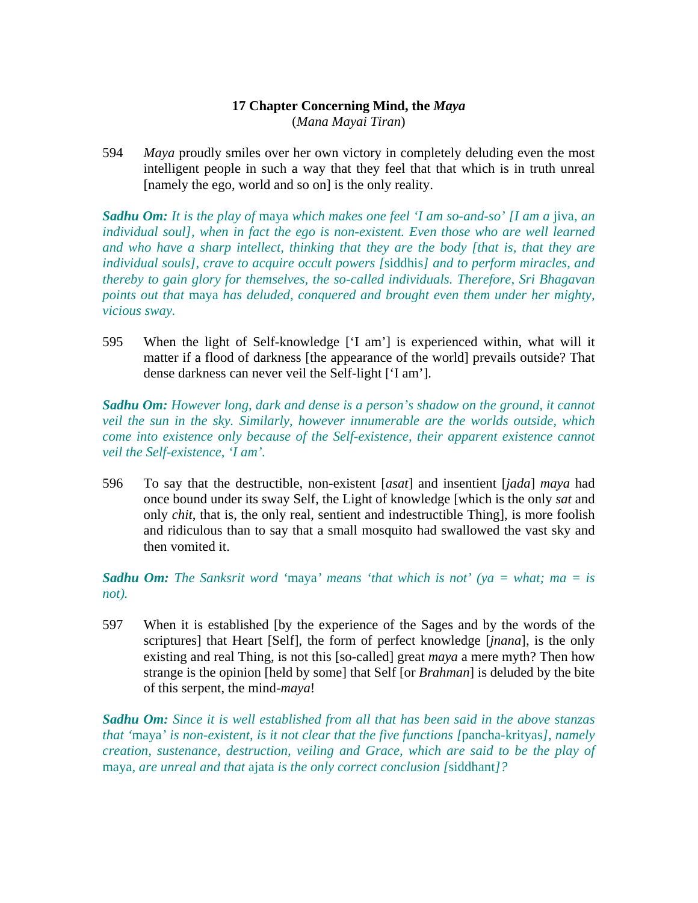## **17 Chapter Concerning Mind, the** *Maya*

(*Mana Mayai Tiran*)

594 *Maya* proudly smiles over her own victory in completely deluding even the most intelligent people in such a way that they feel that that which is in truth unreal [namely the ego, world and so on] is the only reality.

*Sadhu Om: It is the play of* maya *which makes one feel 'I am so-and-so' [I am a* jiva*, an individual soul], when in fact the ego is non-existent. Even those who are well learned and who have a sharp intellect, thinking that they are the body [that is, that they are individual souls], crave to acquire occult powers [*siddhis*] and to perform miracles, and thereby to gain glory for themselves, the so-called individuals. Therefore, Sri Bhagavan points out that* maya *has deluded, conquered and brought even them under her mighty, vicious sway.* 

595 When the light of Self-knowledge ['I am'] is experienced within, what will it matter if a flood of darkness [the appearance of the world] prevails outside? That dense darkness can never veil the Self-light ['I am'].

*Sadhu Om: However long, dark and dense is a person's shadow on the ground, it cannot veil the sun in the sky. Similarly, however innumerable are the worlds outside, which come into existence only because of the Self-existence, their apparent existence cannot veil the Self-existence, 'I am'.* 

596 To say that the destructible, non-existent [*asat*] and insentient [*jada*] *maya* had once bound under its sway Self, the Light of knowledge [which is the only *sat* and only *chit*, that is, the only real, sentient and indestructible Thing], is more foolish and ridiculous than to say that a small mosquito had swallowed the vast sky and then vomited it.

*Sadhu Om: The Sanksrit word '*maya*' means 'that which is not' (ya = what; ma = is not).*

597 When it is established [by the experience of the Sages and by the words of the scriptures] that Heart [Self], the form of perfect knowledge [*jnana*], is the only existing and real Thing, is not this [so-called] great *maya* a mere myth? Then how strange is the opinion [held by some] that Self [or *Brahman*] is deluded by the bite of this serpent, the mind-*maya*!

*Sadhu Om: Since it is well established from all that has been said in the above stanzas that '*maya*' is non-existent, is it not clear that the five functions [*pancha-krityas*], namely creation, sustenance, destruction, veiling and Grace, which are said to be the play of*  maya*, are unreal and that* ajata *is the only correct conclusion [*siddhant*]?*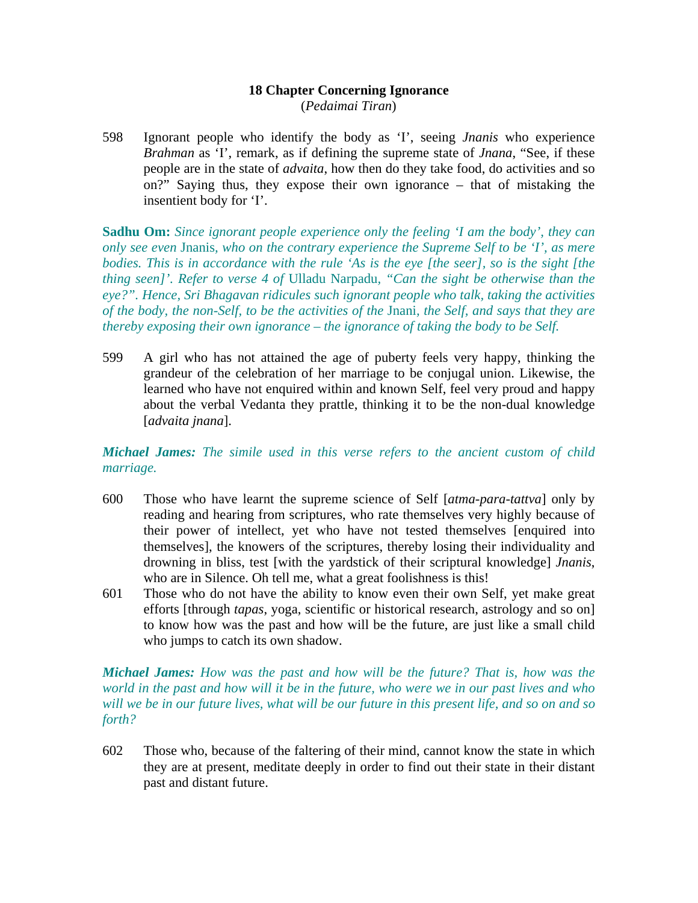## **18 Chapter Concerning Ignorance**  (*Pedaimai Tiran*)

598 Ignorant people who identify the body as 'I', seeing *Jnanis* who experience *Brahman* as 'I', remark, as if defining the supreme state of *Jnana*, "See, if these people are in the state of *advaita*, how then do they take food, do activities and so on?" Saying thus, they expose their own ignorance – that of mistaking the insentient body for 'I'.

**Sadhu Om:** *Since ignorant people experience only the feeling 'I am the body', they can only see even* Jnanis*, who on the contrary experience the Supreme Self to be 'I', as mere bodies. This is in accordance with the rule 'As is the eye [the seer], so is the sight [the thing seen]'. Refer to verse 4 of* Ulladu Narpadu*, "Can the sight be otherwise than the eye?". Hence, Sri Bhagavan ridicules such ignorant people who talk, taking the activities of the body, the non-Self, to be the activities of the* Jnani*, the Self, and says that they are thereby exposing their own ignorance – the ignorance of taking the body to be Self.* 

599 A girl who has not attained the age of puberty feels very happy, thinking the grandeur of the celebration of her marriage to be conjugal union. Likewise, the learned who have not enquired within and known Self, feel very proud and happy about the verbal Vedanta they prattle, thinking it to be the non-dual knowledge [*advaita jnana*].

## *Michael James: The simile used in this verse refers to the ancient custom of child marriage.*

- 600 Those who have learnt the supreme science of Self [*atma-para-tattva*] only by reading and hearing from scriptures, who rate themselves very highly because of their power of intellect, yet who have not tested themselves [enquired into themselves], the knowers of the scriptures, thereby losing their individuality and drowning in bliss, test [with the yardstick of their scriptural knowledge] *Jnanis*, who are in Silence. Oh tell me, what a great foolishness is this!
- 601 Those who do not have the ability to know even their own Self, yet make great efforts [through *tapas*, yoga, scientific or historical research, astrology and so on] to know how was the past and how will be the future, are just like a small child who jumps to catch its own shadow.

## *Michael James: How was the past and how will be the future? That is, how was the world in the past and how will it be in the future, who were we in our past lives and who will we be in our future lives, what will be our future in this present life, and so on and so forth?*

602 Those who, because of the faltering of their mind, cannot know the state in which they are at present, meditate deeply in order to find out their state in their distant past and distant future.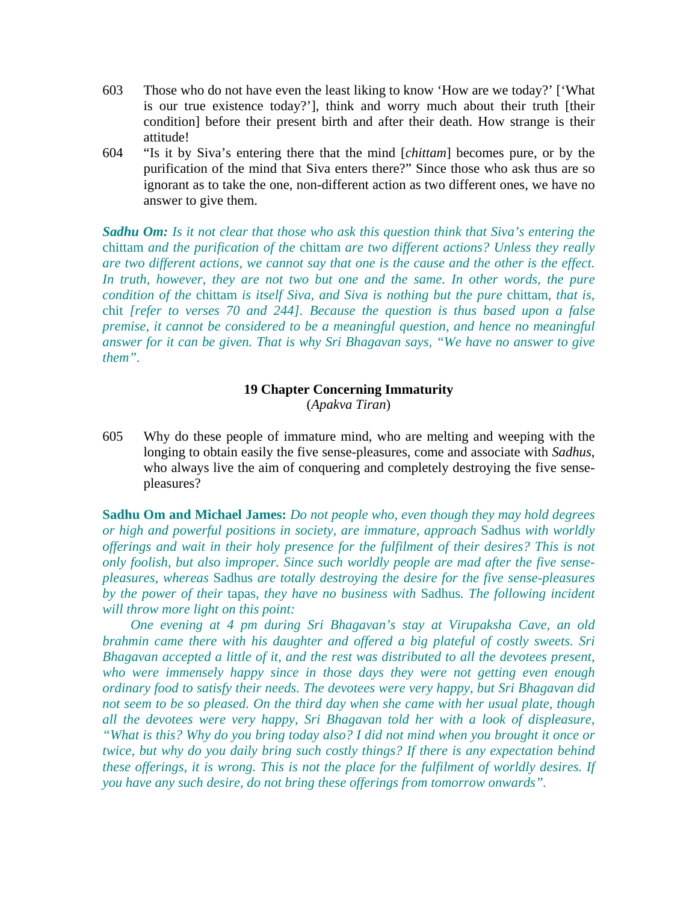- 603 Those who do not have even the least liking to know 'How are we today?' ['What is our true existence today?'], think and worry much about their truth [their condition] before their present birth and after their death. How strange is their attitude!
- 604 "Is it by Siva's entering there that the mind [*chittam*] becomes pure, or by the purification of the mind that Siva enters there?" Since those who ask thus are so ignorant as to take the one, non-different action as two different ones, we have no answer to give them.

*Sadhu Om: Is it not clear that those who ask this question think that Siva's entering the*  chittam *and the purification of the* chittam *are two different actions? Unless they really are two different actions, we cannot say that one is the cause and the other is the effect.*  In truth, however, they are not two but one and the same. In other words, the pure *condition of the* chittam *is itself Siva, and Siva is nothing but the pure* chittam*, that is,*  chit *[refer to verses 70 and 244]. Because the question is thus based upon a false premise, it cannot be considered to be a meaningful question, and hence no meaningful answer for it can be given. That is why Sri Bhagavan says, "We have no answer to give them".* 

#### **19 Chapter Concerning Immaturity**

(*Apakva Tiran*)

605 Why do these people of immature mind, who are melting and weeping with the longing to obtain easily the five sense-pleasures, come and associate with *Sadhus*, who always live the aim of conquering and completely destroying the five sensepleasures?

**Sadhu Om and Michael James:** *Do not people who, even though they may hold degrees or high and powerful positions in society, are immature, approach* Sadhus *with worldly offerings and wait in their holy presence for the fulfilment of their desires? This is not only foolish, but also improper. Since such worldly people are mad after the five sensepleasures, whereas* Sadhus *are totally destroying the desire for the five sense-pleasures by the power of their* tapas*, they have no business with* Sadhus*. The following incident will throw more light on this point:* 

*One evening at 4 pm during Sri Bhagavan's stay at Virupaksha Cave, an old brahmin came there with his daughter and offered a big plateful of costly sweets. Sri Bhagavan accepted a little of it, and the rest was distributed to all the devotees present, who were immensely happy since in those days they were not getting even enough ordinary food to satisfy their needs. The devotees were very happy, but Sri Bhagavan did not seem to be so pleased. On the third day when she came with her usual plate, though all the devotees were very happy, Sri Bhagavan told her with a look of displeasure, "What is this? Why do you bring today also? I did not mind when you brought it once or twice, but why do you daily bring such costly things? If there is any expectation behind these offerings, it is wrong. This is not the place for the fulfilment of worldly desires. If you have any such desire, do not bring these offerings from tomorrow onwards".*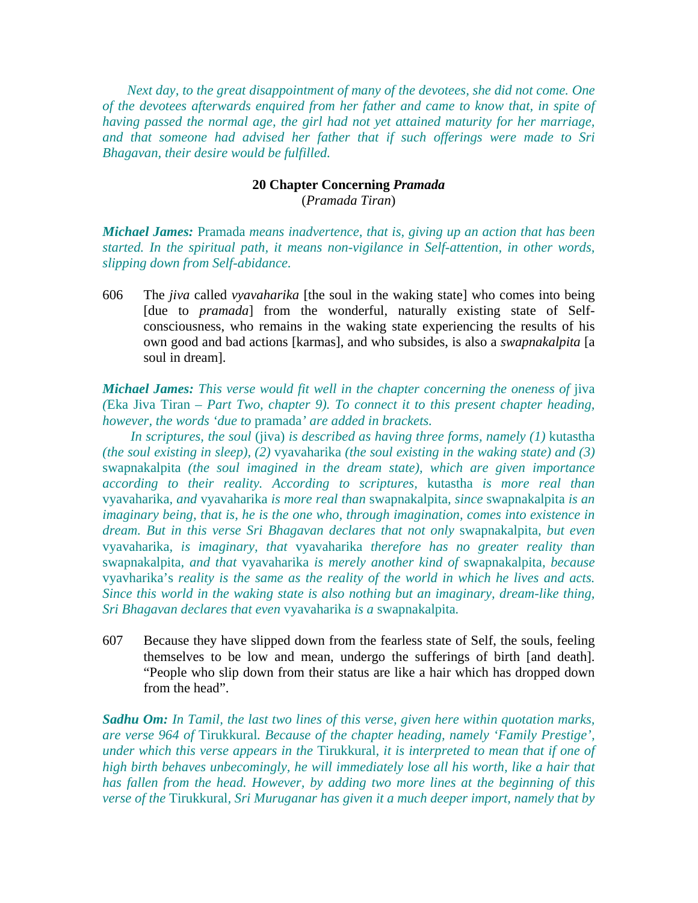*Next day, to the great disappointment of many of the devotees, she did not come. One of the devotees afterwards enquired from her father and came to know that, in spite of having passed the normal age, the girl had not yet attained maturity for her marriage, and that someone had advised her father that if such offerings were made to Sri Bhagavan, their desire would be fulfilled.* 

#### **20 Chapter Concerning** *Pramada* (*Pramada Tiran*)

*Michael James:* Pramada *means inadvertence, that is, giving up an action that has been started. In the spiritual path, it means non-vigilance in Self-attention, in other words, slipping down from Self-abidance.* 

606 The *jiva* called *vyavaharika* [the soul in the waking state] who comes into being [due to *pramada*] from the wonderful, naturally existing state of Selfconsciousness, who remains in the waking state experiencing the results of his own good and bad actions [karmas], and who subsides, is also a *swapnakalpita* [a soul in dream].

*Michael James: This verse would fit well in the chapter concerning the oneness of jiva (*Eka Jiva Tiran *– Part Two, chapter 9). To connect it to this present chapter heading, however, the words 'due to* pramada*' are added in brackets.* 

*In scriptures, the soul* (jiva) *is described as having three forms, namely (1)* kutastha *(the soul existing in sleep), (2)* vyavaharika *(the soul existing in the waking state) and (3)* swapnakalpita *(the soul imagined in the dream state), which are given importance according to their reality. According to scriptures,* kutastha *is more real than*  vyavaharika*, and* vyavaharika *is more real than* swapnakalpita*, since* swapnakalpita *is an imaginary being, that is, he is the one who, through imagination, comes into existence in dream. But in this verse Sri Bhagavan declares that not only* swapnakalpita*, but even*  vyavaharika*, is imaginary, that* vyavaharika *therefore has no greater reality than*  swapnakalpita*, and that* vyavaharika *is merely another kind of* swapnakalpita*, because*  vyavharika's *reality is the same as the reality of the world in which he lives and acts. Since this world in the waking state is also nothing but an imaginary, dream-like thing, Sri Bhagavan declares that even* vyavaharika *is a* swapnakalpita*.* 

607 Because they have slipped down from the fearless state of Self, the souls, feeling themselves to be low and mean, undergo the sufferings of birth [and death]. "People who slip down from their status are like a hair which has dropped down from the head".

*Sadhu Om: In Tamil, the last two lines of this verse, given here within quotation marks, are verse 964 of* Tirukkural*. Because of the chapter heading, namely 'Family Prestige', under which this verse appears in the* Tirukkural*, it is interpreted to mean that if one of high birth behaves unbecomingly, he will immediately lose all his worth, like a hair that has fallen from the head. However, by adding two more lines at the beginning of this verse of the* Tirukkural*, Sri Muruganar has given it a much deeper import, namely that by*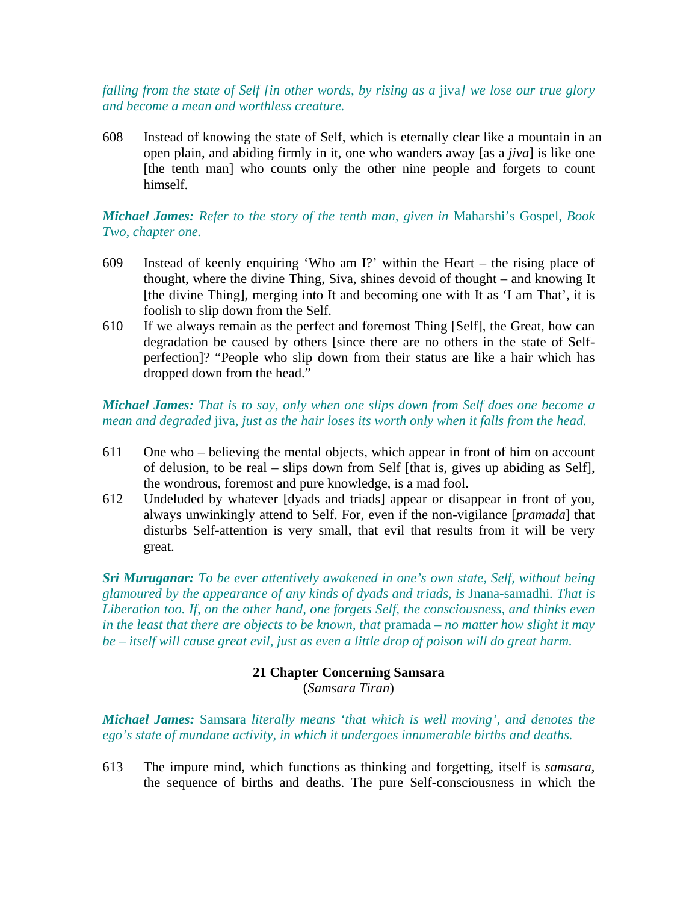#### *falling from the state of Self [in other words, by rising as a* jiva*] we lose our true glory and become a mean and worthless creature.*

608 Instead of knowing the state of Self, which is eternally clear like a mountain in an open plain, and abiding firmly in it, one who wanders away [as a *jiva*] is like one [the tenth man] who counts only the other nine people and forgets to count himself.

### *Michael James: Refer to the story of the tenth man, given in* Maharshi's Gospel*, Book Two, chapter one.*

- 609 Instead of keenly enquiring 'Who am I?' within the Heart the rising place of thought, where the divine Thing, Siva, shines devoid of thought – and knowing It [the divine Thing], merging into It and becoming one with It as 'I am That', it is foolish to slip down from the Self.
- 610 If we always remain as the perfect and foremost Thing [Self], the Great, how can degradation be caused by others [since there are no others in the state of Selfperfection]? "People who slip down from their status are like a hair which has dropped down from the head."

*Michael James: That is to say, only when one slips down from Self does one become a mean and degraded* jiva, *just as the hair loses its worth only when it falls from the head.* 

- 611 One who believing the mental objects, which appear in front of him on account of delusion, to be real – slips down from Self [that is, gives up abiding as Self], the wondrous, foremost and pure knowledge, is a mad fool.
- 612 Undeluded by whatever [dyads and triads] appear or disappear in front of you, always unwinkingly attend to Self. For, even if the non-vigilance [*pramada*] that disturbs Self-attention is very small, that evil that results from it will be very great.

*Sri Muruganar: To be ever attentively awakened in one's own state, Self, without being glamoured by the appearance of any kinds of dyads and triads, is* Jnana-samadhi*. That is Liberation too. If, on the other hand, one forgets Self, the consciousness, and thinks even in the least that there are objects to be known, that pramada – no matter how slight it may be – itself will cause great evil, just as even a little drop of poison will do great harm.* 

## **21 Chapter Concerning Samsara**

(*Samsara Tiran*)

*Michael James:* Samsara *literally means 'that which is well moving', and denotes the ego's state of mundane activity, in which it undergoes innumerable births and deaths.* 

613 The impure mind, which functions as thinking and forgetting, itself is *samsara*, the sequence of births and deaths. The pure Self-consciousness in which the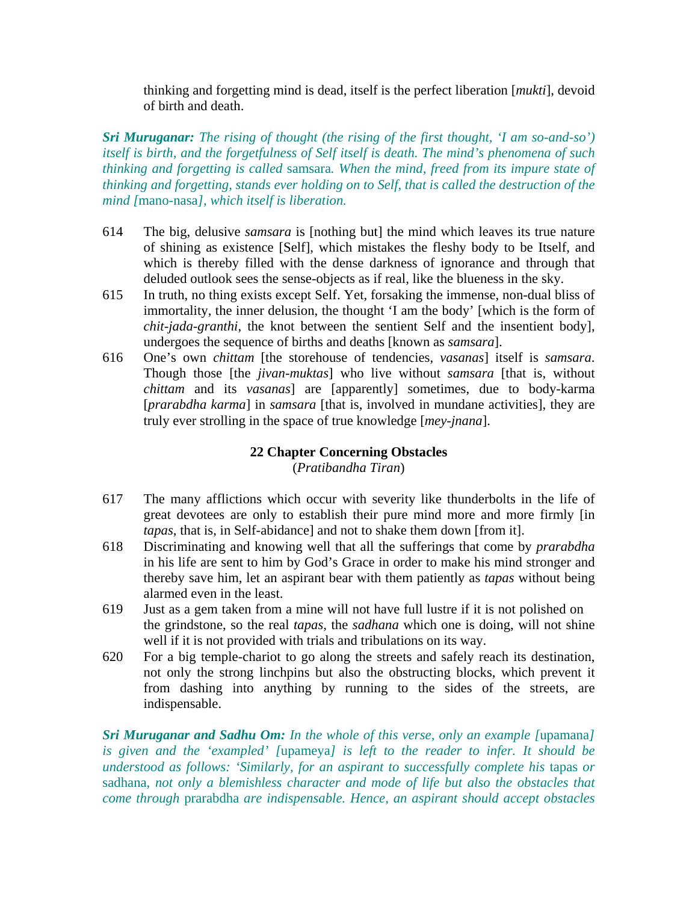thinking and forgetting mind is dead, itself is the perfect liberation [*mukti*], devoid of birth and death.

*Sri Muruganar: The rising of thought (the rising of the first thought, 'I am so-and-so') itself is birth, and the forgetfulness of Self itself is death. The mind's phenomena of such thinking and forgetting is called* samsara*. When the mind, freed from its impure state of thinking and forgetting, stands ever holding on to Self, that is called the destruction of the mind [*mano-nasa*], which itself is liberation.* 

- 614 The big, delusive *samsara* is [nothing but] the mind which leaves its true nature of shining as existence [Self], which mistakes the fleshy body to be Itself, and which is thereby filled with the dense darkness of ignorance and through that deluded outlook sees the sense-objects as if real, like the blueness in the sky.
- 615 In truth, no thing exists except Self. Yet, forsaking the immense, non-dual bliss of immortality, the inner delusion, the thought 'I am the body' [which is the form of *chit-jada-granthi*, the knot between the sentient Self and the insentient body], undergoes the sequence of births and deaths [known as *samsara*].
- 616 One's own *chittam* [the storehouse of tendencies, *vasanas*] itself is *samsara*. Though those [the *jivan-muktas*] who live without *samsara* [that is, without *chittam* and its *vasanas*] are [apparently] sometimes, due to body-karma [*prarabdha karma*] in *samsara* [that is, involved in mundane activities], they are truly ever strolling in the space of true knowledge [*mey-jnana*].

## **22 Chapter Concerning Obstacles**

(*Pratibandha Tiran*)

- 617 The many afflictions which occur with severity like thunderbolts in the life of great devotees are only to establish their pure mind more and more firmly [in *tapas*, that is, in Self-abidance] and not to shake them down [from it].
- 618 Discriminating and knowing well that all the sufferings that come by *prarabdha* in his life are sent to him by God's Grace in order to make his mind stronger and thereby save him, let an aspirant bear with them patiently as *tapas* without being alarmed even in the least.
- 619 Just as a gem taken from a mine will not have full lustre if it is not polished on the grindstone, so the real *tapas*, the *sadhana* which one is doing, will not shine well if it is not provided with trials and tribulations on its way.
- 620 For a big temple-chariot to go along the streets and safely reach its destination, not only the strong linchpins but also the obstructing blocks, which prevent it from dashing into anything by running to the sides of the streets, are indispensable.

*Sri Muruganar and Sadhu Om: In the whole of this verse, only an example [*upamana*] is given and the 'exampled' [*upameya*] is left to the reader to infer. It should be understood as follows: 'Similarly, for an aspirant to successfully complete his tapas or* sadhana*, not only a blemishless character and mode of life but also the obstacles that come through* prarabdha *are indispensable. Hence, an aspirant should accept obstacles*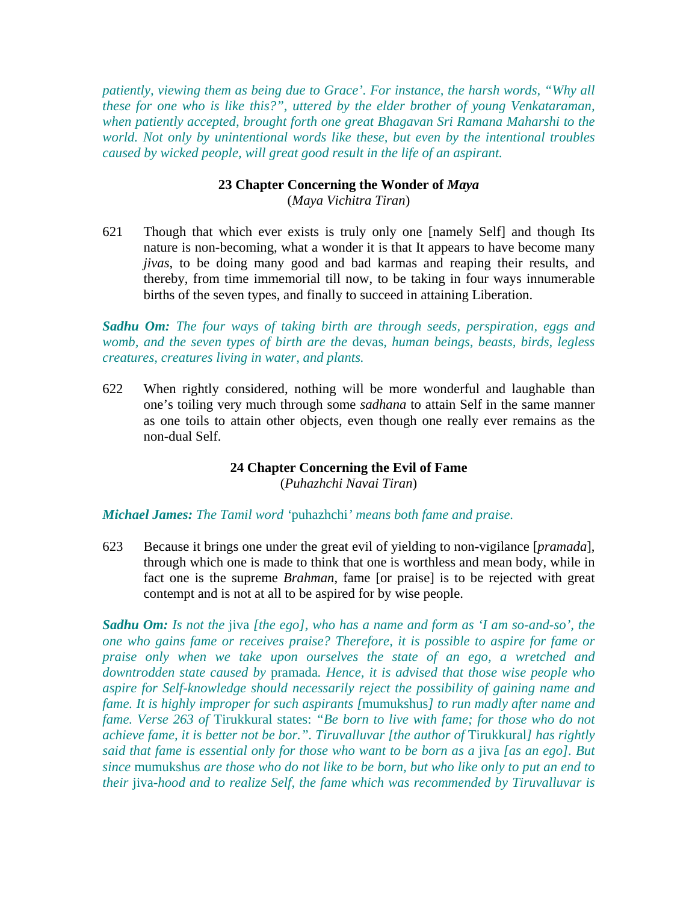*patiently, viewing them as being due to Grace'. For instance, the harsh words, "Why all these for one who is like this?", uttered by the elder brother of young Venkataraman, when patiently accepted, brought forth one great Bhagavan Sri Ramana Maharshi to the world. Not only by unintentional words like these, but even by the intentional troubles caused by wicked people, will great good result in the life of an aspirant.* 

## **23 Chapter Concerning the Wonder of** *Maya* (*Maya Vichitra Tiran*)

621 Though that which ever exists is truly only one [namely Self] and though Its nature is non-becoming, what a wonder it is that It appears to have become many *jivas*, to be doing many good and bad karmas and reaping their results, and thereby, from time immemorial till now, to be taking in four ways innumerable births of the seven types, and finally to succeed in attaining Liberation.

*Sadhu Om: The four ways of taking birth are through seeds, perspiration, eggs and womb, and the seven types of birth are the* devas*, human beings, beasts, birds, legless creatures, creatures living in water, and plants.* 

622 When rightly considered, nothing will be more wonderful and laughable than one's toiling very much through some *sadhana* to attain Self in the same manner as one toils to attain other objects, even though one really ever remains as the non-dual Self.

## **24 Chapter Concerning the Evil of Fame**

(*Puhazhchi Navai Tiran*)

#### *Michael James: The Tamil word '*puhazhchi*' means both fame and praise.*

623 Because it brings one under the great evil of yielding to non-vigilance [*pramada*], through which one is made to think that one is worthless and mean body, while in fact one is the supreme *Brahman*, fame [or praise] is to be rejected with great contempt and is not at all to be aspired for by wise people.

*Sadhu Om: Is not the* jiva *[the ego], who has a name and form as 'I am so-and-so', the one who gains fame or receives praise? Therefore, it is possible to aspire for fame or praise only when we take upon ourselves the state of an ego, a wretched and downtrodden state caused by* pramada*. Hence, it is advised that those wise people who aspire for Self-knowledge should necessarily reject the possibility of gaining name and fame. It is highly improper for such aspirants [*mumukshus*] to run madly after name and fame. Verse 263 of* Tirukkural states: *"Be born to live with fame; for those who do not achieve fame, it is better not be bor.". Tiruvalluvar [the author of Tirukkural] has rightly said that fame is essential only for those who want to be born as a* jiva *[as an ego]. But since* mumukshus *are those who do not like to be born, but who like only to put an end to their* jiva*-hood and to realize Self, the fame which was recommended by Tiruvalluvar is*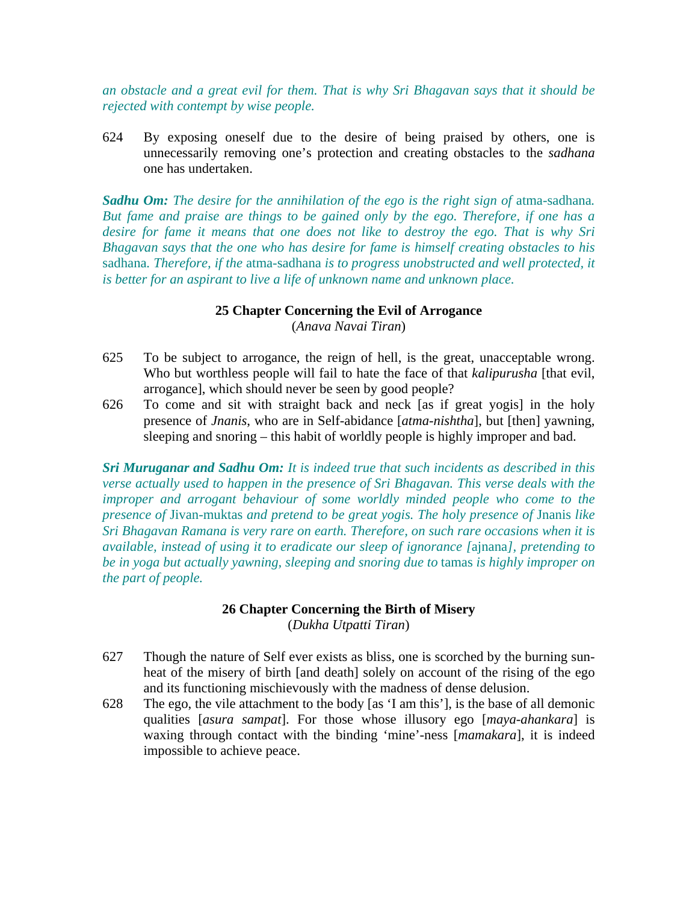*an obstacle and a great evil for them. That is why Sri Bhagavan says that it should be rejected with contempt by wise people.* 

624 By exposing oneself due to the desire of being praised by others, one is unnecessarily removing one's protection and creating obstacles to the *sadhana* one has undertaken.

**Sadhu Om:** The desire for the annihilation of the ego is the right sign of atma-sadhana. *But fame and praise are things to be gained only by the ego. Therefore, if one has a desire for fame it means that one does not like to destroy the ego. That is why Sri Bhagavan says that the one who has desire for fame is himself creating obstacles to his*  sadhana*. Therefore, if the* atma-sadhana *is to progress unobstructed and well protected, it is better for an aspirant to live a life of unknown name and unknown place.* 

# **25 Chapter Concerning the Evil of Arrogance**

(*Anava Navai Tiran*)

- 625 To be subject to arrogance, the reign of hell, is the great, unacceptable wrong. Who but worthless people will fail to hate the face of that *kalipurusha* [that evil, arrogance], which should never be seen by good people?
- 626 To come and sit with straight back and neck [as if great yogis] in the holy presence of *Jnanis*, who are in Self-abidance [*atma-nishtha*], but [then] yawning, sleeping and snoring – this habit of worldly people is highly improper and bad.

*Sri Muruganar and Sadhu Om: It is indeed true that such incidents as described in this verse actually used to happen in the presence of Sri Bhagavan. This verse deals with the improper and arrogant behaviour of some worldly minded people who come to the presence of* Jivan-muktas *and pretend to be great yogis. The holy presence of* Jnanis *like Sri Bhagavan Ramana is very rare on earth. Therefore, on such rare occasions when it is available, instead of using it to eradicate our sleep of ignorance [*ajnana*], pretending to be in yoga but actually yawning, sleeping and snoring due to* tamas *is highly improper on the part of people.* 

## **26 Chapter Concerning the Birth of Misery**  (*Dukha Utpatti Tiran*)

- 627 Though the nature of Self ever exists as bliss, one is scorched by the burning sunheat of the misery of birth [and death] solely on account of the rising of the ego and its functioning mischievously with the madness of dense delusion.
- 628 The ego, the vile attachment to the body [as 'I am this'], is the base of all demonic qualities [*asura sampat*]. For those whose illusory ego [*maya-ahankara*] is waxing through contact with the binding 'mine'-ness [*mamakara*], it is indeed impossible to achieve peace.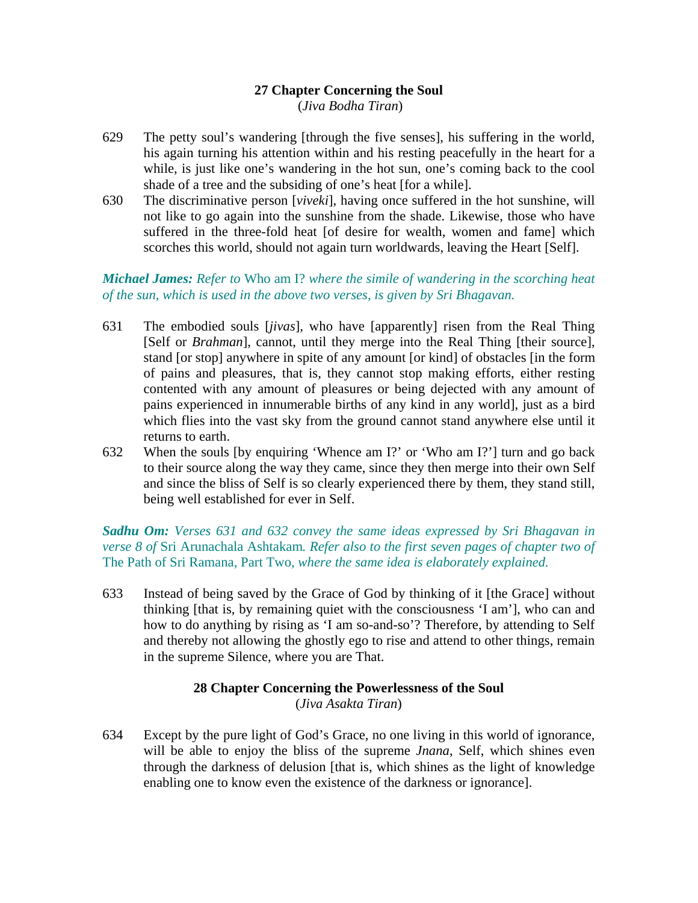## **27 Chapter Concerning the Soul**  (*Jiva Bodha Tiran*)

- 629 The petty soul's wandering [through the five senses], his suffering in the world, his again turning his attention within and his resting peacefully in the heart for a while, is just like one's wandering in the hot sun, one's coming back to the cool shade of a tree and the subsiding of one's heat [for a while].
- 630 The discriminative person [*viveki*], having once suffered in the hot sunshine, will not like to go again into the sunshine from the shade. Likewise, those who have suffered in the three-fold heat [of desire for wealth, women and fame] which scorches this world, should not again turn worldwards, leaving the Heart [Self].

## *Michael James: Refer to* Who am I? *where the simile of wandering in the scorching heat of the sun, which is used in the above two verses, is given by Sri Bhagavan.*

- 631 The embodied souls [*jivas*]*,* who have [apparently] risen from the Real Thing [Self or *Brahman*], cannot, until they merge into the Real Thing [their source], stand [or stop] anywhere in spite of any amount [or kind] of obstacles [in the form of pains and pleasures, that is, they cannot stop making efforts, either resting contented with any amount of pleasures or being dejected with any amount of pains experienced in innumerable births of any kind in any world], just as a bird which flies into the vast sky from the ground cannot stand anywhere else until it returns to earth.
- 632 When the souls [by enquiring 'Whence am I?' or 'Who am I?'] turn and go back to their source along the way they came, since they then merge into their own Self and since the bliss of Self is so clearly experienced there by them, they stand still, being well established for ever in Self.

*Sadhu Om: Verses 631 and 632 convey the same ideas expressed by Sri Bhagavan in verse 8 of* Sri Arunachala Ashtakam*. Refer also to the first seven pages of chapter two of*  The Path of Sri Ramana, Part Two*, where the same idea is elaborately explained.* 

633 Instead of being saved by the Grace of God by thinking of it [the Grace] without thinking [that is, by remaining quiet with the consciousness 'I am'], who can and how to do anything by rising as 'I am so-and-so'? Therefore, by attending to Self and thereby not allowing the ghostly ego to rise and attend to other things, remain in the supreme Silence, where you are That.

## **28 Chapter Concerning the Powerlessness of the Soul**  (*Jiva Asakta Tiran*)

634 Except by the pure light of God's Grace, no one living in this world of ignorance, will be able to enjoy the bliss of the supreme *Jnana*, Self, which shines even through the darkness of delusion [that is, which shines as the light of knowledge enabling one to know even the existence of the darkness or ignorance].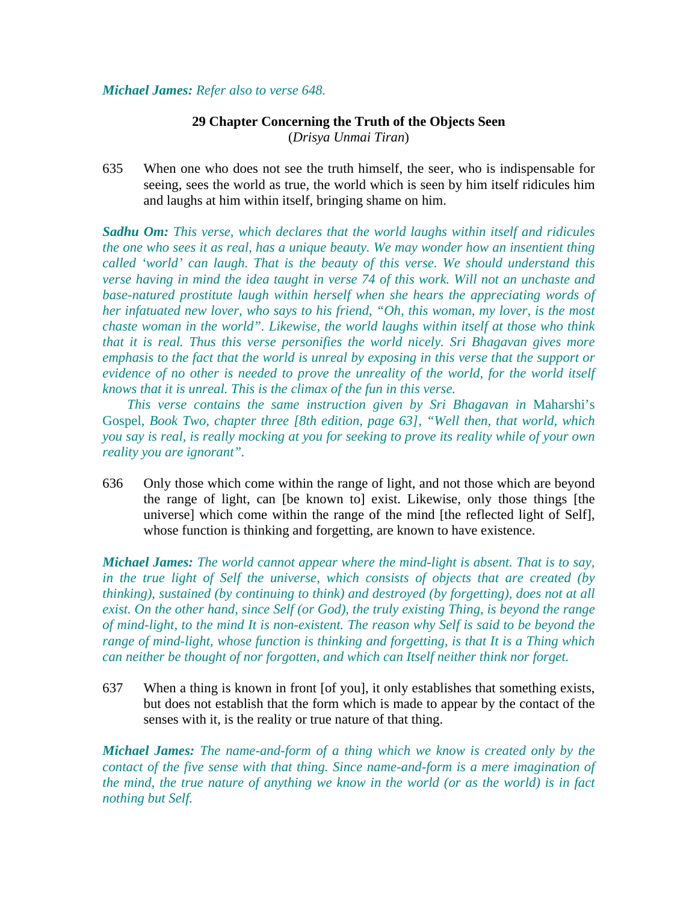#### *Michael James: Refer also to verse 648.*

# **29 Chapter Concerning the Truth of the Objects Seen**

(*Drisya Unmai Tiran*)

635 When one who does not see the truth himself, the seer, who is indispensable for seeing, sees the world as true, the world which is seen by him itself ridicules him and laughs at him within itself, bringing shame on him.

*Sadhu Om: This verse, which declares that the world laughs within itself and ridicules the one who sees it as real, has a unique beauty. We may wonder how an insentient thing called 'world' can laugh. That is the beauty of this verse. We should understand this verse having in mind the idea taught in verse 74 of this work. Will not an unchaste and*  base-natured prostitute laugh within herself when she hears the appreciating words of *her infatuated new lover, who says to his friend, "Oh, this woman, my lover, is the most chaste woman in the world". Likewise, the world laughs within itself at those who think that it is real. Thus this verse personifies the world nicely. Sri Bhagavan gives more emphasis to the fact that the world is unreal by exposing in this verse that the support or evidence of no other is needed to prove the unreality of the world, for the world itself knows that it is unreal. This is the climax of the fun in this verse.* 

*This verse contains the same instruction given by Sri Bhagavan in* Maharshi's Gospel*, Book Two, chapter three [8th edition, page 63], "Well then, that world, which you say is real, is really mocking at you for seeking to prove its reality while of your own reality you are ignorant".* 

636 Only those which come within the range of light, and not those which are beyond the range of light, can [be known to] exist. Likewise, only those things [the universe] which come within the range of the mind [the reflected light of Self], whose function is thinking and forgetting, are known to have existence.

*Michael James: The world cannot appear where the mind-light is absent. That is to say, in the true light of Self the universe, which consists of objects that are created (by thinking), sustained (by continuing to think) and destroyed (by forgetting), does not at all exist. On the other hand, since Self (or God), the truly existing Thing, is beyond the range of mind-light, to the mind It is non-existent. The reason why Self is said to be beyond the range of mind-light, whose function is thinking and forgetting, is that It is a Thing which can neither be thought of nor forgotten, and which can Itself neither think nor forget.* 

637 When a thing is known in front [of you], it only establishes that something exists, but does not establish that the form which is made to appear by the contact of the senses with it, is the reality or true nature of that thing.

*Michael James: The name-and-form of a thing which we know is created only by the contact of the five sense with that thing. Since name-and-form is a mere imagination of the mind, the true nature of anything we know in the world (or as the world) is in fact nothing but Self.*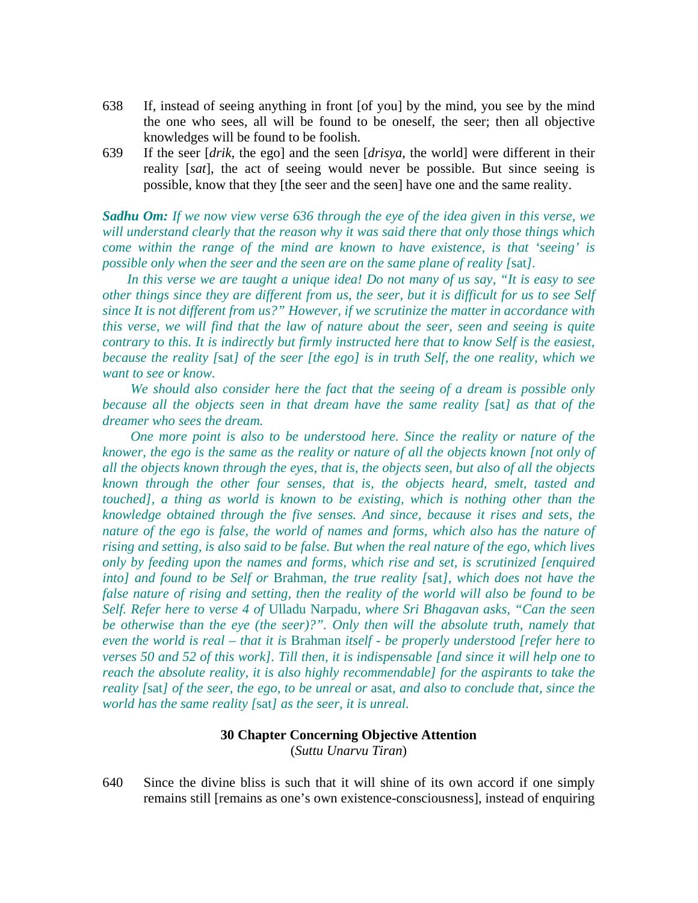- 638 If, instead of seeing anything in front [of you] by the mind, you see by the mind the one who sees, all will be found to be oneself, the seer; then all objective knowledges will be found to be foolish.
- 639 If the seer [*drik*, the ego] and the seen [*drisya*, the world] were different in their reality [*sat*], the act of seeing would never be possible. But since seeing is possible, know that they [the seer and the seen] have one and the same reality.

*Sadhu Om: If we now view verse 636 through the eye of the idea given in this verse, we will understand clearly that the reason why it was said there that only those things which come within the range of the mind are known to have existence, is that 'seeing' is possible only when the seer and the seen are on the same plane of reality [*sat*].*

*In this verse we are taught a unique idea! Do not many of us say, "It is easy to see other things since they are different from us, the seer, but it is difficult for us to see Self since It is not different from us?" However, if we scrutinize the matter in accordance with this verse, we will find that the law of nature about the seer, seen and seeing is quite contrary to this. It is indirectly but firmly instructed here that to know Self is the easiest, because the reality [*sat*] of the seer [the ego] is in truth Self, the one reality, which we want to see or know.* 

*We should also consider here the fact that the seeing of a dream is possible only because all the objects seen in that dream have the same reality [*sat*] as that of the dreamer who sees the dream.* 

*One more point is also to be understood here. Since the reality or nature of the knower, the ego is the same as the reality or nature of all the objects known [not only of all the objects known through the eyes, that is, the objects seen, but also of all the objects known through the other four senses, that is, the objects heard, smelt, tasted and touched], a thing as world is known to be existing, which is nothing other than the knowledge obtained through the five senses. And since, because it rises and sets, the nature of the ego is false, the world of names and forms, which also has the nature of rising and setting, is also said to be false. But when the real nature of the ego, which lives only by feeding upon the names and forms, which rise and set, is scrutinized [enquired into] and found to be Self or* Brahman*, the true reality [*sat*], which does not have the false nature of rising and setting, then the reality of the world will also be found to be Self. Refer here to verse 4 of* Ulladu Narpadu*, where Sri Bhagavan asks, "Can the seen be otherwise than the eye (the seer)?". Only then will the absolute truth, namely that even the world is real – that it is* Brahman *itself - be properly understood [refer here to verses 50 and 52 of this work]. Till then, it is indispensable [and since it will help one to reach the absolute reality, it is also highly recommendable] for the aspirants to take the reality [*sat*] of the seer, the ego, to be unreal or* asat*, and also to conclude that, since the world has the same reality [*sat*] as the seer, it is unreal.* 

#### **30 Chapter Concerning Objective Attention**  (*Suttu Unarvu Tiran*)

640 Since the divine bliss is such that it will shine of its own accord if one simply remains still [remains as one's own existence-consciousness], instead of enquiring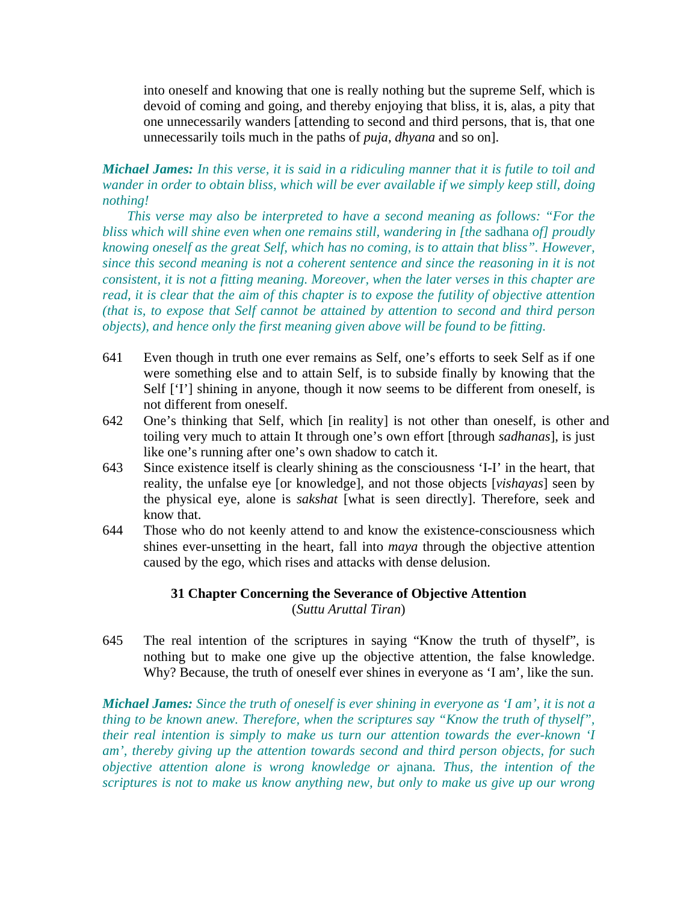into oneself and knowing that one is really nothing but the supreme Self, which is devoid of coming and going, and thereby enjoying that bliss, it is, alas, a pity that one unnecessarily wanders [attending to second and third persons, that is, that one unnecessarily toils much in the paths of *puja*, *dhyana* and so on].

*Michael James: In this verse, it is said in a ridiculing manner that it is futile to toil and wander in order to obtain bliss, which will be ever available if we simply keep still, doing nothing!* 

*This verse may also be interpreted to have a second meaning as follows: "For the bliss which will shine even when one remains still, wandering in [the* sadhana *of] proudly knowing oneself as the great Self, which has no coming, is to attain that bliss". However, since this second meaning is not a coherent sentence and since the reasoning in it is not consistent, it is not a fitting meaning. Moreover, when the later verses in this chapter are read, it is clear that the aim of this chapter is to expose the futility of objective attention (that is, to expose that Self cannot be attained by attention to second and third person objects), and hence only the first meaning given above will be found to be fitting.* 

- 641 Even though in truth one ever remains as Self, one's efforts to seek Self as if one were something else and to attain Self, is to subside finally by knowing that the Self ['I'] shining in anyone, though it now seems to be different from oneself, is not different from oneself.
- 642 One's thinking that Self, which [in reality] is not other than oneself, is other and toiling very much to attain It through one's own effort [through *sadhanas*], is just like one's running after one's own shadow to catch it.
- 643 Since existence itself is clearly shining as the consciousness 'I-I' in the heart, that reality, the unfalse eye [or knowledge], and not those objects [*vishayas*] seen by the physical eye, alone is *sakshat* [what is seen directly]. Therefore, seek and know that.
- 644 Those who do not keenly attend to and know the existence-consciousness which shines ever-unsetting in the heart, fall into *maya* through the objective attention caused by the ego, which rises and attacks with dense delusion.

#### **31 Chapter Concerning the Severance of Objective Attention**  (*Suttu Aruttal Tiran*)

645 The real intention of the scriptures in saying "Know the truth of thyself", is nothing but to make one give up the objective attention, the false knowledge. Why? Because, the truth of oneself ever shines in everyone as 'I am', like the sun.

*Michael James: Since the truth of oneself is ever shining in everyone as 'I am', it is not a thing to be known anew. Therefore, when the scriptures say "Know the truth of thyself", their real intention is simply to make us turn our attention towards the ever-known 'I am', thereby giving up the attention towards second and third person objects, for such objective attention alone is wrong knowledge or* ajnana*. Thus, the intention of the scriptures is not to make us know anything new, but only to make us give up our wrong*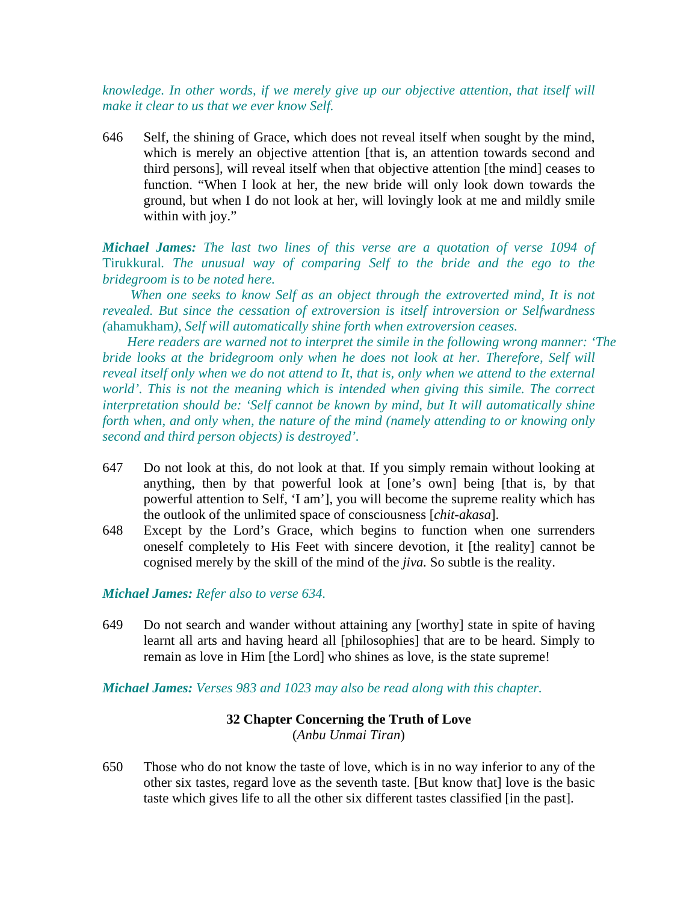*knowledge. In other words, if we merely give up our objective attention, that itself will make it clear to us that we ever know Self.* 

646 Self, the shining of Grace, which does not reveal itself when sought by the mind, which is merely an objective attention [that is, an attention towards second and third persons], will reveal itself when that objective attention [the mind] ceases to function. "When I look at her, the new bride will only look down towards the ground, but when I do not look at her, will lovingly look at me and mildly smile within with joy."

*Michael James: The last two lines of this verse are a quotation of verse 1094 of*  Tirukkural*. The unusual way of comparing Self to the bride and the ego to the bridegroom is to be noted here.* 

*When one seeks to know Self as an object through the extroverted mind, It is not revealed. But since the cessation of extroversion is itself introversion or Selfwardness (*ahamukham*), Self will automatically shine forth when extroversion ceases.* 

*Here readers are warned not to interpret the simile in the following wrong manner: 'The bride looks at the bridegroom only when he does not look at her. Therefore, Self will reveal itself only when we do not attend to It, that is, only when we attend to the external world'. This is not the meaning which is intended when giving this simile. The correct interpretation should be: 'Self cannot be known by mind, but It will automatically shine forth when, and only when, the nature of the mind (namely attending to or knowing only second and third person objects) is destroyed'.* 

- 647 Do not look at this, do not look at that. If you simply remain without looking at anything, then by that powerful look at [one's own] being [that is, by that powerful attention to Self, 'I am'], you will become the supreme reality which has the outlook of the unlimited space of consciousness [*chit-akasa*].
- 648 Except by the Lord's Grace, which begins to function when one surrenders oneself completely to His Feet with sincere devotion, it [the reality] cannot be cognised merely by the skill of the mind of the *jiva.* So subtle is the reality.

#### *Michael James: Refer also to verse 634.*

649 Do not search and wander without attaining any [worthy] state in spite of having learnt all arts and having heard all [philosophies] that are to be heard. Simply to remain as love in Him [the Lord] who shines as love, is the state supreme!

#### *Michael James: Verses 983 and 1023 may also be read along with this chapter.*

## **32 Chapter Concerning the Truth of Love**

(*Anbu Unmai Tiran*)

650 Those who do not know the taste of love, which is in no way inferior to any of the other six tastes, regard love as the seventh taste. [But know that] love is the basic taste which gives life to all the other six different tastes classified [in the past].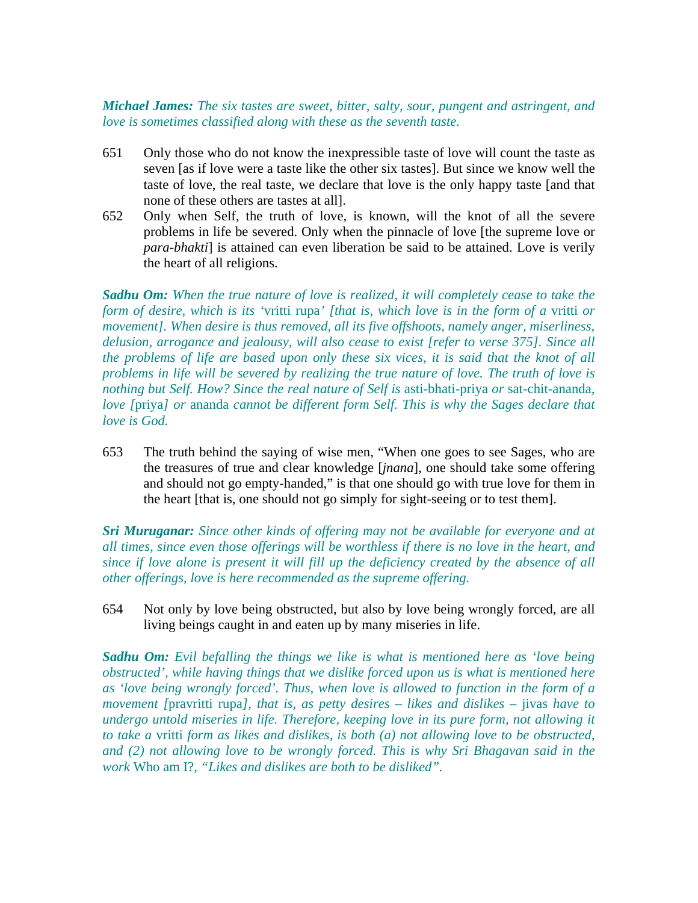## *Michael James: The six tastes are sweet, bitter, salty, sour, pungent and astringent, and love is sometimes classified along with these as the seventh taste.*

- 651 Only those who do not know the inexpressible taste of love will count the taste as seven [as if love were a taste like the other six tastes]. But since we know well the taste of love, the real taste, we declare that love is the only happy taste [and that none of these others are tastes at all].
- 652 Only when Self, the truth of love, is known, will the knot of all the severe problems in life be severed. Only when the pinnacle of love [the supreme love or *para-bhakti*] is attained can even liberation be said to be attained. Love is verily the heart of all religions.

*Sadhu Om: When the true nature of love is realized, it will completely cease to take the form of desire, which is its '*vritti rupa*' [that is, which love is in the form of a* vritti *or movement]. When desire is thus removed, all its five offshoots, namely anger, miserliness, delusion, arrogance and jealousy, will also cease to exist [refer to verse 375]. Since all the problems of life are based upon only these six vices, it is said that the knot of all problems in life will be severed by realizing the true nature of love. The truth of love is nothing but Self. How? Since the real nature of Self is* asti-bhati-priya *or* sat-chit-ananda*, love [*priya*] or* ananda *cannot be different form Self. This is why the Sages declare that love is God.* 

653 The truth behind the saying of wise men, "When one goes to see Sages, who are the treasures of true and clear knowledge [*jnana*], one should take some offering and should not go empty-handed," is that one should go with true love for them in the heart [that is, one should not go simply for sight-seeing or to test them].

*Sri Muruganar: Since other kinds of offering may not be available for everyone and at all times, since even those offerings will be worthless if there is no love in the heart, and since if love alone is present it will fill up the deficiency created by the absence of all other offerings, love is here recommended as the supreme offering.* 

654 Not only by love being obstructed, but also by love being wrongly forced, are all living beings caught in and eaten up by many miseries in life.

*Sadhu Om: Evil befalling the things we like is what is mentioned here as 'love being obstructed', while having things that we dislike forced upon us is what is mentioned here as 'love being wrongly forced'. Thus, when love is allowed to function in the form of a movement [*pravritti rupa*], that is, as petty desires – likes and dislikes –* jivas *have to undergo untold miseries in life. Therefore, keeping love in its pure form, not allowing it to take a* vritti *form as likes and dislikes, is both (a) not allowing love to be obstructed, and (2) not allowing love to be wrongly forced. This is why Sri Bhagavan said in the work* Who am I?, *"Likes and dislikes are both to be disliked".*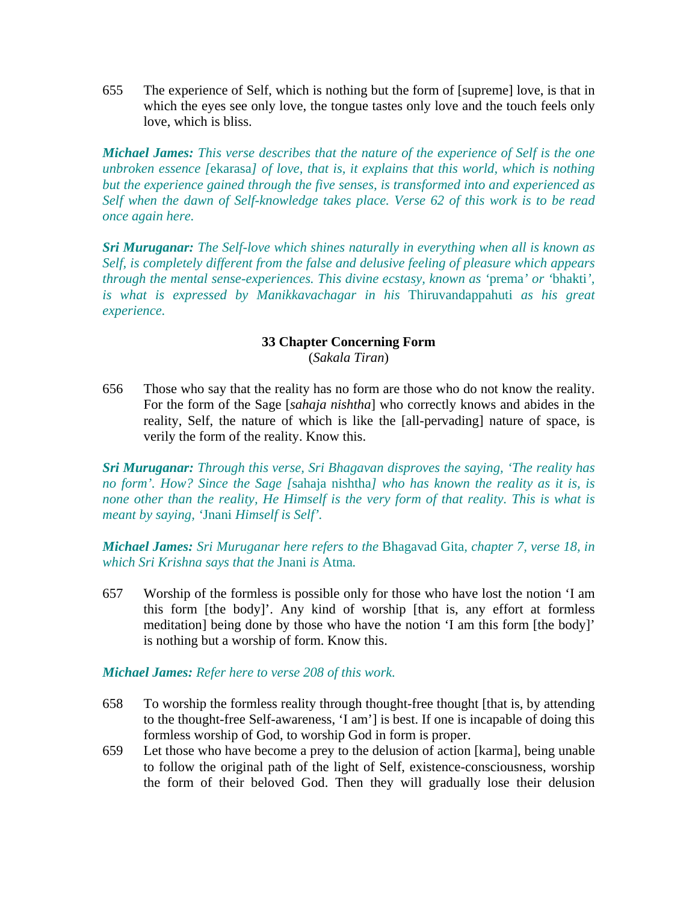655 The experience of Self, which is nothing but the form of [supreme] love, is that in which the eyes see only love, the tongue tastes only love and the touch feels only love, which is bliss.

*Michael James: This verse describes that the nature of the experience of Self is the one unbroken essence [*ekarasa*] of love, that is, it explains that this world, which is nothing but the experience gained through the five senses, is transformed into and experienced as Self when the dawn of Self-knowledge takes place. Verse 62 of this work is to be read once again here.* 

*Sri Muruganar: The Self-love which shines naturally in everything when all is known as Self, is completely different from the false and delusive feeling of pleasure which appears through the mental sense-experiences. This divine ecstasy, known as '*prema*' or '*bhakti*', is what is expressed by Manikkavachagar in his* Thiruvandappahuti *as his great experience.* 

#### **33 Chapter Concerning Form**  (*Sakala Tiran*)

656 Those who say that the reality has no form are those who do not know the reality. For the form of the Sage [*sahaja nishtha*] who correctly knows and abides in the reality, Self, the nature of which is like the [all-pervading] nature of space, is verily the form of the reality. Know this.

*Sri Muruganar: Through this verse, Sri Bhagavan disproves the saying, 'The reality has no form'. How? Since the Sage [*sahaja nishtha*] who has known the reality as it is, is none other than the reality, He Himself is the very form of that reality. This is what is meant by saying, '*Jnani *Himself is Self'.* 

*Michael James: Sri Muruganar here refers to the* Bhagavad Gita*, chapter 7, verse 18, in which Sri Krishna says that the* Jnani *is* Atma*.* 

657 Worship of the formless is possible only for those who have lost the notion 'I am this form [the body]'. Any kind of worship [that is, any effort at formless meditation] being done by those who have the notion 'I am this form [the body]' is nothing but a worship of form. Know this.

## *Michael James: Refer here to verse 208 of this work.*

- 658 To worship the formless reality through thought-free thought [that is, by attending to the thought-free Self-awareness, 'I am'] is best. If one is incapable of doing this formless worship of God, to worship God in form is proper.
- 659 Let those who have become a prey to the delusion of action [karma], being unable to follow the original path of the light of Self, existence-consciousness, worship the form of their beloved God. Then they will gradually lose their delusion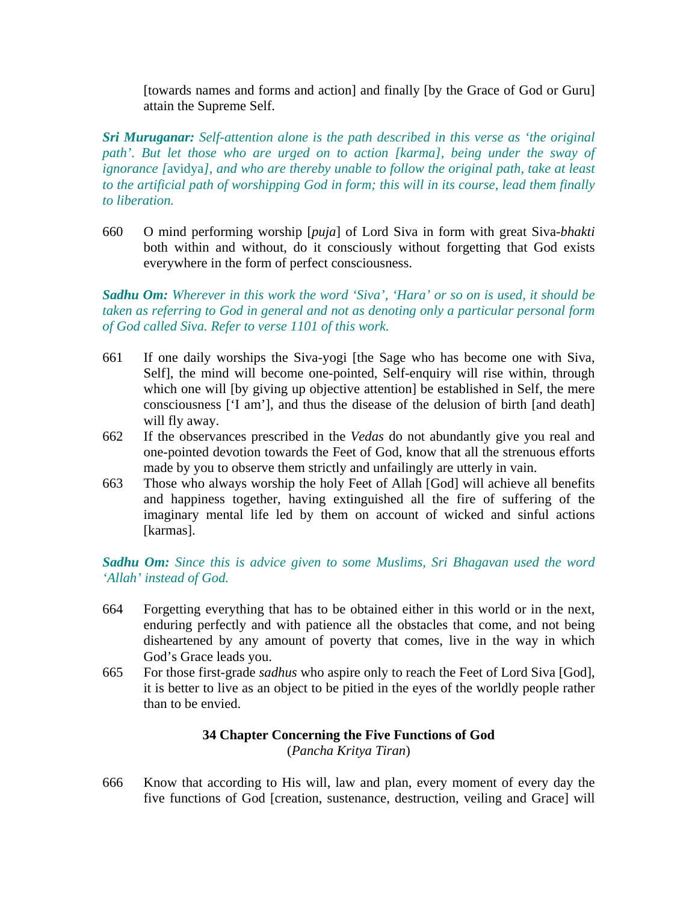[towards names and forms and action] and finally [by the Grace of God or Guru] attain the Supreme Self.

*Sri Muruganar: Self-attention alone is the path described in this verse as 'the original*  path'. But let those who are urged on to action [karma], being under the sway of *ignorance [*avidya*], and who are thereby unable to follow the original path, take at least to the artificial path of worshipping God in form; this will in its course, lead them finally to liberation.* 

660 O mind performing worship [*puja*] of Lord Siva in form with great Siva-*bhakti* both within and without, do it consciously without forgetting that God exists everywhere in the form of perfect consciousness.

## *Sadhu Om: Wherever in this work the word 'Siva', 'Hara' or so on is used, it should be taken as referring to God in general and not as denoting only a particular personal form of God called Siva. Refer to verse 1101 of this work.*

- 661 If one daily worships the Siva-yogi [the Sage who has become one with Siva, Self], the mind will become one-pointed, Self-enquiry will rise within, through which one will [by giving up objective attention] be established in Self, the mere consciousness ['I am'], and thus the disease of the delusion of birth [and death] will fly away.
- 662 If the observances prescribed in the *Vedas* do not abundantly give you real and one-pointed devotion towards the Feet of God, know that all the strenuous efforts made by you to observe them strictly and unfailingly are utterly in vain.
- 663 Those who always worship the holy Feet of Allah [God] will achieve all benefits and happiness together, having extinguished all the fire of suffering of the imaginary mental life led by them on account of wicked and sinful actions [karmas].

## *Sadhu Om: Since this is advice given to some Muslims, Sri Bhagavan used the word 'Allah' instead of God.*

- 664 Forgetting everything that has to be obtained either in this world or in the next, enduring perfectly and with patience all the obstacles that come, and not being disheartened by any amount of poverty that comes, live in the way in which God's Grace leads you.
- 665 For those first-grade *sadhus* who aspire only to reach the Feet of Lord Siva [God], it is better to live as an object to be pitied in the eyes of the worldly people rather than to be envied.

## **34 Chapter Concerning the Five Functions of God**  (*Pancha Kritya Tiran*)

666 Know that according to His will, law and plan, every moment of every day the five functions of God [creation, sustenance, destruction, veiling and Grace] will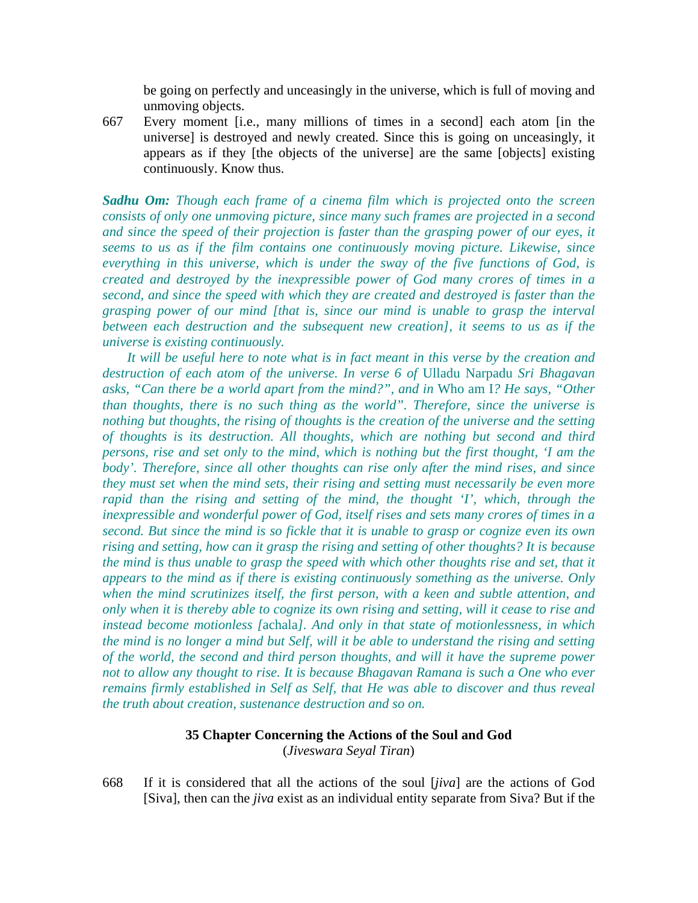be going on perfectly and unceasingly in the universe, which is full of moving and unmoving objects.

667 Every moment [i.e., many millions of times in a second] each atom [in the universe] is destroyed and newly created. Since this is going on unceasingly, it appears as if they [the objects of the universe] are the same [objects] existing continuously. Know thus.

*Sadhu Om: Though each frame of a cinema film which is projected onto the screen consists of only one unmoving picture, since many such frames are projected in a second and since the speed of their projection is faster than the grasping power of our eyes, it seems to us as if the film contains one continuously moving picture. Likewise, since everything in this universe, which is under the sway of the five functions of God, is created and destroyed by the inexpressible power of God many crores of times in a second, and since the speed with which they are created and destroyed is faster than the grasping power of our mind [that is, since our mind is unable to grasp the interval between each destruction and the subsequent new creation], it seems to us as if the universe is existing continuously.* 

*It will be useful here to note what is in fact meant in this verse by the creation and destruction of each atom of the universe. In verse 6 of* Ulladu Narpadu *Sri Bhagavan asks, "Can there be a world apart from the mind?", and in* Who am I*? He says, "Other than thoughts, there is no such thing as the world". Therefore, since the universe is nothing but thoughts, the rising of thoughts is the creation of the universe and the setting of thoughts is its destruction. All thoughts, which are nothing but second and third persons, rise and set only to the mind, which is nothing but the first thought, 'I am the body'. Therefore, since all other thoughts can rise only after the mind rises, and since they must set when the mind sets, their rising and setting must necessarily be even more rapid than the rising and setting of the mind, the thought 'I', which, through the inexpressible and wonderful power of God, itself rises and sets many crores of times in a second. But since the mind is so fickle that it is unable to grasp or cognize even its own rising and setting, how can it grasp the rising and setting of other thoughts? It is because the mind is thus unable to grasp the speed with which other thoughts rise and set, that it appears to the mind as if there is existing continuously something as the universe. Only when the mind scrutinizes itself, the first person, with a keen and subtle attention, and only when it is thereby able to cognize its own rising and setting, will it cease to rise and instead become motionless [*achala*]. And only in that state of motionlessness, in which the mind is no longer a mind but Self, will it be able to understand the rising and setting of the world, the second and third person thoughts, and will it have the supreme power not to allow any thought to rise. It is because Bhagavan Ramana is such a One who ever remains firmly established in Self as Self, that He was able to discover and thus reveal the truth about creation, sustenance destruction and so on.* 

#### **35 Chapter Concerning the Actions of the Soul and God**  (*Jiveswara Seyal Tiran*)

668 If it is considered that all the actions of the soul [*jiva*] are the actions of God [Siva], then can the *jiva* exist as an individual entity separate from Siva? But if the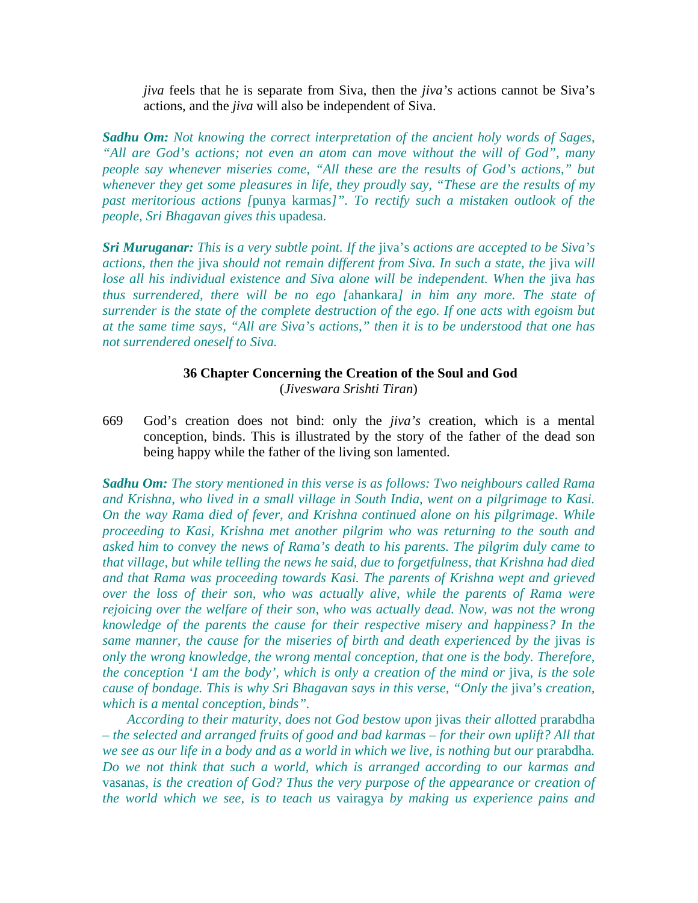*jiva* feels that he is separate from Siva, then the *jiva's* actions cannot be Siva's actions, and the *jiva* will also be independent of Siva.

*Sadhu Om: Not knowing the correct interpretation of the ancient holy words of Sages, "All are God's actions; not even an atom can move without the will of God", many people say whenever miseries come, "All these are the results of God's actions," but whenever they get some pleasures in life, they proudly say, "These are the results of my past meritorious actions [*punya karmas*]". To rectify such a mistaken outlook of the people, Sri Bhagavan gives this* upadesa*.* 

*Sri Muruganar: This is a very subtle point. If the* jiva's *actions are accepted to be Siva's actions, then the* jiva *should not remain different from Siva. In such a state, the* jiva *will*  lose all his individual existence and Siva alone will be independent. When the *jiva has thus surrendered, there will be no ego [*ahankara*] in him any more. The state of surrender is the state of the complete destruction of the ego. If one acts with egoism but at the same time says, "All are Siva's actions," then it is to be understood that one has not surrendered oneself to Siva.* 

#### **36 Chapter Concerning the Creation of the Soul and God**  (*Jiveswara Srishti Tiran*)

669 God's creation does not bind: only the *jiva's* creation, which is a mental conception, binds. This is illustrated by the story of the father of the dead son being happy while the father of the living son lamented.

*Sadhu Om: The story mentioned in this verse is as follows: Two neighbours called Rama and Krishna, who lived in a small village in South India, went on a pilgrimage to Kasi. On the way Rama died of fever, and Krishna continued alone on his pilgrimage. While proceeding to Kasi, Krishna met another pilgrim who was returning to the south and asked him to convey the news of Rama's death to his parents. The pilgrim duly came to that village, but while telling the news he said, due to forgetfulness, that Krishna had died and that Rama was proceeding towards Kasi. The parents of Krishna wept and grieved over the loss of their son, who was actually alive, while the parents of Rama were rejoicing over the welfare of their son, who was actually dead. Now, was not the wrong knowledge of the parents the cause for their respective misery and happiness? In the same manner, the cause for the miseries of birth and death experienced by the jivas is only the wrong knowledge, the wrong mental conception, that one is the body. Therefore, the conception 'I am the body', which is only a creation of the mind or* jiva*, is the sole cause of bondage. This is why Sri Bhagavan says in this verse, "Only the jiva's creation, which is a mental conception, binds".* 

*According to their maturity, does not God bestow upon* jivas *their allotted* prarabdha *– the selected and arranged fruits of good and bad karmas – for their own uplift? All that we see as our life in a body and as a world in which we live, is nothing but our* prarabdha*. Do we not think that such a world, which is arranged according to our karmas and*  vasanas*, is the creation of God? Thus the very purpose of the appearance or creation of the world which we see, is to teach us* vairagya *by making us experience pains and*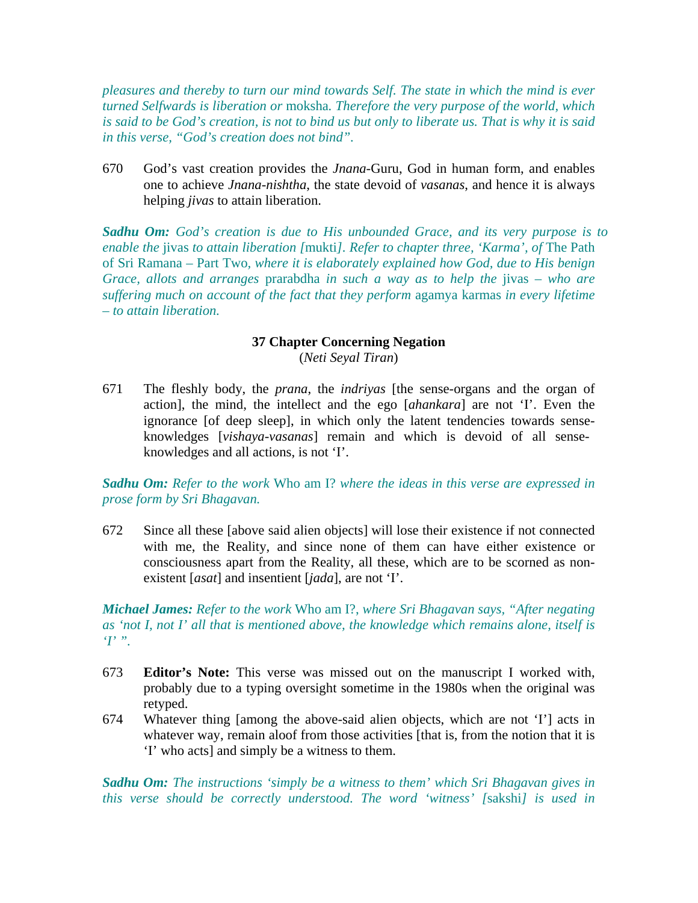*pleasures and thereby to turn our mind towards Self. The state in which the mind is ever turned Selfwards is liberation or* moksha*. Therefore the very purpose of the world, which is said to be God's creation, is not to bind us but only to liberate us. That is why it is said in this verse, "God's creation does not bind".* 

670 God's vast creation provides the *Jnana*-Guru, God in human form, and enables one to achieve *Jnana-nishtha*, the state devoid of *vasanas*, and hence it is always helping *jivas* to attain liberation.

*Sadhu Om: God's creation is due to His unbounded Grace, and its very purpose is to enable the* jivas *to attain liberation [*mukti*]. Refer to chapter three, 'Karma', of* The Path of Sri Ramana – Part Two*, where it is elaborately explained how God, due to His benign Grace, allots and arranges* prarabdha *in such a way as to help the* jivas *– who are suffering much on account of the fact that they perform* agamya karmas *in every lifetime – to attain liberation.* 

### **37 Chapter Concerning Negation**

(*Neti Seyal Tiran*)

671 The fleshly body, the *prana*, the *indriyas* [the sense-organs and the organ of action], the mind, the intellect and the ego [*ahankara*] are not 'I'. Even the ignorance [of deep sleep], in which only the latent tendencies towards senseknowledges [*vishaya-vasanas*] remain and which is devoid of all senseknowledges and all actions, is not 'I'.

### *Sadhu Om: Refer to the work* Who am I? *where the ideas in this verse are expressed in prose form by Sri Bhagavan.*

672 Since all these [above said alien objects] will lose their existence if not connected with me, the Reality, and since none of them can have either existence or consciousness apart from the Reality, all these, which are to be scorned as nonexistent [*asat*] and insentient [*jada*], are not 'I'.

*Michael James: Refer to the work* Who am I?, *where Sri Bhagavan says, "After negating as 'not I, not I' all that is mentioned above, the knowledge which remains alone, itself is 'I' ".* 

- 673 **Editor's Note:** This verse was missed out on the manuscript I worked with, probably due to a typing oversight sometime in the 1980s when the original was retyped.
- 674 Whatever thing [among the above-said alien objects, which are not 'I'] acts in whatever way, remain aloof from those activities [that is, from the notion that it is 'I' who acts] and simply be a witness to them.

*Sadhu Om: The instructions 'simply be a witness to them' which Sri Bhagavan gives in this verse should be correctly understood. The word 'witness' [*sakshi*] is used in*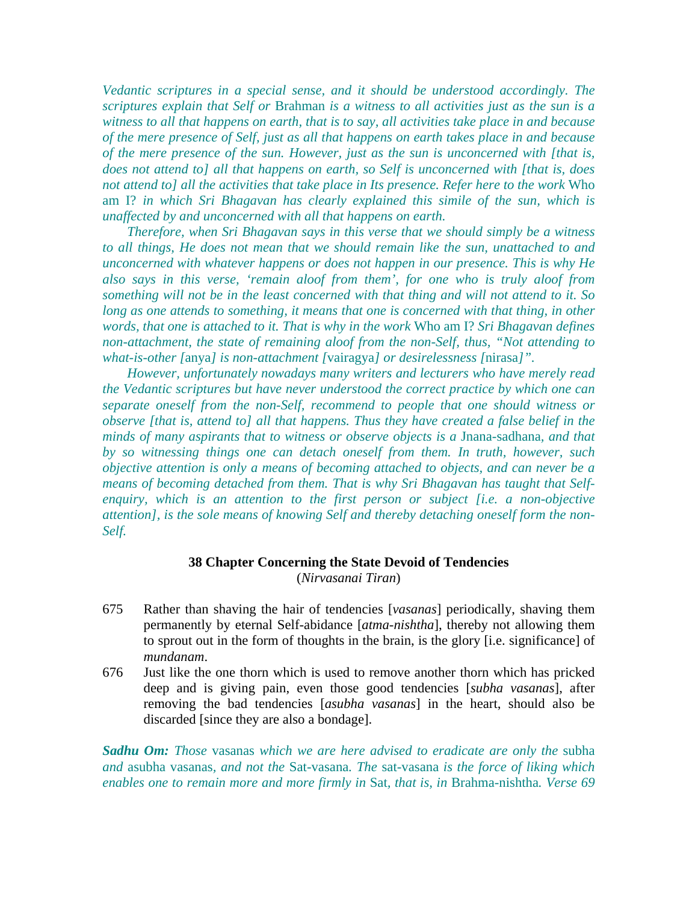*Vedantic scriptures in a special sense, and it should be understood accordingly. The scriptures explain that Self or* Brahman *is a witness to all activities just as the sun is a witness to all that happens on earth, that is to say, all activities take place in and because of the mere presence of Self, just as all that happens on earth takes place in and because of the mere presence of the sun. However, just as the sun is unconcerned with [that is, does not attend to] all that happens on earth, so Self is unconcerned with [that is, does not attend to] all the activities that take place in Its presence. Refer here to the work* Who am I? *in which Sri Bhagavan has clearly explained this simile of the sun, which is unaffected by and unconcerned with all that happens on earth.* 

*Therefore, when Sri Bhagavan says in this verse that we should simply be a witness to all things, He does not mean that we should remain like the sun, unattached to and unconcerned with whatever happens or does not happen in our presence. This is why He also says in this verse, 'remain aloof from them', for one who is truly aloof from something will not be in the least concerned with that thing and will not attend to it. So long as one attends to something, it means that one is concerned with that thing, in other words, that one is attached to it. That is why in the work* Who am I? *Sri Bhagavan defines non-attachment, the state of remaining aloof from the non-Self, thus, "Not attending to what-is-other [*anya*] is non-attachment [*vairagya*] or desirelessness [*nirasa*]".* 

*However, unfortunately nowadays many writers and lecturers who have merely read the Vedantic scriptures but have never understood the correct practice by which one can separate oneself from the non-Self, recommend to people that one should witness or observe [that is, attend to] all that happens. Thus they have created a false belief in the minds of many aspirants that to witness or observe objects is a* Jnana-sadhana*, and that by so witnessing things one can detach oneself from them. In truth, however, such objective attention is only a means of becoming attached to objects, and can never be a means of becoming detached from them. That is why Sri Bhagavan has taught that Selfenquiry, which is an attention to the first person or subject [i.e. a non-objective attention], is the sole means of knowing Self and thereby detaching oneself form the non-Self.* 

#### **38 Chapter Concerning the State Devoid of Tendencies**  (*Nirvasanai Tiran*)

- 675 Rather than shaving the hair of tendencies [*vasanas*] periodically, shaving them permanently by eternal Self-abidance [*atma-nishtha*], thereby not allowing them to sprout out in the form of thoughts in the brain, is the glory [i.e. significance] of *mundanam*.
- 676 Just like the one thorn which is used to remove another thorn which has pricked deep and is giving pain, even those good tendencies [*subha vasanas*], after removing the bad tendencies [*asubha vasanas*] in the heart, should also be discarded [since they are also a bondage].

*Sadhu Om: Those* vasanas *which we are here advised to eradicate are only the* subha *and* asubha vasanas*, and not the* Sat-vasana*. The* sat-vasana *is the force of liking which enables one to remain more and more firmly in* Sat*, that is, in* Brahma-nishtha*. Verse 69*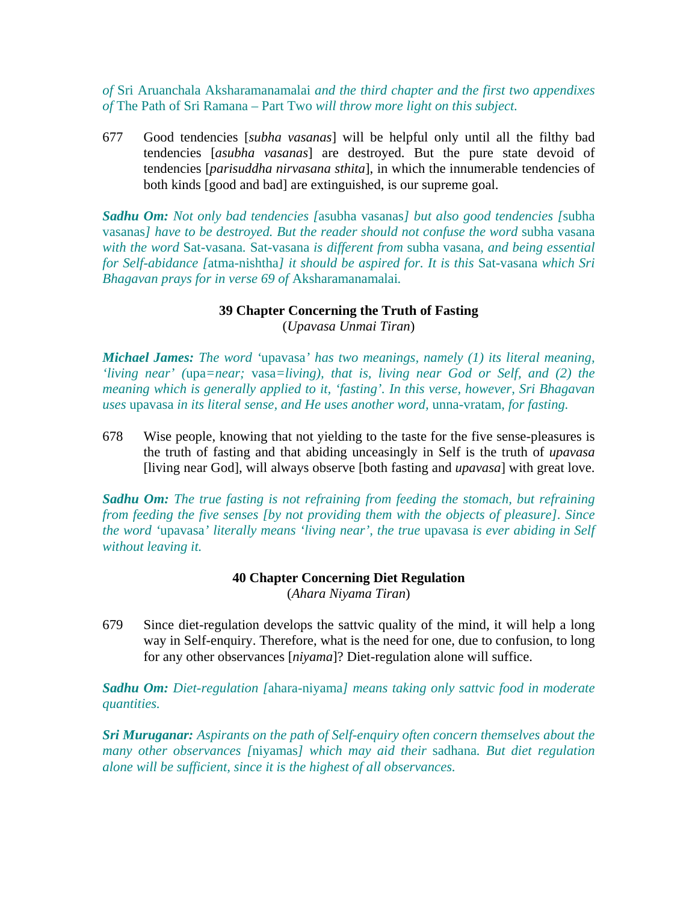*of* Sri Aruanchala Aksharamanamalai *and the third chapter and the first two appendixes of* The Path of Sri Ramana – Part Two *will throw more light on this subject.* 

677 Good tendencies [*subha vasanas*] will be helpful only until all the filthy bad tendencies [*asubha vasanas*] are destroyed. But the pure state devoid of tendencies [*parisuddha nirvasana sthita*], in which the innumerable tendencies of both kinds [good and bad] are extinguished, is our supreme goal.

*Sadhu Om: Not only bad tendencies [*asubha vasanas*] but also good tendencies [*subha vasanas*]* have to be destroyed. But the reader should not confuse the word subha vasana *with the word* Sat-vasana*.* Sat-vasana *is different from* subha vasana*, and being essential for Self-abidance [*atma-nishtha*] it should be aspired for. It is this* Sat-vasana *which Sri Bhagavan prays for in verse 69 of* Aksharamanamalai*.* 

### **39 Chapter Concerning the Truth of Fasting**  (*Upavasa Unmai Tiran*)

*Michael James: The word '*upavasa*' has two meanings, namely (1) its literal meaning, 'living near' (*upa*=near;* vasa*=living), that is, living near God or Self, and (2) the meaning which is generally applied to it, 'fasting'. In this verse, however, Sri Bhagavan uses* upavasa *in its literal sense, and He uses another word,* unna-vratam*, for fasting.* 

678 Wise people, knowing that not yielding to the taste for the five sense-pleasures is the truth of fasting and that abiding unceasingly in Self is the truth of *upavasa* [living near God], will always observe [both fasting and *upavasa*] with great love.

*Sadhu Om: The true fasting is not refraining from feeding the stomach, but refraining from feeding the five senses [by not providing them with the objects of pleasure]. Since the word '*upavasa*' literally means 'living near', the true* upavasa *is ever abiding in Self without leaving it.* 

### **40 Chapter Concerning Diet Regulation**

(*Ahara Niyama Tiran*)

679 Since diet-regulation develops the sattvic quality of the mind, it will help a long way in Self-enquiry. Therefore, what is the need for one, due to confusion, to long for any other observances [*niyama*]? Diet-regulation alone will suffice.

*Sadhu Om: Diet-regulation [*ahara-niyama*] means taking only sattvic food in moderate quantities.* 

*Sri Muruganar: Aspirants on the path of Self-enquiry often concern themselves about the many other observances [*niyamas*] which may aid their* sadhana*. But diet regulation alone will be sufficient, since it is the highest of all observances.*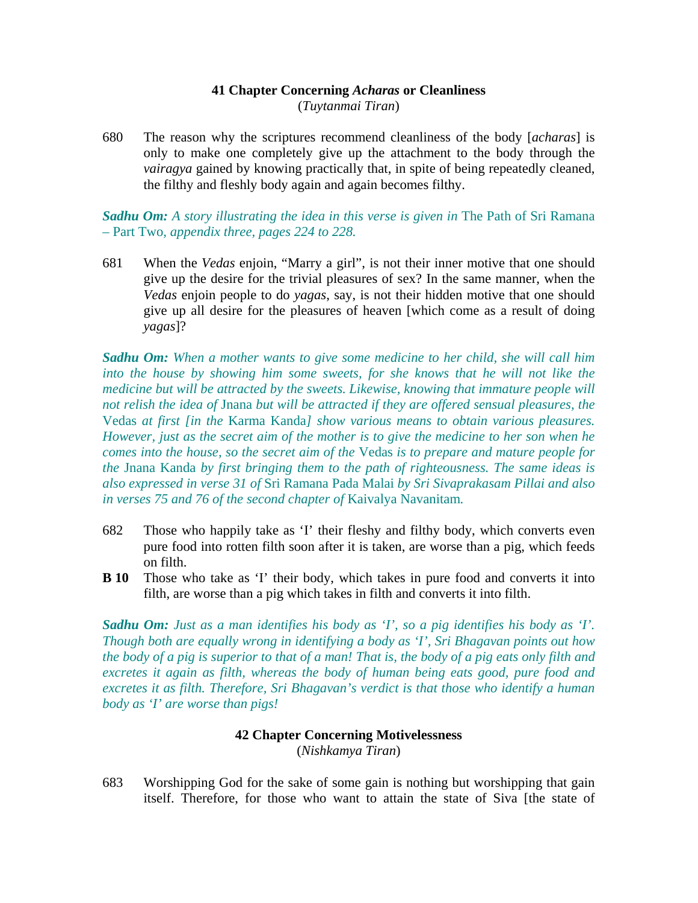### **41 Chapter Concerning** *Acharas* **or Cleanliness**  (*Tuytanmai Tiran*)

680 The reason why the scriptures recommend cleanliness of the body [*acharas*] is only to make one completely give up the attachment to the body through the *vairagya* gained by knowing practically that, in spite of being repeatedly cleaned, the filthy and fleshly body again and again becomes filthy.

**Sadhu Om:** A story illustrating the idea in this verse is given in The Path of Sri Ramana – Part Two*, appendix three, pages 224 to 228.* 

681 When the *Vedas* enjoin, "Marry a girl", is not their inner motive that one should give up the desire for the trivial pleasures of sex? In the same manner, when the *Vedas* enjoin people to do *yagas*, say, is not their hidden motive that one should give up all desire for the pleasures of heaven [which come as a result of doing *yagas*]?

*Sadhu Om: When a mother wants to give some medicine to her child, she will call him*  into the house by showing him some sweets, for she knows that he will not like the *medicine but will be attracted by the sweets. Likewise, knowing that immature people will not relish the idea of* Jnana *but will be attracted if they are offered sensual pleasures, the*  Vedas *at first [in the* Karma Kanda*] show various means to obtain various pleasures. However, just as the secret aim of the mother is to give the medicine to her son when he comes into the house, so the secret aim of the* Vedas *is to prepare and mature people for the* Jnana Kanda *by first bringing them to the path of righteousness. The same ideas is also expressed in verse 31 of* Sri Ramana Pada Malai *by Sri Sivaprakasam Pillai and also in verses 75 and 76 of the second chapter of* Kaivalya Navanitam*.* 

- 682 Those who happily take as 'I' their fleshy and filthy body, which converts even pure food into rotten filth soon after it is taken, are worse than a pig, which feeds on filth.
- **B 10** Those who take as 'I' their body, which takes in pure food and converts it into filth, are worse than a pig which takes in filth and converts it into filth.

*Sadhu Om: Just as a man identifies his body as 'I', so a pig identifies his body as 'I'. Though both are equally wrong in identifying a body as 'I', Sri Bhagavan points out how the body of a pig is superior to that of a man! That is, the body of a pig eats only filth and excretes it again as filth, whereas the body of human being eats good, pure food and excretes it as filth. Therefore, Sri Bhagavan's verdict is that those who identify a human body as 'I' are worse than pigs!* 

### **42 Chapter Concerning Motivelessness**

(*Nishkamya Tiran*)

683 Worshipping God for the sake of some gain is nothing but worshipping that gain itself. Therefore, for those who want to attain the state of Siva [the state of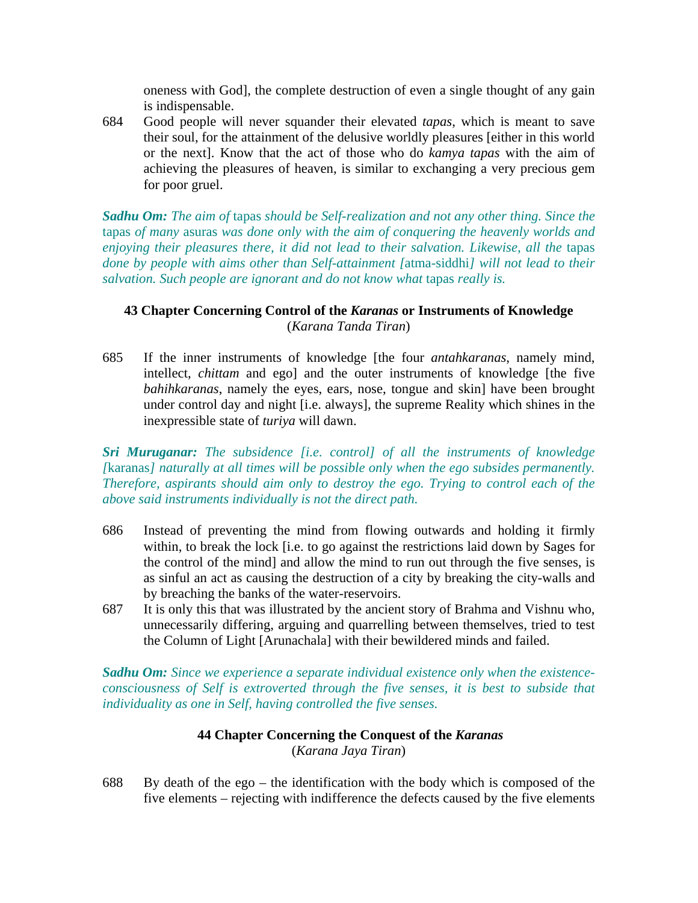oneness with God], the complete destruction of even a single thought of any gain is indispensable.

684 Good people will never squander their elevated *tapas*, which is meant to save their soul, for the attainment of the delusive worldly pleasures [either in this world or the next]. Know that the act of those who do *kamya tapas* with the aim of achieving the pleasures of heaven, is similar to exchanging a very precious gem for poor gruel.

*Sadhu Om: The aim of* tapas *should be Self-realization and not any other thing. Since the*  tapas *of many* asuras *was done only with the aim of conquering the heavenly worlds and*  enjoying their pleasures there, it did not lead to their salvation. Likewise, all the tapas *done by people with aims other than Self-attainment [*atma-siddhi*] will not lead to their salvation. Such people are ignorant and do not know what* tapas *really is.* 

### **43 Chapter Concerning Control of the** *Karanas* **or Instruments of Knowledge**  (*Karana Tanda Tiran*)

685 If the inner instruments of knowledge [the four *antahkaranas*, namely mind, intellect, *chittam* and ego] and the outer instruments of knowledge [the five *bahihkaranas*, namely the eyes, ears, nose, tongue and skin] have been brought under control day and night [i.e. always], the supreme Reality which shines in the inexpressible state of *turiya* will dawn.

*Sri Muruganar: The subsidence [i.e. control] of all the instruments of knowledge [*karanas*] naturally at all times will be possible only when the ego subsides permanently. Therefore, aspirants should aim only to destroy the ego. Trying to control each of the above said instruments individually is not the direct path.* 

- 686 Instead of preventing the mind from flowing outwards and holding it firmly within, to break the lock [i.e. to go against the restrictions laid down by Sages for the control of the mind] and allow the mind to run out through the five senses, is as sinful an act as causing the destruction of a city by breaking the city-walls and by breaching the banks of the water-reservoirs.
- 687 It is only this that was illustrated by the ancient story of Brahma and Vishnu who, unnecessarily differing, arguing and quarrelling between themselves, tried to test the Column of Light [Arunachala] with their bewildered minds and failed.

*Sadhu Om: Since we experience a separate individual existence only when the existenceconsciousness of Self is extroverted through the five senses, it is best to subside that individuality as one in Self, having controlled the five senses.* 

### **44 Chapter Concerning the Conquest of the** *Karanas* (*Karana Jaya Tiran*)

688 By death of the ego – the identification with the body which is composed of the five elements – rejecting with indifference the defects caused by the five elements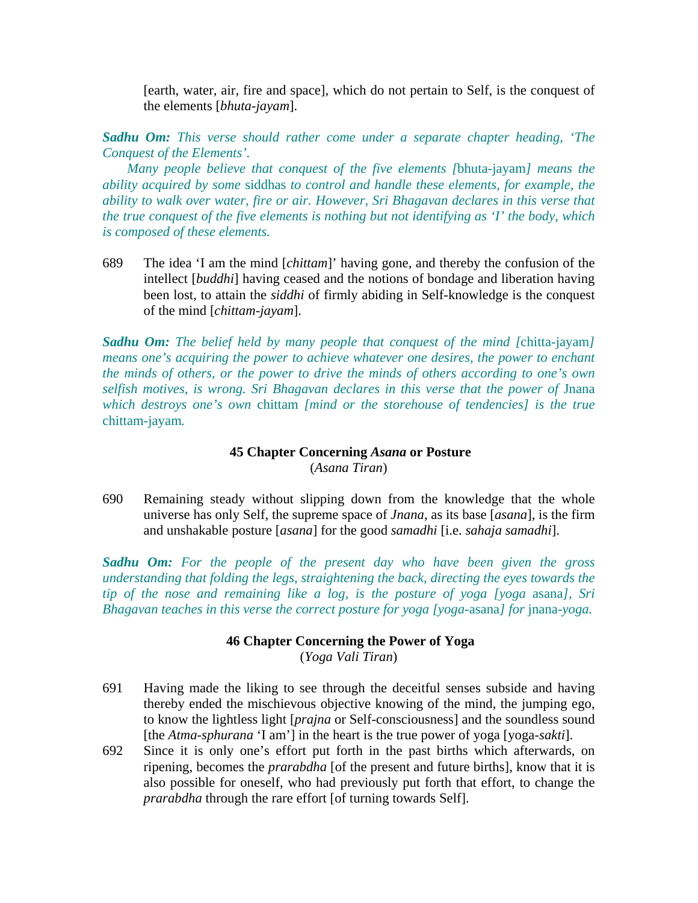[earth, water, air, fire and space], which do not pertain to Self, is the conquest of the elements [*bhuta-jayam*].

*Sadhu Om: This verse should rather come under a separate chapter heading, 'The Conquest of the Elements'.* 

*Many people believe that conquest of the five elements [*bhuta-jayam*] means the ability acquired by some* siddhas *to control and handle these elements, for example, the ability to walk over water, fire or air. However, Sri Bhagavan declares in this verse that the true conquest of the five elements is nothing but not identifying as 'I' the body, which is composed of these elements.* 

689 The idea 'I am the mind [*chittam*]' having gone, and thereby the confusion of the intellect [*buddhi*] having ceased and the notions of bondage and liberation having been lost, to attain the *siddhi* of firmly abiding in Self-knowledge is the conquest of the mind [*chittam-jayam*].

*Sadhu Om: The belief held by many people that conquest of the mind [*chitta*-*jayam*] means one's acquiring the power to achieve whatever one desires, the power to enchant the minds of others, or the power to drive the minds of others according to one's own selfish motives, is wrong. Sri Bhagavan declares in this verse that the power of* Jnana *which destroys one's own* chittam *[mind or the storehouse of tendencies] is the true*  chittam-jayam*.* 

### **45 Chapter Concerning** *Asana* **or Posture**  (*Asana Tiran*)

690 Remaining steady without slipping down from the knowledge that the whole universe has only Self, the supreme space of *Jnana*, as its base [*asana*], is the firm and unshakable posture [*asana*] for the good *samadhi* [i.e. *sahaja samadhi*].

*Sadhu Om: For the people of the present day who have been given the gross understanding that folding the legs, straightening the back, directing the eyes towards the tip of the nose and remaining like a log, is the posture of yoga [yoga* asana*], Sri Bhagavan teaches in this verse the correct posture for yoga [yoga-*asana*] for* jnana*-yoga.* 

### **46 Chapter Concerning the Power of Yoga**  (*Yoga Vali Tiran*)

- 691 Having made the liking to see through the deceitful senses subside and having thereby ended the mischievous objective knowing of the mind, the jumping ego, to know the lightless light [*prajna* or Self-consciousness] and the soundless sound [the *Atma-sphurana* 'I am'] in the heart is the true power of yoga [yoga-*sakti*].
- 692 Since it is only one's effort put forth in the past births which afterwards, on ripening, becomes the *prarabdha* [of the present and future births], know that it is also possible for oneself, who had previously put forth that effort, to change the *prarabdha* through the rare effort [of turning towards Self].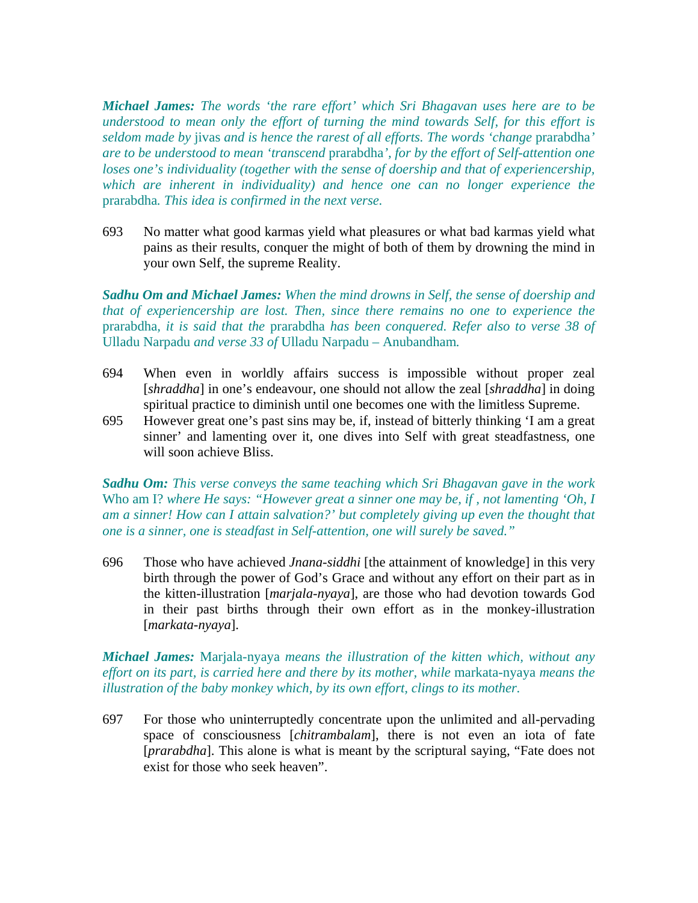*Michael James: The words 'the rare effort' which Sri Bhagavan uses here are to be understood to mean only the effort of turning the mind towards Self, for this effort is seldom made by* jivas *and is hence the rarest of all efforts. The words 'change* prarabdha*' are to be understood to mean 'transcend* prarabdha*', for by the effort of Self-attention one loses one's individuality (together with the sense of doership and that of experiencership, which are inherent in individuality) and hence one can no longer experience the*  prarabdha*. This idea is confirmed in the next verse.* 

693 No matter what good karmas yield what pleasures or what bad karmas yield what pains as their results, conquer the might of both of them by drowning the mind in your own Self, the supreme Reality.

*Sadhu Om and Michael James: When the mind drowns in Self, the sense of doership and that of experiencership are lost. Then, since there remains no one to experience the*  prarabdha*, it is said that the* prarabdha *has been conquered. Refer also to verse 38 of*  Ulladu Narpadu *and verse 33 of* Ulladu Narpadu *–* Anubandham*.* 

- 694 When even in worldly affairs success is impossible without proper zeal [*shraddha*] in one's endeavour, one should not allow the zeal [*shraddha*] in doing spiritual practice to diminish until one becomes one with the limitless Supreme.
- 695 However great one's past sins may be, if, instead of bitterly thinking 'I am a great sinner' and lamenting over it, one dives into Self with great steadfastness, one will soon achieve Bliss.

*Sadhu Om: This verse conveys the same teaching which Sri Bhagavan gave in the work*  Who am I? *where He says: "However great a sinner one may be, if , not lamenting 'Oh, I am a sinner! How can I attain salvation?' but completely giving up even the thought that one is a sinner, one is steadfast in Self-attention, one will surely be saved."* 

696 Those who have achieved *Jnana-siddhi* [the attainment of knowledge] in this very birth through the power of God's Grace and without any effort on their part as in the kitten-illustration [*marjala-nyaya*], are those who had devotion towards God in their past births through their own effort as in the monkey-illustration [*markata-nyaya*].

*Michael James:* Marjala-nyaya *means the illustration of the kitten which, without any effort on its part, is carried here and there by its mother, while markata-nyaya means the illustration of the baby monkey which, by its own effort, clings to its mother.* 

697 For those who uninterruptedly concentrate upon the unlimited and all-pervading space of consciousness [*chitrambalam*], there is not even an iota of fate [*prarabdha*]. This alone is what is meant by the scriptural saying, "Fate does not exist for those who seek heaven".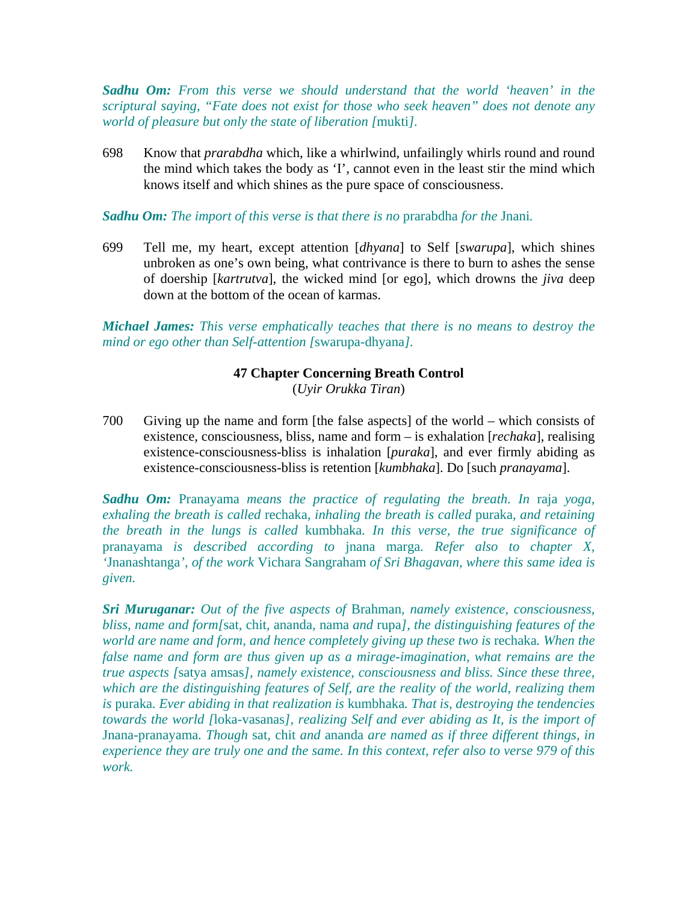*Sadhu Om: Fr*o*m this verse we should understand that the world 'heaven' in the scriptural saying, "Fate does not exist for those who seek heaven" does not denote any world of pleasure but only the state of liberation [*mukti*].*

698 Know that *prarabdha* which, like a whirlwind, unfailingly whirls round and round the mind which takes the body as 'I', cannot even in the least stir the mind which knows itself and which shines as the pure space of consciousness.

*Sadhu Om: The import of this verse is that there is no* prarabdha *for the* Jnani*.* 

699 Tell me, my heart, except attention [*dhyana*] to Self [*swarupa*], which shines unbroken as one's own being, what contrivance is there to burn to ashes the sense of doership [*kartrutva*], the wicked mind [or ego], which drowns the *jiva* deep down at the bottom of the ocean of karmas.

*Michael James: This verse emphatically teaches that there is no means to destroy the mind or ego other than Self-attention [*swarupa-dhyana*].*

# **47 Chapter Concerning Breath Control**

(*Uyir Orukka Tiran*)

700 Giving up the name and form [the false aspects] of the world – which consists of existence, consciousness, bliss, name and form – is exhalation [*rechaka*], realising existence-consciousness-bliss is inhalation [*puraka*], and ever firmly abiding as existence-consciousness-bliss is retention [*kumbhaka*]. Do [such *pranayama*].

*Sadhu Om:* Pranayama *means the practice of regulating the breath. In* raja *yoga, exhaling the breath is called* rechaka*, inhaling the breath is called* puraka*, and retaining the breath in the lungs is called* kumbhaka*. In this verse, the true significance of*  pranayama *is described according to* jnana marga*. Refer also to chapter X, '*Jnanashtanga*', of the work* Vichara Sangraham *of Sri Bhagavan, where this same idea is given.* 

*Sri Muruganar: Out of the five aspects of* Brahman*, namely existence, consciousness, bliss, name and form[*sat*,* chit*,* ananda*,* nama *and* rupa*], the distinguishing features of the world are name and form, and hence completely giving up these two is rechaka. When the false name and form are thus given up as a mirage-imagination, what remains are the true aspects [*satya amsas*], namely existence, consciousness and bliss. Since these three, which are the distinguishing features of Self, are the reality of the world, realizing them is* puraka*. Ever abiding in that realization is* kumbhaka*. That is, destroying the tendencies towards the world [*loka-vasanas*], realizing Self and ever abiding as It, is the import of*  Jnana-pranayama*. Though* sat*,* chit *and* ananda *are named as if three different things, in experience they are truly one and the same. In this context, refer also to verse 979 of this work.*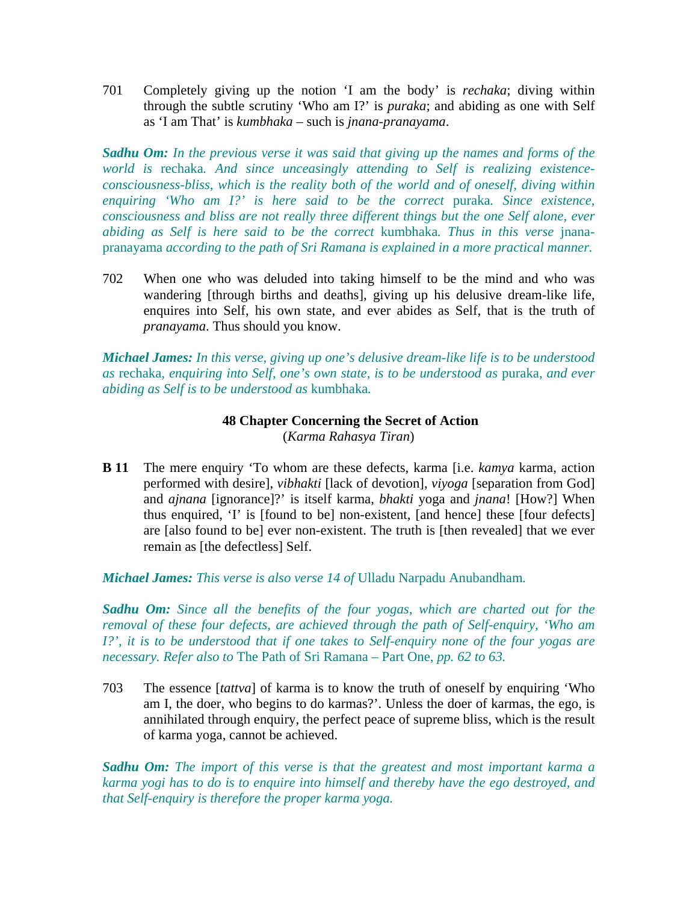701 Completely giving up the notion 'I am the body' is *rechaka*; diving within through the subtle scrutiny 'Who am I?' is *puraka*; and abiding as one with Self as 'I am That' is *kumbhaka* – such is *jnana-pranayama*.

*Sadhu Om: In the previous verse it was said that giving up the names and forms of the world is* rechaka*. And since unceasingly attending to Self is realizing existenceconsciousness-bliss, which is the reality both of the world and of oneself, diving within enquiring 'Who am I?' is here said to be the correct* puraka*. Since existence, consciousness and bliss are not really three different things but the one Self alone, ever abiding as Self is here said to be the correct* kumbhaka*. Thus in this verse* jnanapranayama *according to the path of Sri Ramana is explained in a more practical manner.* 

702 When one who was deluded into taking himself to be the mind and who was wandering [through births and deaths], giving up his delusive dream-like life, enquires into Self, his own state, and ever abides as Self, that is the truth of *pranayama*. Thus should you know.

*Michael James: In this verse, giving up one's delusive dream-like life is to be understood as* rechaka*, enquiring into Self, one's own state, is to be understood as* puraka*, and ever abiding as Self is to be understood as* kumbhaka*.* 

### **48 Chapter Concerning the Secret of Action**

(*Karma Rahasya Tiran*)

**B 11** The mere enquiry 'To whom are these defects, karma [i.e. *kamya* karma, action performed with desire], *vibhakti* [lack of devotion], *viyoga* [separation from God] and *ajnana* [ignorance]?' is itself karma, *bhakti* yoga and *jnana*! [How?] When thus enquired, 'I' is [found to be] non-existent, [and hence] these [four defects] are [also found to be] ever non-existent. The truth is [then revealed] that we ever remain as [the defectless] Self.

*Michael James: This verse is also verse 14 of* Ulladu Narpadu Anubandham*.* 

*Sadhu Om: Since all the benefits of the four yogas, which are charted out for the removal of these four defects, are achieved through the path of Self-enquiry, 'Who am I?', it is to be understood that if one takes to Self-enquiry none of the four yogas are necessary. Refer also to* The Path of Sri Ramana – Part One*, pp. 62 to 63.* 

703 The essence [*tattva*] of karma is to know the truth of oneself by enquiring 'Who am I, the doer, who begins to do karmas?'. Unless the doer of karmas, the ego, is annihilated through enquiry, the perfect peace of supreme bliss, which is the result of karma yoga, cannot be achieved.

*Sadhu Om: The import of this verse is that the greatest and most important karma a karma yogi has to do is to enquire into himself and thereby have the ego destroyed, and that Self-enquiry is therefore the proper karma yoga.*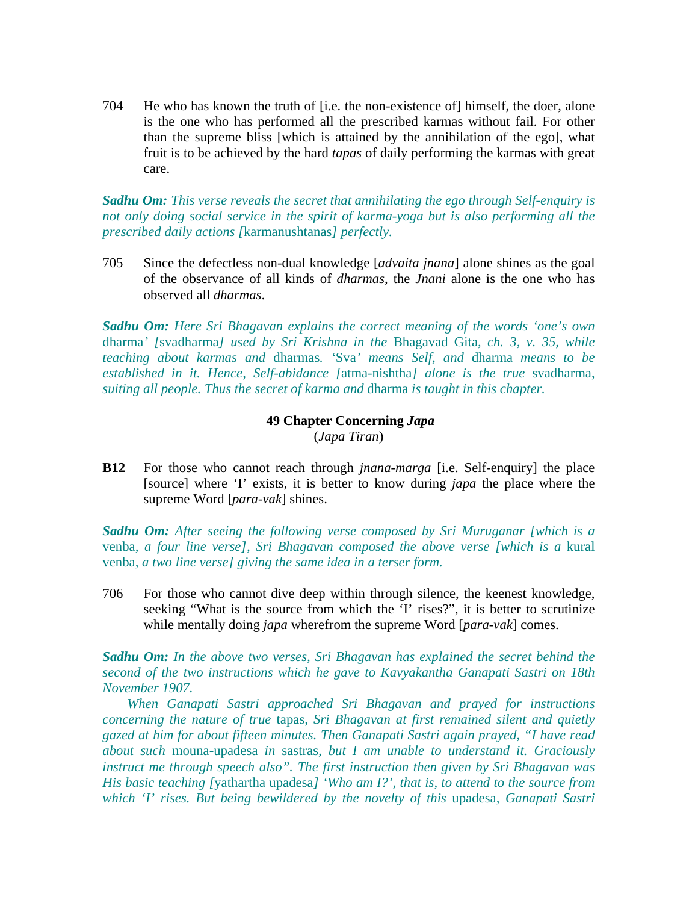704 He who has known the truth of [i.e. the non-existence of] himself, the doer, alone is the one who has performed all the prescribed karmas without fail. For other than the supreme bliss [which is attained by the annihilation of the ego], what fruit is to be achieved by the hard *tapas* of daily performing the karmas with great care.

*Sadhu Om: This verse reveals the secret that annihilating the ego through Self-enquiry is not only doing social service in the spirit of karma-yoga but is also performing all the prescribed daily actions [*karmanushtanas*] perfectly.* 

705 Since the defectless non-dual knowledge [*advaita jnana*] alone shines as the goal of the observance of all kinds of *dharmas*, the *Jnani* alone is the one who has observed all *dharmas*.

*Sadhu Om: Here Sri Bhagavan explains the correct meaning of the words 'one's own*  dharma*' [*svadharma*] used by Sri Krishna in the* Bhagavad Gita*, ch. 3, v. 35, while teaching about karmas and* dharmas*. '*Sva*' means Self, and* dharma *means to be established in it. Hence, Self-abidance [*atma-nishtha*] alone is the true* svadharma, *suiting all people. Thus the secret of karma and* dharma *is taught in this chapter.* 

### **49 Chapter Concerning** *Japa*

(*Japa Tiran*)

**B12** For those who cannot reach through *jnana-marga* [i.e. Self-enquiry] the place [source] where 'I' exists, it is better to know during *japa* the place where the supreme Word [*para-vak*] shines.

*Sadhu Om: After seeing the following verse composed by Sri Muruganar [which is a*  venba*, a four line verse], Sri Bhagavan composed the above verse [which is a* kural venba*, a two line verse] giving the same idea in a terser form.* 

706 For those who cannot dive deep within through silence, the keenest knowledge, seeking "What is the source from which the 'I' rises?", it is better to scrutinize while mentally doing *japa* wherefrom the supreme Word [*para-vak*] comes.

*Sadhu Om: In the above two verses, Sri Bhagavan has explained the secret behind the second of the two instructions which he gave to Kavyakantha Ganapati Sastri on 18th November 1907.* 

*When Ganapati Sastri approached Sri Bhagavan and prayed for instructions concerning the nature of true* tapas*, Sri Bhagavan at first remained silent and quietly gazed at him for about fifteen minutes. Then Ganapati Sastri again prayed, "I have read about such* mouna-upadesa *in* sastras*, but I am unable to understand it. Graciously instruct me through speech also". The first instruction then given by Sri Bhagavan was His basic teaching [*yathartha upadesa*] 'Who am I?', that is, to attend to the source from which 'I' rises. But being bewildered by the novelty of this* upadesa*, Ganapati Sastri*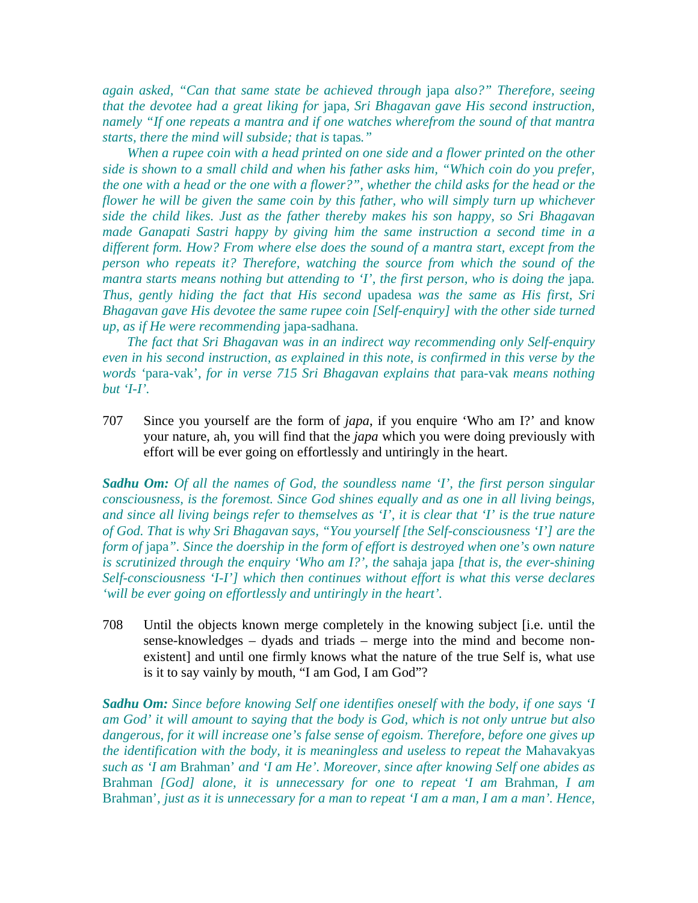*again asked, "Can that same state be achieved through* japa *also?" Therefore, seeing that the devotee had a great liking for* japa*, Sri Bhagavan gave His second instruction, namely "If one repeats a mantra and if one watches wherefrom the sound of that mantra starts, there the mind will subside; that is* tapas*."* 

*When a rupee coin with a head printed on one side and a flower printed on the other side is shown to a small child and when his father asks him, "Which coin do you prefer, the one with a head or the one with a flower?", whether the child asks for the head or the flower he will be given the same coin by this father, who will simply turn up whichever side the child likes. Just as the father thereby makes his son happy, so Sri Bhagavan made Ganapati Sastri happy by giving him the same instruction a second time in a different form. How? From where else does the sound of a mantra start, except from the person who repeats it? Therefore, watching the source from which the sound of the mantra starts means nothing but attending to 'I', the first person, who is doing the japa. Thus, gently hiding the fact that His second* upadesa *was the same as His first, Sri Bhagavan gave His devotee the same rupee coin [Self-enquiry] with the other side turned up, as if He were recommending* japa-sadhana*.* 

*The fact that Sri Bhagavan was in an indirect way recommending only Self-enquiry even in his second instruction, as explained in this note, is confirmed in this verse by the words '*para-vak'*, for in verse 715 Sri Bhagavan explains that* para-vak *means nothing but 'I-I'.* 

707 Since you yourself are the form of *japa*, if you enquire 'Who am I?' and know your nature, ah, you will find that the *japa* which you were doing previously with effort will be ever going on effortlessly and untiringly in the heart.

*Sadhu Om: Of all the names of God, the soundless name 'I', the first person singular consciousness, is the foremost. Since God shines equally and as one in all living beings, and since all living beings refer to themselves as 'I', it is clear that 'I' is the true nature of God. That is why Sri Bhagavan says, "You yourself [the Self-consciousness 'I'] are the form of* japa*". Since the doership in the form of effort is destroyed when one's own nature is scrutinized through the enquiry 'Who am I?', the* sahaja japa *[that is, the ever-shining Self-consciousness 'I-I'] which then continues without effort is what this verse declares 'will be ever going on effortlessly and untiringly in the heart'.* 

708 Until the objects known merge completely in the knowing subject [i.e. until the sense-knowledges – dyads and triads – merge into the mind and become nonexistent] and until one firmly knows what the nature of the true Self is, what use is it to say vainly by mouth, "I am God, I am God"?

*Sadhu Om: Since before knowing Self one identifies oneself with the body, if one says 'I am God' it will amount to saying that the body is God, which is not only untrue but also dangerous, for it will increase one's false sense of egoism. Therefore, before one gives up the identification with the body, it is meaningless and useless to repeat the* Mahavakyas *such as 'I am* Brahman' *and 'I am He'. Moreover, since after knowing Self one abides as*  Brahman *[God] alone, it is unnecessary for one to repeat 'I am* Brahman*, I am*  Brahman'*, just as it is unnecessary for a man to repeat 'I am a man, I am a man'. Hence,*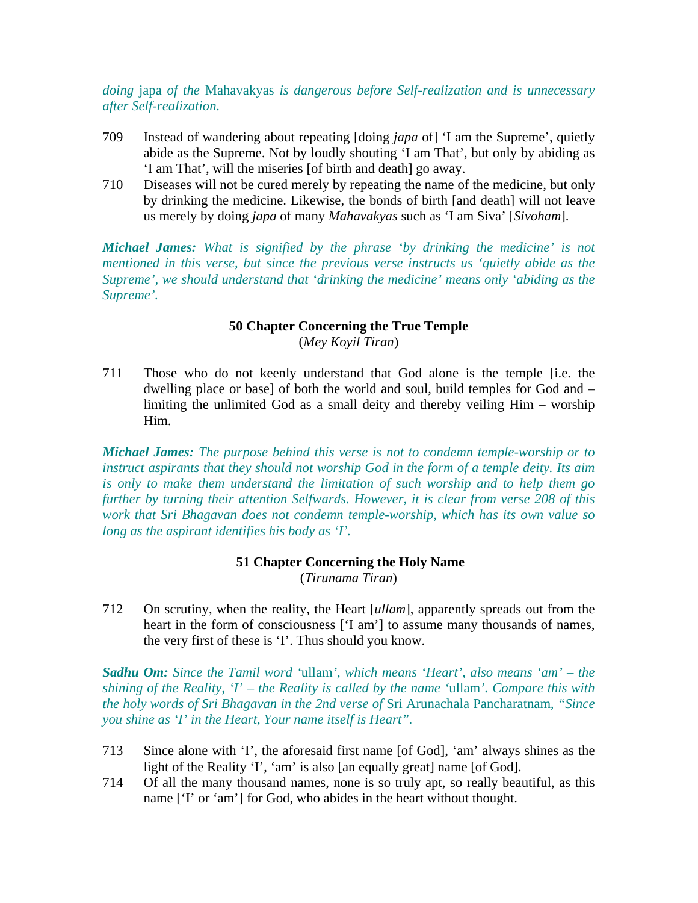*doing* japa *of the* Mahavakyas *is dangerous before Self-realization and is unnecessary after Self-realization.* 

- 709 Instead of wandering about repeating [doing *japa* of] 'I am the Supreme', quietly abide as the Supreme. Not by loudly shouting 'I am That', but only by abiding as 'I am That', will the miseries [of birth and death] go away.
- 710 Diseases will not be cured merely by repeating the name of the medicine, but only by drinking the medicine. Likewise, the bonds of birth [and death] will not leave us merely by doing *japa* of many *Mahavakyas* such as 'I am Siva' [*Sivoham*].

*Michael James: What is signified by the phrase 'by drinking the medicine' is not mentioned in this verse, but since the previous verse instructs us 'quietly abide as the Supreme', we should understand that 'drinking the medicine' means only 'abiding as the Supreme'.* 

### **50 Chapter Concerning the True Temple**  (*Mey Koyil Tiran*)

711 Those who do not keenly understand that God alone is the temple [i.e. the dwelling place or base] of both the world and soul, build temples for God and – limiting the unlimited God as a small deity and thereby veiling Him – worship Him.

*Michael James: The purpose behind this verse is not to condemn temple-worship or to instruct aspirants that they should not worship God in the form of a temple deity. Its aim is only to make them understand the limitation of such worship and to help them go further by turning their attention Selfwards. However, it is clear from verse 208 of this work that Sri Bhagavan does not condemn temple-worship, which has its own value so long as the aspirant identifies his body as 'I'.* 

# **51 Chapter Concerning the Holy Name**

- (*Tirunama Tiran*)
- 712 On scrutiny, when the reality, the Heart [*ullam*], apparently spreads out from the heart in the form of consciousness ['I am'] to assume many thousands of names, the very first of these is 'I'. Thus should you know.

*Sadhu Om: Since the Tamil word '*ullam*', which means 'Heart', also means 'am' – the shining of the Reality, 'I' – the Reality is called by the name '*ullam*'. Compare this with the holy words of Sri Bhagavan in the 2nd verse of* Sri Arunachala Pancharatnam*, "Since you shine as 'I' in the Heart, Your name itself is Heart".* 

- 713 Since alone with 'I', the aforesaid first name [of God], 'am' always shines as the light of the Reality 'I', 'am' is also [an equally great] name [of God].
- 714 Of all the many thousand names, none is so truly apt, so really beautiful, as this name ['I' or 'am'] for God, who abides in the heart without thought.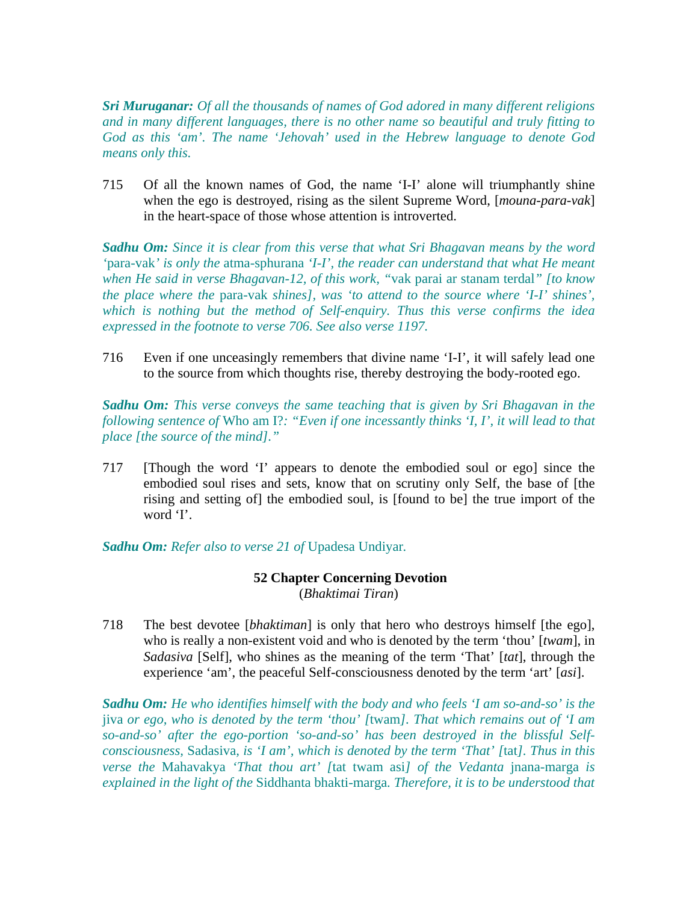*Sri Muruganar: Of all the thousands of names of God adored in many different religions and in many different languages, there is no other name so beautiful and truly fitting to God as this 'am'. The name 'Jehovah' used in the Hebrew language to denote God means only this.* 

715 Of all the known names of God, the name 'I-I' alone will triumphantly shine when the ego is destroyed, rising as the silent Supreme Word, [*mouna-para-vak*] in the heart-space of those whose attention is introverted.

*Sadhu Om: Since it is clear from this verse that what Sri Bhagavan means by the word '*para-vak*' is only the* atma-sphurana *'I-I', the reader can understand that what He meant when He said in verse Bhagavan-12, of this work, "*vak parai ar stanam terdal*" [to know the place where the* para-vak *shines], was 'to attend to the source where 'I-I' shines', which is nothing but the method of Self-enquiry. Thus this verse confirms the idea expressed in the footnote to verse 706. See also verse 1197.* 

716 Even if one unceasingly remembers that divine name 'I-I', it will safely lead one to the source from which thoughts rise, thereby destroying the body-rooted ego.

*Sadhu Om: This verse conveys the same teaching that is given by Sri Bhagavan in the following sentence of* Who am I?*: "Even if one incessantly thinks 'I, I', it will lead to that place [the source of the mind]."* 

717 [Though the word 'I' appears to denote the embodied soul or ego] since the embodied soul rises and sets, know that on scrutiny only Self, the base of [the rising and setting of] the embodied soul, is [found to be] the true import of the word 'I'.

*Sadhu Om: Refer also to verse 21 of* Upadesa Undiyar*.* 

### **52 Chapter Concerning Devotion**

(*Bhaktimai Tiran*)

718 The best devotee [*bhaktiman*] is only that hero who destroys himself [the ego], who is really a non-existent void and who is denoted by the term 'thou' [*twam*], in *Sadasiva* [Self], who shines as the meaning of the term 'That' [*tat*], through the experience 'am', the peaceful Self-consciousness denoted by the term 'art' [*asi*].

*Sadhu Om: He who identifies himself with the body and who feels 'I am so-and-so' is the*  jiva *or ego, who is denoted by the term 'thou' [*twam*]. That which remains out of 'I am so-and-so' after the ego-portion 'so-and-so' has been destroyed in the blissful Selfconsciousness,* Sadasiva*, is 'I am', which is denoted by the term 'That' [*tat*]. Thus in this verse the* Mahavakya *'That thou art' [*tat twam asi*] of the Vedanta* jnana-marga *is explained in the light of the* Siddhanta bhakti-marga*. Therefore, it is to be understood that*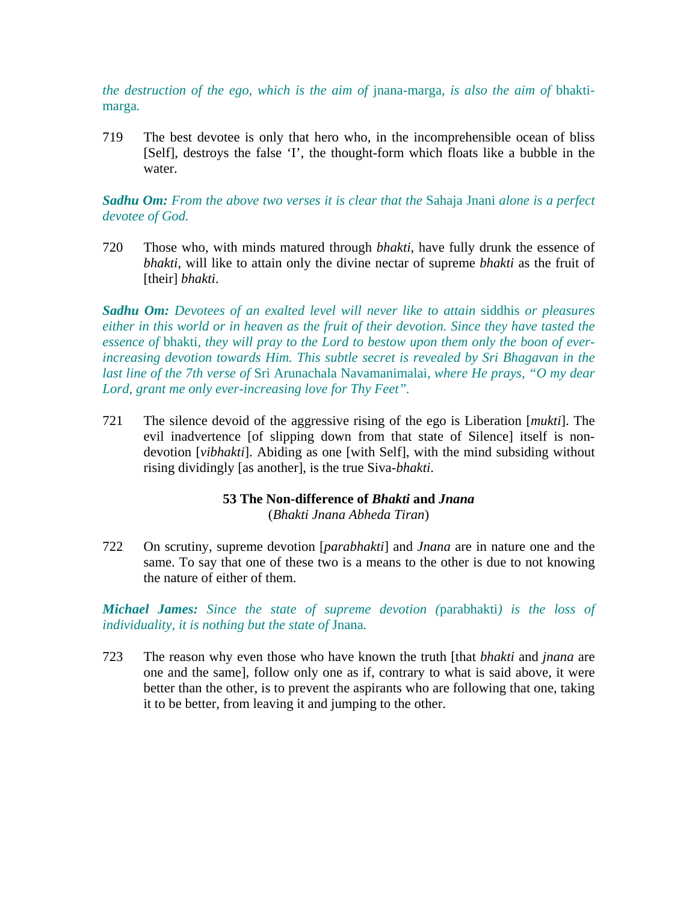*the destruction of the ego, which is the aim of* jnana-marga*, is also the aim of* bhaktimarga*.* 

719 The best devotee is only that hero who, in the incomprehensible ocean of bliss [Self], destroys the false 'I', the thought-form which floats like a bubble in the water.

### *Sadhu Om: From the above two verses it is clear that the* Sahaja Jnani *alone is a perfect devotee of God.*

720 Those who, with minds matured through *bhakti*, have fully drunk the essence of *bhakti*, will like to attain only the divine nectar of supreme *bhakti* as the fruit of [their] *bhakti*.

*Sadhu Om: Devotees of an exalted level will never like to attain* siddhis *or pleasures either in this world or in heaven as the fruit of their devotion. Since they have tasted the essence of* bhakti*, they will pray to the Lord to bestow upon them only the boon of everincreasing devotion towards Him. This subtle secret is revealed by Sri Bhagavan in the last line of the 7th verse of* Sri Arunachala Navamanimalai*, where He prays, "O my dear Lord, grant me only ever-increasing love for Thy Feet".* 

721 The silence devoid of the aggressive rising of the ego is Liberation [*mukti*]. The evil inadvertence [of slipping down from that state of Silence] itself is nondevotion [*vibhakti*]. Abiding as one [with Self], with the mind subsiding without rising dividingly [as another], is the true Siva-*bhakti*.

### **53 The Non-difference of** *Bhakti* **and** *Jnana* (*Bhakti Jnana Abheda Tiran*)

722 On scrutiny, supreme devotion [*parabhakti*] and *Jnana* are in nature one and the same. To say that one of these two is a means to the other is due to not knowing the nature of either of them.

*Michael James: Since the state of supreme devotion (*parabhakti*) is the loss of individuality, it is nothing but the state of* Jnana*.* 

723 The reason why even those who have known the truth [that *bhakti* and *jnana* are one and the same], follow only one as if, contrary to what is said above, it were better than the other, is to prevent the aspirants who are following that one, taking it to be better, from leaving it and jumping to the other.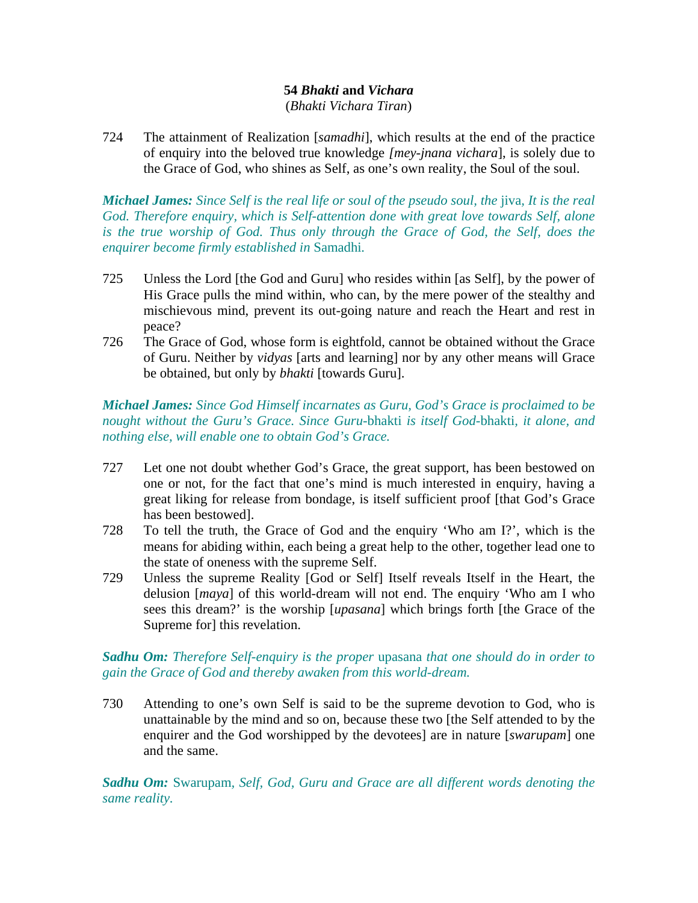# **54** *Bhakti* **and** *Vichara*

(*Bhakti Vichara Tiran*)

724 The attainment of Realization [*samadhi*], which results at the end of the practice of enquiry into the beloved true knowledge *[mey-jnana vichara*], is solely due to the Grace of God, who shines as Self, as one's own reality, the Soul of the soul.

*Michael James: Since Self is the real life or soul of the pseudo soul, the jiva, It is the real God. Therefore enquiry, which is Self-attention done with great love towards Self, alone*  is the true worship of God. Thus only through the Grace of God, the Self, does the *enquirer become firmly established in* Samadhi*.* 

- 725 Unless the Lord [the God and Guru] who resides within [as Self], by the power of His Grace pulls the mind within, who can, by the mere power of the stealthy and mischievous mind, prevent its out-going nature and reach the Heart and rest in peace?
- 726 The Grace of God, whose form is eightfold, cannot be obtained without the Grace of Guru. Neither by *vidyas* [arts and learning] nor by any other means will Grace be obtained, but only by *bhakti* [towards Guru].

### *Michael James: Since God Himself incarnates as Guru, God's Grace is proclaimed to be nought without the Guru's Grace. Since Guru-*bhakti *is itself God-*bhakti*, it alone, and nothing else, will enable one to obtain God's Grace.*

- 727 Let one not doubt whether God's Grace, the great support, has been bestowed on one or not, for the fact that one's mind is much interested in enquiry, having a great liking for release from bondage, is itself sufficient proof [that God's Grace has been bestowed].
- 728 To tell the truth, the Grace of God and the enquiry 'Who am I?', which is the means for abiding within, each being a great help to the other, together lead one to the state of oneness with the supreme Self.
- 729 Unless the supreme Reality [God or Self] Itself reveals Itself in the Heart, the delusion [*maya*] of this world-dream will not end. The enquiry 'Who am I who sees this dream?' is the worship [*upasana*] which brings forth [the Grace of the Supreme for] this revelation.

### *Sadhu Om: Therefore Self-enquiry is the proper* upasana *that one should do in order to gain the Grace of God and thereby awaken from this world-dream.*

730 Attending to one's own Self is said to be the supreme devotion to God, who is unattainable by the mind and so on, because these two [the Self attended to by the enquirer and the God worshipped by the devotees] are in nature [*swarupam*] one and the same.

*Sadhu Om:* Swarupam*, Self, God, Guru and Grace are all different words denoting the same reality.*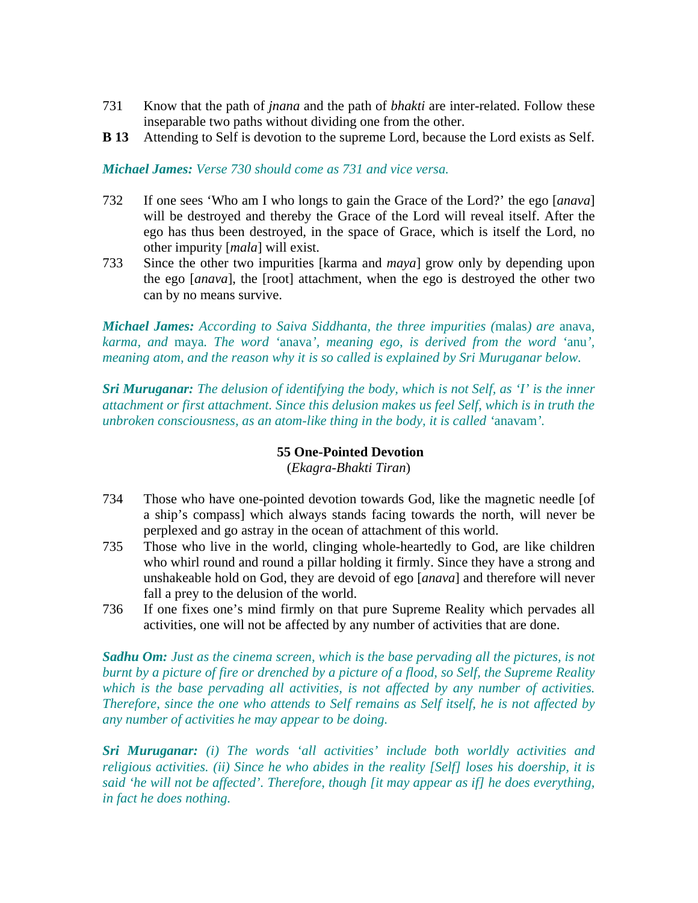- 731 Know that the path of *jnana* and the path of *bhakti* are inter-related. Follow these inseparable two paths without dividing one from the other.
- **B 13** Attending to Self is devotion to the supreme Lord, because the Lord exists as Self.

### *Michael James: Verse 730 should come as 731 and vice versa.*

- 732 If one sees 'Who am I who longs to gain the Grace of the Lord?' the ego [*anava*] will be destroyed and thereby the Grace of the Lord will reveal itself. After the ego has thus been destroyed, in the space of Grace, which is itself the Lord, no other impurity [*mala*] will exist.
- 733 Since the other two impurities [karma and *maya*] grow only by depending upon the ego [*anava*], the [root] attachment, when the ego is destroyed the other two can by no means survive.

*Michael James: According to Saiva Siddhanta, the three impurities (*malas*) are* anava*, karma, and* maya*. The word '*anava*', meaning ego, is derived from the word '*anu*', meaning atom, and the reason why it is so called is explained by Sri Muruganar below.* 

*Sri Muruganar: The delusion of identifying the body, which is not Self, as 'I' is the inner attachment or first attachment. Since this delusion makes us feel Self, which is in truth the unbroken consciousness, as an atom-like thing in the body, it is called '*anavam*'.* 

### **55 One-Pointed Devotion**

(*Ekagra-Bhakti Tiran*)

- 734 Those who have one-pointed devotion towards God, like the magnetic needle [of a ship's compass] which always stands facing towards the north, will never be perplexed and go astray in the ocean of attachment of this world.
- 735 Those who live in the world, clinging whole-heartedly to God, are like children who whirl round and round a pillar holding it firmly. Since they have a strong and unshakeable hold on God, they are devoid of ego [*anava*] and therefore will never fall a prey to the delusion of the world.
- 736 If one fixes one's mind firmly on that pure Supreme Reality which pervades all activities, one will not be affected by any number of activities that are done.

*Sadhu Om: Just as the cinema screen, which is the base pervading all the pictures, is not burnt by a picture of fire or drenched by a picture of a flood, so Self, the Supreme Reality which is the base pervading all activities, is not affected by any number of activities. Therefore, since the one who attends to Self remains as Self itself, he is not affected by any number of activities he may appear to be doing.* 

*Sri Muruganar: (i) The words 'all activities' include both worldly activities and religious activities. (ii) Since he who abides in the reality [Self] loses his doership, it is said 'he will not be affected'. Therefore, though [it may appear as if] he does everything, in fact he does nothing.*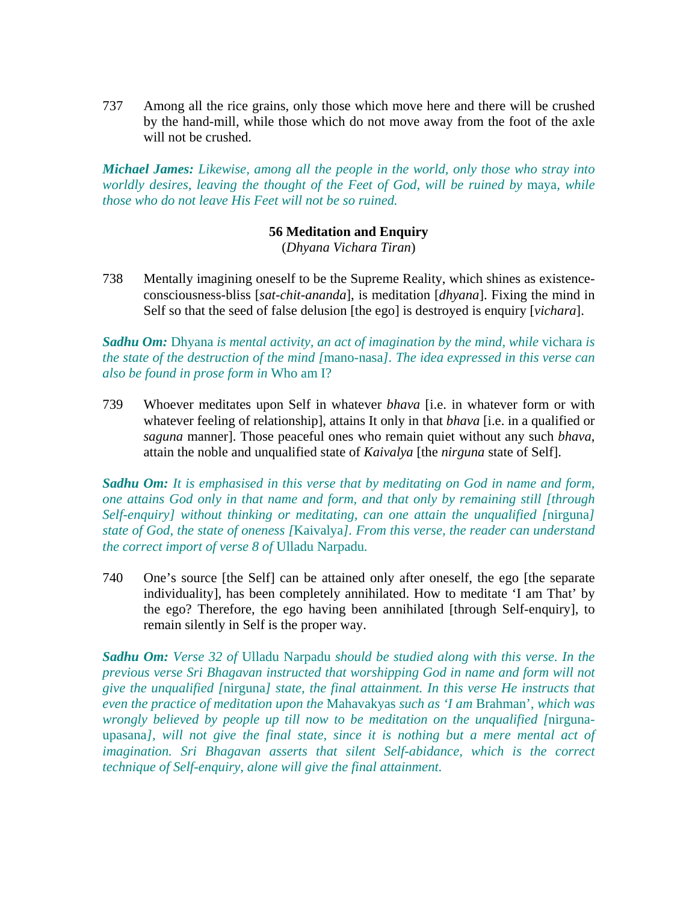737 Among all the rice grains, only those which move here and there will be crushed by the hand-mill, while those which do not move away from the foot of the axle will not be crushed.

*Michael James: Likewise, among all the people in the world, only those who stray into worldly desires, leaving the thought of the Feet of God, will be ruined by* maya*, while those who do not leave His Feet will not be so ruined.* 

### **56 Meditation and Enquiry**

(*Dhyana Vichara Tiran*)

738 Mentally imagining oneself to be the Supreme Reality, which shines as existenceconsciousness-bliss [*sat-chit-ananda*], is meditation [*dhyana*]. Fixing the mind in Self so that the seed of false delusion [the ego] is destroyed is enquiry [*vichara*].

**Sadhu Om:** Dhyana *is mental activity, an act of imagination by the mind, while vichara is the state of the destruction of the mind [*mano-nasa*]. The idea expressed in this verse can also be found in prose form in* Who am I?

739 Whoever meditates upon Self in whatever *bhava* [i.e. in whatever form or with whatever feeling of relationship], attains It only in that *bhava* [i.e. in a qualified or *saguna* manner]. Those peaceful ones who remain quiet without any such *bhava*, attain the noble and unqualified state of *Kaivalya* [the *nirguna* state of Self].

*Sadhu Om: It is emphasised in this verse that by meditating on God in name and form, one attains God only in that name and form, and that only by remaining still [through Self-enquiry] without thinking or meditating, can one attain the unqualified [*nirguna*] state of God, the state of oneness [*Kaivalya*]. From this verse, the reader can understand the correct import of verse 8 of* Ulladu Narpadu*.* 

740 One's source [the Self] can be attained only after oneself, the ego [the separate individuality], has been completely annihilated. How to meditate 'I am That' by the ego? Therefore, the ego having been annihilated [through Self-enquiry], to remain silently in Self is the proper way.

*Sadhu Om: Verse 32 of* Ulladu Narpadu *should be studied along with this verse. In the previous verse Sri Bhagavan instructed that worshipping God in name and form will not give the unqualified [*nirguna*] state, the final attainment. In this verse He instructs that even the practice of meditation upon the* Mahavakyas *such as 'I am* Brahman'*, which was wrongly believed by people up till now to be meditation on the unqualified [*nirgunaupasana*], will not give the final state, since it is nothing but a mere mental act of imagination. Sri Bhagavan asserts that silent Self-abidance, which is the correct technique of Self-enquiry, alone will give the final attainment.*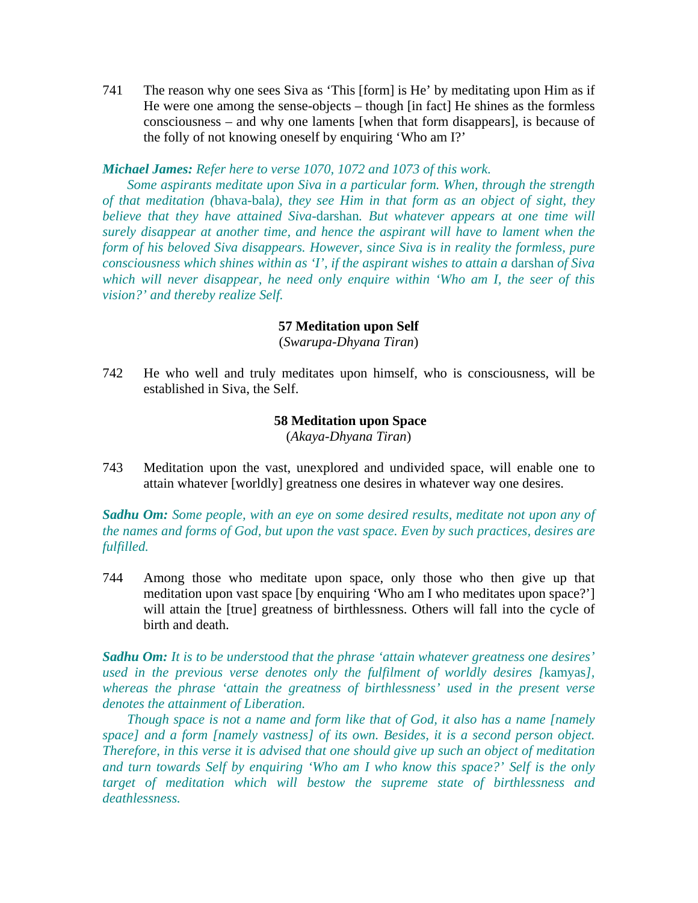741 The reason why one sees Siva as 'This [form] is He' by meditating upon Him as if He were one among the sense-objects – though [in fact] He shines as the formless consciousness – and why one laments [when that form disappears], is because of the folly of not knowing oneself by enquiring 'Who am I?'

### *Michael James: Refer here to verse 1070, 1072 and 1073 of this work.*

*Some aspirants meditate upon Siva in a particular form. When, through the strength of that meditation (*bhava-bala*), they see Him in that form as an object of sight, they believe that they have attained Siva-*darshan*. But whatever appears at one time will surely disappear at another time, and hence the aspirant will have to lament when the form of his beloved Siva disappears. However, since Siva is in reality the formless, pure consciousness which shines within as 'I', if the aspirant wishes to attain a* darshan *of Siva which will never disappear, he need only enquire within 'Who am I, the seer of this vision?' and thereby realize Self.* 

### **57 Meditation upon Self**

(*Swarupa-Dhyana Tiran*)

742 He who well and truly meditates upon himself, who is consciousness, will be established in Siva, the Self.

### **58 Meditation upon Space**

(*Akaya-Dhyana Tiran*)

743 Meditation upon the vast, unexplored and undivided space, will enable one to attain whatever [worldly] greatness one desires in whatever way one desires.

*Sadhu Om: Some people, with an eye on some desired results, meditate not upon any of the names and forms of God, but upon the vast space. Even by such practices, desires are fulfilled.* 

744 Among those who meditate upon space, only those who then give up that meditation upon vast space [by enquiring 'Who am I who meditates upon space?'] will attain the [true] greatness of birthlessness. Others will fall into the cycle of birth and death.

*Sadhu Om: It is to be understood that the phrase 'attain whatever greatness one desires' used in the previous verse denotes only the fulfilment of worldly desires [*kamyas*], whereas the phrase 'attain the greatness of birthlessness' used in the present verse denotes the attainment of Liberation.* 

*Though space is not a name and form like that of God, it also has a name [namely space] and a form [namely vastness] of its own. Besides, it is a second person object. Therefore, in this verse it is advised that one should give up such an object of meditation and turn towards Self by enquiring 'Who am I who know this space?' Self is the only target of meditation which will bestow the supreme state of birthlessness and deathlessness.*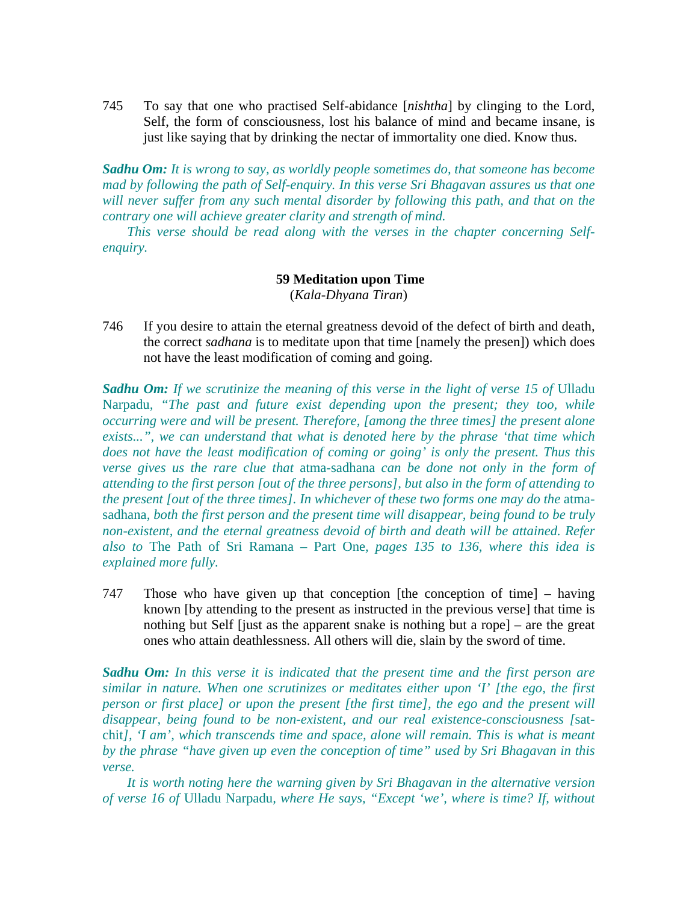745 To say that one who practised Self-abidance [*nishtha*] by clinging to the Lord, Self, the form of consciousness, lost his balance of mind and became insane, is just like saying that by drinking the nectar of immortality one died. Know thus.

*Sadhu Om: It is wrong to say, as worldly people sometimes do, that someone has become mad by following the path of Self-enquiry. In this verse Sri Bhagavan assures us that one will never suffer from any such mental disorder by following this path, and that on the contrary one will achieve greater clarity and strength of mind.* 

*This verse should be read along with the verses in the chapter concerning Selfenquiry.* 

### **59 Meditation upon Time**

(*Kala-Dhyana Tiran*)

746 If you desire to attain the eternal greatness devoid of the defect of birth and death, the correct *sadhana* is to meditate upon that time [namely the presen]) which does not have the least modification of coming and going.

*Sadhu Om:* If we scrutinize the meaning of this verse in the light of verse 15 of Ulladu Narpadu*, "The past and future exist depending upon the present; they too, while occurring were and will be present. Therefore, [among the three times] the present alone exists...", we can understand that what is denoted here by the phrase 'that time which does not have the least modification of coming or going' is only the present. Thus this verse gives us the rare clue that* atma-sadhana *can be done not only in the form of attending to the first person [out of the three persons], but also in the form of attending to the present [out of the three times]. In whichever of these two forms one may do the atma*sadhana*, both the first person and the present time will disappear, being found to be truly non-existent, and the eternal greatness devoid of birth and death will be attained. Refer also to* The Path of Sri Ramana – Part One*, pages 135 to 136, where this idea is explained more fully.* 

747 Those who have given up that conception [the conception of time] – having known [by attending to the present as instructed in the previous verse] that time is nothing but Self [just as the apparent snake is nothing but a rope] – are the great ones who attain deathlessness. All others will die, slain by the sword of time.

*Sadhu Om: In this verse it is indicated that the present time and the first person are similar in nature. When one scrutinizes or meditates either upon 'I' [the ego, the first person or first place] or upon the present [the first time], the ego and the present will disappear, being found to be non-existent, and our real existence-consciousness [*satchit*], 'I am', which transcends time and space, alone will remain. This is what is meant by the phrase "have given up even the conception of time" used by Sri Bhagavan in this verse.* 

*It is worth noting here the warning given by Sri Bhagavan in the alternative version of verse 16 of* Ulladu Narpadu*, where He says, "Except 'we', where is time? If, without*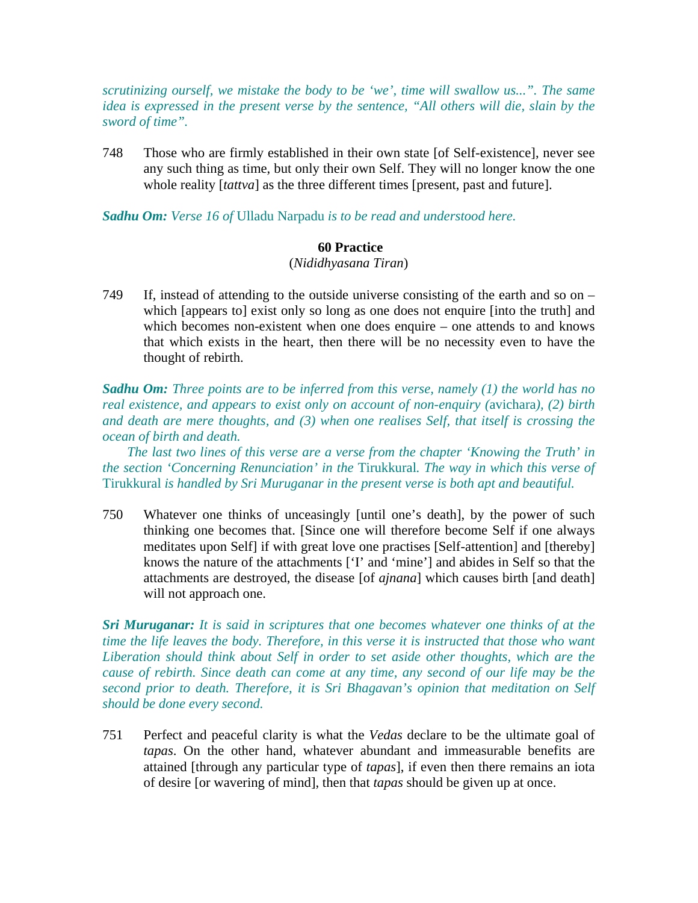*scrutinizing ourself, we mistake the body to be 'we', time will swallow us...". The same idea is expressed in the present verse by the sentence, "All others will die, slain by the sword of time".* 

748 Those who are firmly established in their own state [of Self-existence], never see any such thing as time, but only their own Self. They will no longer know the one whole reality [*tattva*] as the three different times [present, past and future].

*Sadhu Om: Verse 16 of* Ulladu Narpadu *is to be read and understood here.* 

### **60 Practice**

### (*Nididhyasana Tiran*)

749 If, instead of attending to the outside universe consisting of the earth and so on – which [appears to] exist only so long as one does not enquire [into the truth] and which becomes non-existent when one does enquire – one attends to and knows that which exists in the heart, then there will be no necessity even to have the thought of rebirth.

*Sadhu Om: Three points are to be inferred from this verse, namely (1) the world has no real existence, and appears to exist only on account of non-enquiry (*avichara*), (2) birth and death are mere thoughts, and (3) when one realises Self, that itself is crossing the ocean of birth and death.* 

*The last two lines of this verse are a verse from the chapter 'Knowing the Truth' in the section 'Concerning Renunciation' in the* Tirukkural*. The way in which this verse of*  Tirukkural *is handled by Sri Muruganar in the present verse is both apt and beautiful.* 

750 Whatever one thinks of unceasingly [until one's death], by the power of such thinking one becomes that. [Since one will therefore become Self if one always meditates upon Self] if with great love one practises [Self-attention] and [thereby] knows the nature of the attachments ['I' and 'mine'] and abides in Self so that the attachments are destroyed, the disease [of *ajnana*] which causes birth [and death] will not approach one.

*Sri Muruganar: It is said in scriptures that one becomes whatever one thinks of at the time the life leaves the body. Therefore, in this verse it is instructed that those who want Liberation should think about Self in order to set aside other thoughts, which are the cause of rebirth. Since death can come at any time, any second of our life may be the second prior to death. Therefore, it is Sri Bhagavan's opinion that meditation on Self should be done every second.* 

751 Perfect and peaceful clarity is what the *Vedas* declare to be the ultimate goal of *tapas*. On the other hand, whatever abundant and immeasurable benefits are attained [through any particular type of *tapas*], if even then there remains an iota of desire [or wavering of mind], then that *tapas* should be given up at once.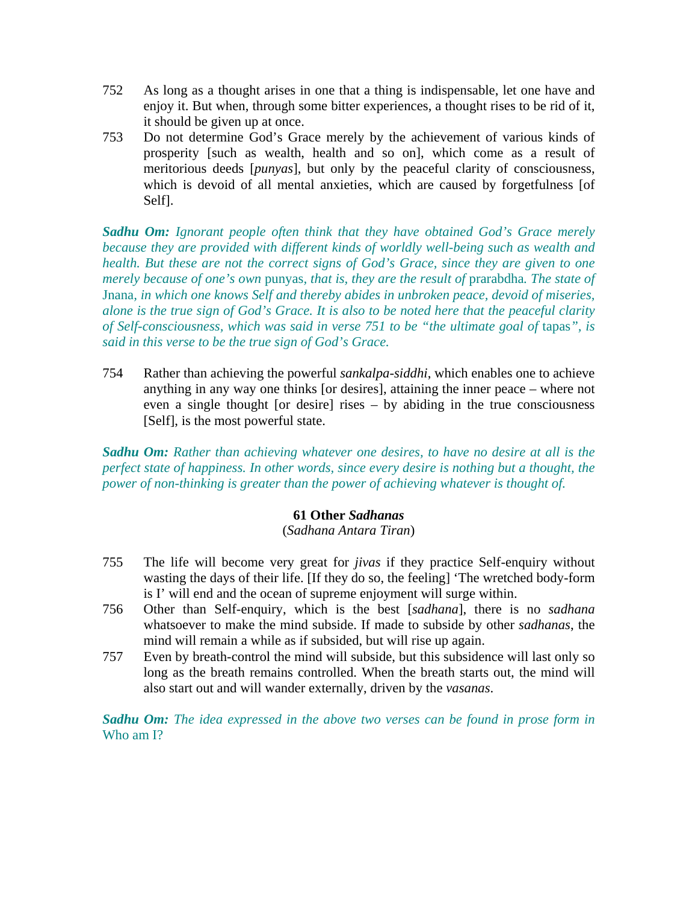- 752 As long as a thought arises in one that a thing is indispensable, let one have and enjoy it. But when, through some bitter experiences, a thought rises to be rid of it, it should be given up at once.
- 753 Do not determine God's Grace merely by the achievement of various kinds of prosperity [such as wealth, health and so on], which come as a result of meritorious deeds [*punyas*], but only by the peaceful clarity of consciousness, which is devoid of all mental anxieties, which are caused by forgetfulness [of Self].

*Sadhu Om: Ignorant people often think that they have obtained God's Grace merely because they are provided with different kinds of worldly well-being such as wealth and health. But these are not the correct signs of God's Grace, since they are given to one merely because of one's own* punyas*, that is, they are the result of* prarabdha*. The state of*  Jnana*, in which one knows Self and thereby abides in unbroken peace, devoid of miseries, alone is the true sign of God's Grace. It is also to be noted here that the peaceful clarity of Self-consciousness, which was said in verse 751 to be "the ultimate goal of tapas", is said in this verse to be the true sign of God's Grace.* 

754 Rather than achieving the powerful *sankalpa-siddhi*, which enables one to achieve anything in any way one thinks [or desires], attaining the inner peace – where not even a single thought [or desire] rises – by abiding in the true consciousness [Self], is the most powerful state.

*Sadhu Om: Rather than achieving whatever one desires, to have no desire at all is the perfect state of happiness. In other words, since every desire is nothing but a thought, the power of non-thinking is greater than the power of achieving whatever is thought of.* 

### **61 Other** *Sadhanas*

(*Sadhana Antara Tiran*)

- 755 The life will become very great for *jivas* if they practice Self-enquiry without wasting the days of their life. [If they do so, the feeling] 'The wretched body-form is I' will end and the ocean of supreme enjoyment will surge within.
- 756 Other than Self-enquiry, which is the best [*sadhana*], there is no *sadhana* whatsoever to make the mind subside. If made to subside by other *sadhanas*, the mind will remain a while as if subsided, but will rise up again.
- 757 Even by breath-control the mind will subside, but this subsidence will last only so long as the breath remains controlled. When the breath starts out, the mind will also start out and will wander externally, driven by the *vasanas*.

*Sadhu Om: The idea expressed in the above two verses can be found in prose form in*  Who am I?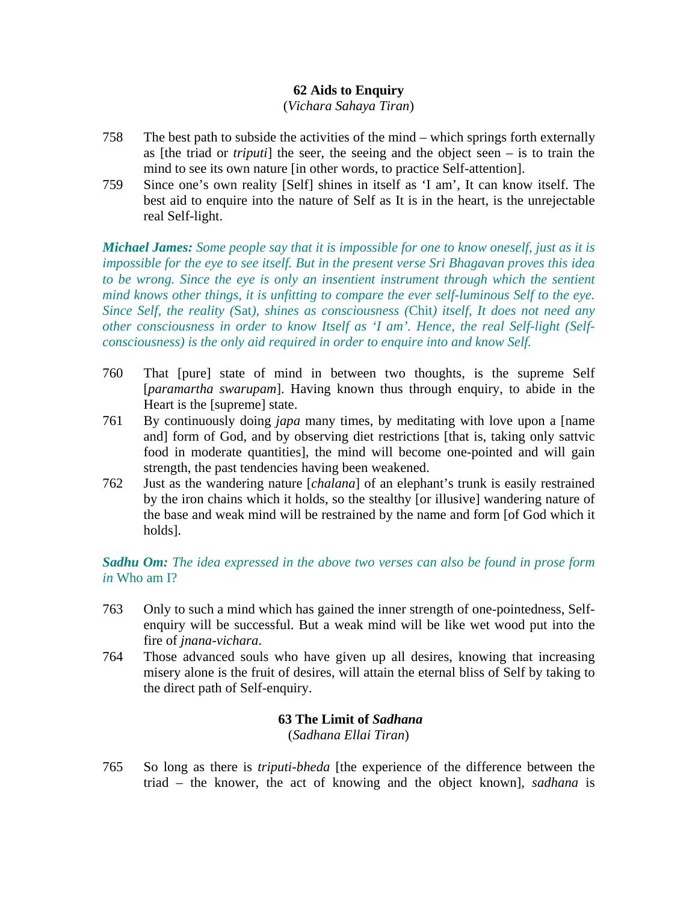### **62 Aids to Enquiry**

(*Vichara Sahaya Tiran*)

- 758 The best path to subside the activities of the mind which springs forth externally as [the triad or *triputi*] the seer, the seeing and the object seen – is to train the mind to see its own nature [in other words, to practice Self-attention].
- 759 Since one's own reality [Self] shines in itself as 'I am', It can know itself. The best aid to enquire into the nature of Self as It is in the heart, is the unrejectable real Self-light.

*Michael James: Some people say that it is impossible for one to know oneself, just as it is impossible for the eye to see itself. But in the present verse Sri Bhagavan proves this idea*  to be wrong. Since the eye is only an insentient instrument through which the sentient *mind knows other things, it is unfitting to compare the ever self-luminous Self to the eye. Since Self, the reality (*Sat*), shines as consciousness (*Chit*) itself, It does not need any other consciousness in order to know Itself as 'I am'. Hence, the real Self-light (Selfconsciousness) is the only aid required in order to enquire into and know Self.* 

- 760 That [pure] state of mind in between two thoughts, is the supreme Self [*paramartha swarupam*]. Having known thus through enquiry, to abide in the Heart is the [supreme] state.
- 761 By continuously doing *japa* many times, by meditating with love upon a [name and] form of God, and by observing diet restrictions [that is, taking only sattvic food in moderate quantities], the mind will become one-pointed and will gain strength, the past tendencies having been weakened.
- 762 Just as the wandering nature [*chalana*] of an elephant's trunk is easily restrained by the iron chains which it holds, so the stealthy [or illusive] wandering nature of the base and weak mind will be restrained by the name and form [of God which it holds].

### *Sadhu Om: The idea expressed in the above two verses can also be found in prose form in* Who am I?

- 763 Only to such a mind which has gained the inner strength of one-pointedness, Selfenquiry will be successful. But a weak mind will be like wet wood put into the fire of *jnana-vichara*.
- 764 Those advanced souls who have given up all desires, knowing that increasing misery alone is the fruit of desires, will attain the eternal bliss of Self by taking to the direct path of Self-enquiry.

### **63 The Limit of** *Sadhana*

(*Sadhana Ellai Tiran*)

765 So long as there is *triputi-bheda* [the experience of the difference between the triad – the knower, the act of knowing and the object known], *sadhana* is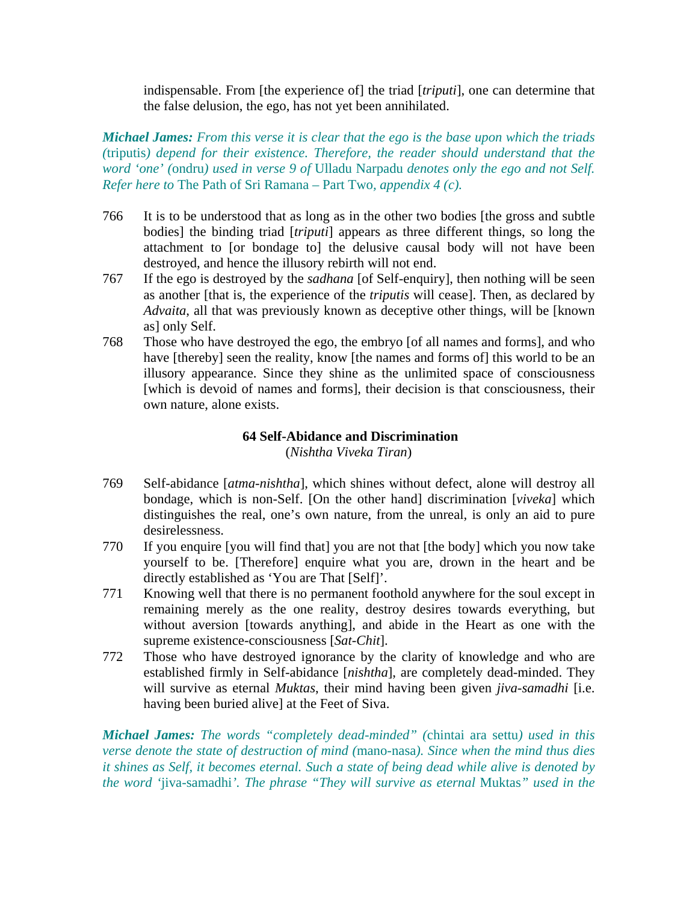indispensable. From [the experience of] the triad [*triputi*], one can determine that the false delusion, the ego, has not yet been annihilated.

*Michael James: From this verse it is clear that the ego is the base upon which the triads (*triputis*) depend for their existence. Therefore, the reader should understand that the word 'one' (*ondru*) used in verse 9 of* Ulladu Narpadu *denotes only the ego and not Self. Refer here to* The Path of Sri Ramana – Part Two*, appendix 4 (c).*

- 766 It is to be understood that as long as in the other two bodies [the gross and subtle bodies] the binding triad [*triputi*] appears as three different things, so long the attachment to [or bondage to] the delusive causal body will not have been destroyed, and hence the illusory rebirth will not end.
- 767 If the ego is destroyed by the *sadhana* [of Self-enquiry], then nothing will be seen as another [that is, the experience of the *triputis* will cease]. Then, as declared by *Advaita*, all that was previously known as deceptive other things, will be [known as] only Self.
- 768 Those who have destroyed the ego, the embryo [of all names and forms], and who have [thereby] seen the reality, know [the names and forms of] this world to be an illusory appearance. Since they shine as the unlimited space of consciousness [which is devoid of names and forms], their decision is that consciousness, their own nature, alone exists.

### **64 Self-Abidance and Discrimination**

(*Nishtha Viveka Tiran*)

- 769 Self-abidance [*atma-nishtha*], which shines without defect, alone will destroy all bondage, which is non-Self. [On the other hand] discrimination [*viveka*] which distinguishes the real, one's own nature, from the unreal, is only an aid to pure desirelessness.
- 770 If you enquire [you will find that] you are not that [the body] which you now take yourself to be. [Therefore] enquire what you are, drown in the heart and be directly established as 'You are That [Self]'.
- 771 Knowing well that there is no permanent foothold anywhere for the soul except in remaining merely as the one reality, destroy desires towards everything, but without aversion [towards anything], and abide in the Heart as one with the supreme existence-consciousness [*Sat-Chit*].
- 772 Those who have destroyed ignorance by the clarity of knowledge and who are established firmly in Self-abidance [*nishtha*], are completely dead-minded. They will survive as eternal *Muktas*, their mind having been given *jiva-samadhi* [i.e. having been buried alive] at the Feet of Siva.

*Michael James: The words "completely dead-minded" (*chintai ara settu*) used in this verse denote the state of destruction of mind (*mano-nasa*). Since when the mind thus dies it shines as Self, it becomes eternal. Such a state of being dead while alive is denoted by the word '*jiva-samadhi*'. The phrase "They will survive as eternal* Muktas*" used in the*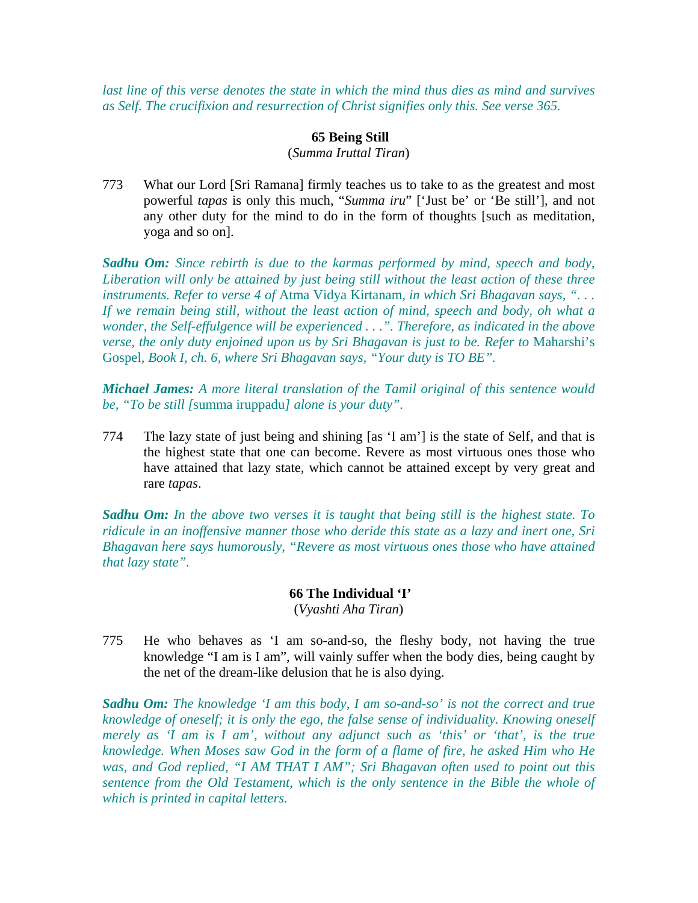*last line of this verse denotes the state in which the mind thus dies as mind and survives as Self. The crucifixion and resurrection of Christ signifies only this. See verse 365.* 

### **65 Being Still**

(*Summa Iruttal Tiran*)

773 What our Lord [Sri Ramana] firmly teaches us to take to as the greatest and most powerful *tapas* is only this much, "*Summa iru*" ['Just be' or 'Be still'], and not any other duty for the mind to do in the form of thoughts [such as meditation, yoga and so on].

*Sadhu Om: Since rebirth is due to the karmas performed by mind, speech and body, Liberation will only be attained by just being still without the least action of these three instruments. Refer to verse 4 of* Atma Vidya Kirtanam*, in which Sri Bhagavan says, ". . . If we remain being still, without the least action of mind, speech and body, oh what a wonder, the Self-effulgence will be experienced . . .". Therefore, as indicated in the above verse, the only duty enjoined upon us by Sri Bhagavan is just to be. Refer to Maharshi's* Gospel*, Book I, ch. 6, where Sri Bhagavan says, "Your duty is TO BE".* 

*Michael James: A more literal translation of the Tamil original of this sentence would be, "To be still [*summa iruppadu*] alone is your duty".* 

774 The lazy state of just being and shining [as 'I am'] is the state of Self, and that is the highest state that one can become. Revere as most virtuous ones those who have attained that lazy state, which cannot be attained except by very great and rare *tapas*.

*Sadhu Om: In the above two verses it is taught that being still is the highest state. To ridicule in an inoffensive manner those who deride this state as a lazy and inert one, Sri Bhagavan here says humorously, "Revere as most virtuous ones those who have attained that lazy state".* 

> **66 The Individual 'I'**  (*Vyashti Aha Tiran*)

775 He who behaves as 'I am so-and-so, the fleshy body, not having the true knowledge "I am is I am", will vainly suffer when the body dies, being caught by the net of the dream-like delusion that he is also dying.

*Sadhu Om: The knowledge 'I am this body, I am so-and-so' is not the correct and true knowledge of oneself; it is only the ego, the false sense of individuality. Knowing oneself merely as 'I am is I am', without any adjunct such as 'this' or 'that', is the true knowledge. When Moses saw God in the form of a flame of fire, he asked Him who He was, and God replied, "I AM THAT I AM"; Sri Bhagavan often used to point out this sentence from the Old Testament, which is the only sentence in the Bible the whole of which is printed in capital letters.*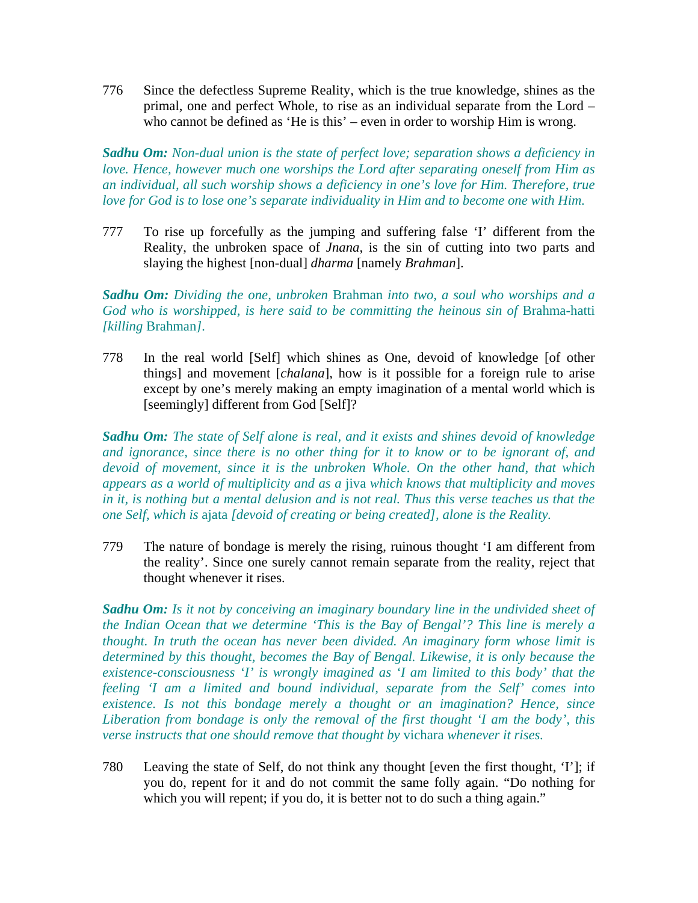776 Since the defectless Supreme Reality, which is the true knowledge, shines as the primal, one and perfect Whole, to rise as an individual separate from the Lord – who cannot be defined as 'He is this' – even in order to worship Him is wrong.

*Sadhu Om: Non-dual union is the state of perfect love; separation shows a deficiency in love. Hence, however much one worships the Lord after separating oneself from Him as an individual, all such worship shows a deficiency in one's love for Him. Therefore, true love for God is to lose one's separate individuality in Him and to become one with Him.* 

777 To rise up forcefully as the jumping and suffering false 'I' different from the Reality, the unbroken space of *Jnana*, is the sin of cutting into two parts and slaying the highest [non-dual] *dharma* [namely *Brahman*].

*Sadhu Om: Dividing the one, unbroken* Brahman *into two, a soul who worships and a*  God who is worshipped, is here said to be committing the heinous sin of Brahma-hatti *[killing* Brahman*].*

778 In the real world [Self] which shines as One, devoid of knowledge [of other things] and movement [*chalana*], how is it possible for a foreign rule to arise except by one's merely making an empty imagination of a mental world which is [seemingly] different from God [Self]?

*Sadhu Om: The state of Self alone is real, and it exists and shines devoid of knowledge and ignorance, since there is no other thing for it to know or to be ignorant of, and devoid of movement, since it is the unbroken Whole. On the other hand, that which appears as a world of multiplicity and as a* jiva *which knows that multiplicity and moves in it, is nothing but a mental delusion and is not real. Thus this verse teaches us that the one Self, which is* ajata *[devoid of creating or being created], alone is the Reality.* 

779 The nature of bondage is merely the rising, ruinous thought 'I am different from the reality'. Since one surely cannot remain separate from the reality, reject that thought whenever it rises.

*Sadhu Om: Is it not by conceiving an imaginary boundary line in the undivided sheet of the Indian Ocean that we determine 'This is the Bay of Bengal'? This line is merely a thought. In truth the ocean has never been divided. An imaginary form whose limit is determined by this thought, becomes the Bay of Bengal. Likewise, it is only because the existence-consciousness 'I' is wrongly imagined as 'I am limited to this body' that the feeling 'I am a limited and bound individual, separate from the Self' comes into existence. Is not this bondage merely a thought or an imagination? Hence, since Liberation from bondage is only the removal of the first thought 'I am the body', this verse instructs that one should remove that thought by* vichara *whenever it rises.* 

780 Leaving the state of Self, do not think any thought [even the first thought, 'I']; if you do, repent for it and do not commit the same folly again. "Do nothing for which you will repent; if you do, it is better not to do such a thing again."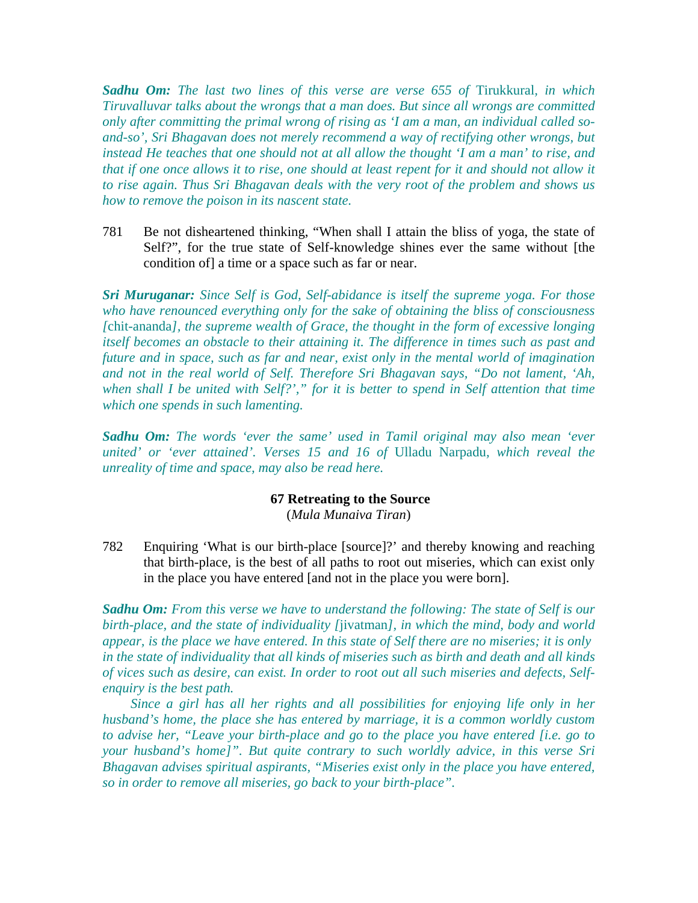*Sadhu Om: The last two lines of this verse are verse 655 of* Tirukkural*, in which Tiruvalluvar talks about the wrongs that a man does. But since all wrongs are committed only after committing the primal wrong of rising as 'I am a man, an individual called soand-so', Sri Bhagavan does not merely recommend a way of rectifying other wrongs, but instead He teaches that one should not at all allow the thought 'I am a man' to rise, and that if one once allows it to rise, one should at least repent for it and should not allow it to rise again. Thus Sri Bhagavan deals with the very root of the problem and shows us how to remove the poison in its nascent state.* 

781 Be not disheartened thinking, "When shall I attain the bliss of yoga, the state of Self?", for the true state of Self-knowledge shines ever the same without [the condition of] a time or a space such as far or near.

*Sri Muruganar: Since Self is God, Self-abidance is itself the supreme yoga. For those who have renounced everything only for the sake of obtaining the bliss of consciousness [*chit-ananda*], the supreme wealth of Grace, the thought in the form of excessive longing itself becomes an obstacle to their attaining it. The difference in times such as past and future and in space, such as far and near, exist only in the mental world of imagination and not in the real world of Self. Therefore Sri Bhagavan says, "Do not lament, 'Ah, when shall I be united with Self?'," for it is better to spend in Self attention that time which one spends in such lamenting.* 

*Sadhu Om: The words 'ever the same' used in Tamil original may also mean 'ever united' or 'ever attained'. Verses 15 and 16 of* Ulladu Narpadu*, which reveal the unreality of time and space, may also be read here.* 

#### **67 Retreating to the Source**

(*Mula Munaiva Tiran*)

782 Enquiring 'What is our birth-place [source]?' and thereby knowing and reaching that birth-place, is the best of all paths to root out miseries, which can exist only in the place you have entered [and not in the place you were born].

*Sadhu Om: From this verse we have to understand the following: The state of Self is our birth-place, and the state of individuality [*jivatman*], in which the mind, body and world appear, is the place we have entered. In this state of Self there are no miseries; it is only in the state of individuality that all kinds of miseries such as birth and death and all kinds of vices such as desire, can exist. In order to root out all such miseries and defects, Selfenquiry is the best path.* 

*Since a girl has all her rights and all possibilities for enjoying life only in her husband's home, the place she has entered by marriage, it is a common worldly custom to advise her, "Leave your birth-place and go to the place you have entered [i.e. go to your husband's home]". But quite contrary to such worldly advice, in this verse Sri Bhagavan advises spiritual aspirants, "Miseries exist only in the place you have entered, so in order to remove all miseries, go back to your birth-place".*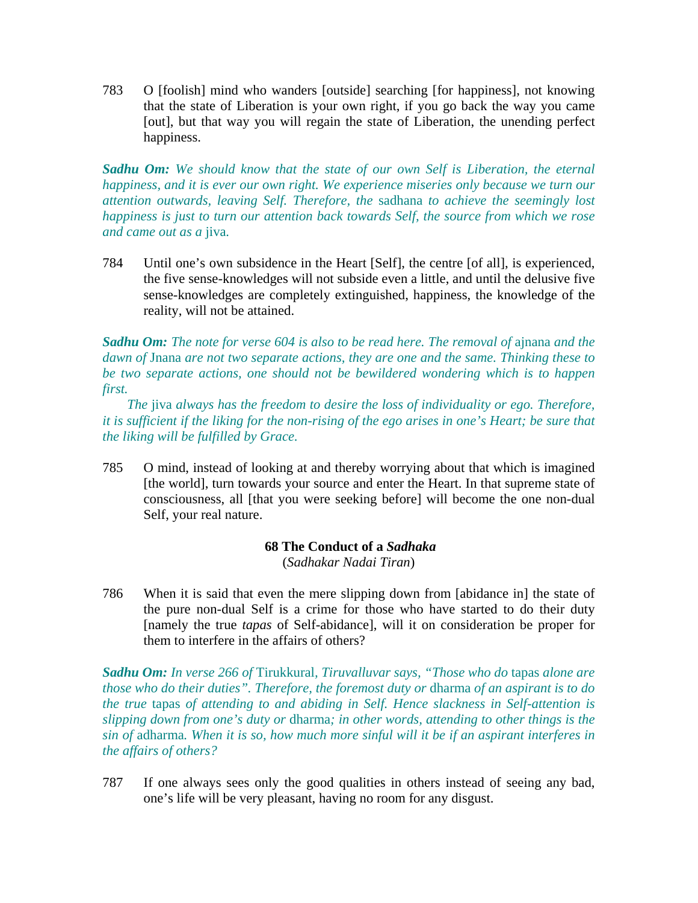783 O [foolish] mind who wanders [outside] searching [for happiness], not knowing that the state of Liberation is your own right, if you go back the way you came [out], but that way you will regain the state of Liberation, the unending perfect happiness.

*Sadhu Om: We should know that the state of our own Self is Liberation, the eternal happiness, and it is ever our own right. We experience miseries only because we turn our attention outwards, leaving Self. Therefore, the* sadhana *to achieve the seemingly lost happiness is just to turn our attention back towards Self, the source from which we rose and came out as a* jiva*.* 

784 Until one's own subsidence in the Heart [Self], the centre [of all], is experienced, the five sense-knowledges will not subside even a little, and until the delusive five sense-knowledges are completely extinguished, happiness, the knowledge of the reality, will not be attained.

**Sadhu Om:** The note for verse 604 is also to be read here. The removal of ajnana and the *dawn of* Jnana *are not two separate actions, they are one and the same. Thinking these to be two separate actions, one should not be bewildered wondering which is to happen first.* 

 *The* jiva *always has the freedom to desire the loss of individuality or ego. Therefore, it is sufficient if the liking for the non-rising of the ego arises in one's Heart; be sure that the liking will be fulfilled by Grace.* 

785 O mind, instead of looking at and thereby worrying about that which is imagined [the world], turn towards your source and enter the Heart. In that supreme state of consciousness, all [that you were seeking before] will become the one non-dual Self, your real nature.

> **68 The Conduct of a** *Sadhaka* (*Sadhakar Nadai Tiran*)

786 When it is said that even the mere slipping down from [abidance in] the state of the pure non-dual Self is a crime for those who have started to do their duty [namely the true *tapas* of Self-abidance], will it on consideration be proper for them to interfere in the affairs of others?

*Sadhu Om: In verse 266 of* Tirukkural*, Tiruvalluvar says, "Those who do* tapas *alone are those who do their duties". Therefore, the foremost duty or* dharma *of an aspirant is to do the true* tapas *of attending to and abiding in Self. Hence slackness in Self-attention is slipping down from one's duty or* dharma*; in other words, attending to other things is the sin of* adharma*. When it is so, how much more sinful will it be if an aspirant interferes in the affairs of others?* 

787 If one always sees only the good qualities in others instead of seeing any bad, one's life will be very pleasant, having no room for any disgust.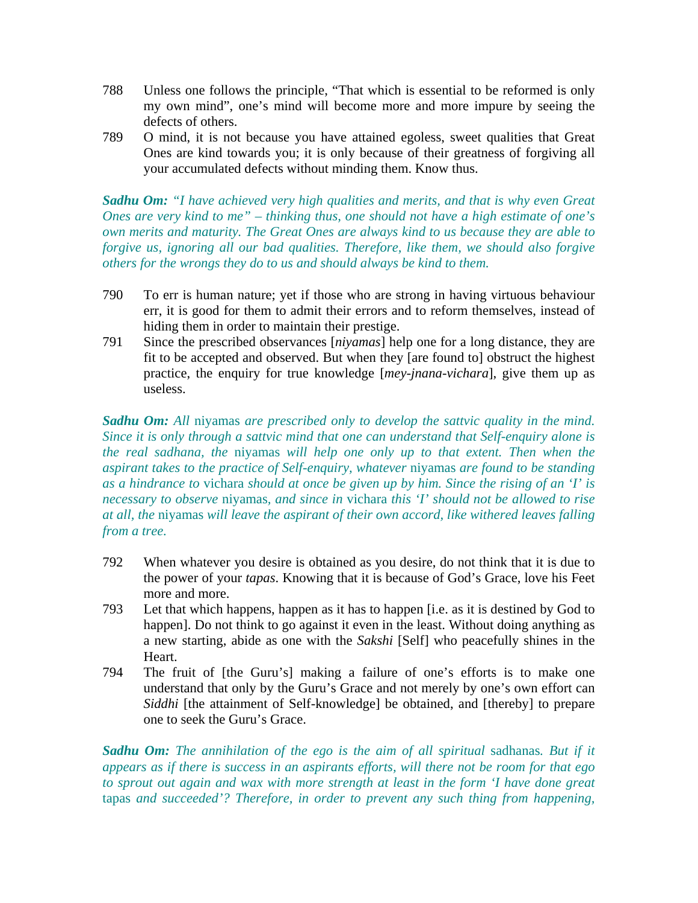- 788 Unless one follows the principle, "That which is essential to be reformed is only my own mind", one's mind will become more and more impure by seeing the defects of others.
- 789 O mind, it is not because you have attained egoless, sweet qualities that Great Ones are kind towards you; it is only because of their greatness of forgiving all your accumulated defects without minding them. Know thus.

*Sadhu Om: "I have achieved very high qualities and merits, and that is why even Great Ones are very kind to me" – thinking thus, one should not have a high estimate of one's own merits and maturity. The Great Ones are always kind to us because they are able to forgive us, ignoring all our bad qualities. Therefore, like them, we should also forgive others for the wrongs they do to us and should always be kind to them.* 

- 790 To err is human nature; yet if those who are strong in having virtuous behaviour err, it is good for them to admit their errors and to reform themselves, instead of hiding them in order to maintain their prestige.
- 791 Since the prescribed observances [*niyamas*] help one for a long distance, they are fit to be accepted and observed. But when they [are found to] obstruct the highest practice, the enquiry for true knowledge [*mey-jnana-vichara*], give them up as useless.

**Sadhu Om:** All niyamas are prescribed only to develop the sattvic quality in the mind. *Since it is only through a sattvic mind that one can understand that Self-enquiry alone is the real sadhana, the* niyamas *will help one only up to that extent. Then when the aspirant takes to the practice of Self-enquiry, whatever* niyamas *are found to be standing as a hindrance to* vichara *should at once be given up by him. Since the rising of an 'I' is necessary to observe* niyamas*, and since in* vichara *this 'I' should not be allowed to rise at all, the* niyamas *will leave the aspirant of their own accord, like withered leaves falling from a tree.* 

- 792 When whatever you desire is obtained as you desire, do not think that it is due to the power of your *tapas*. Knowing that it is because of God's Grace, love his Feet more and more.
- 793 Let that which happens, happen as it has to happen [i.e. as it is destined by God to happen]. Do not think to go against it even in the least. Without doing anything as a new starting, abide as one with the *Sakshi* [Self] who peacefully shines in the Heart.
- 794 The fruit of [the Guru's] making a failure of one's efforts is to make one understand that only by the Guru's Grace and not merely by one's own effort can *Siddhi* [the attainment of Self-knowledge] be obtained, and [thereby] to prepare one to seek the Guru's Grace.

**Sadhu Om:** The annihilation of the ego is the aim of all spiritual sadhanas. But if it *appears as if there is success in an aspirants efforts, will there not be room for that ego to sprout out again and wax with more strength at least in the form 'I have done great*  tapas *and succeeded'? Therefore, in order to prevent any such thing from happening,*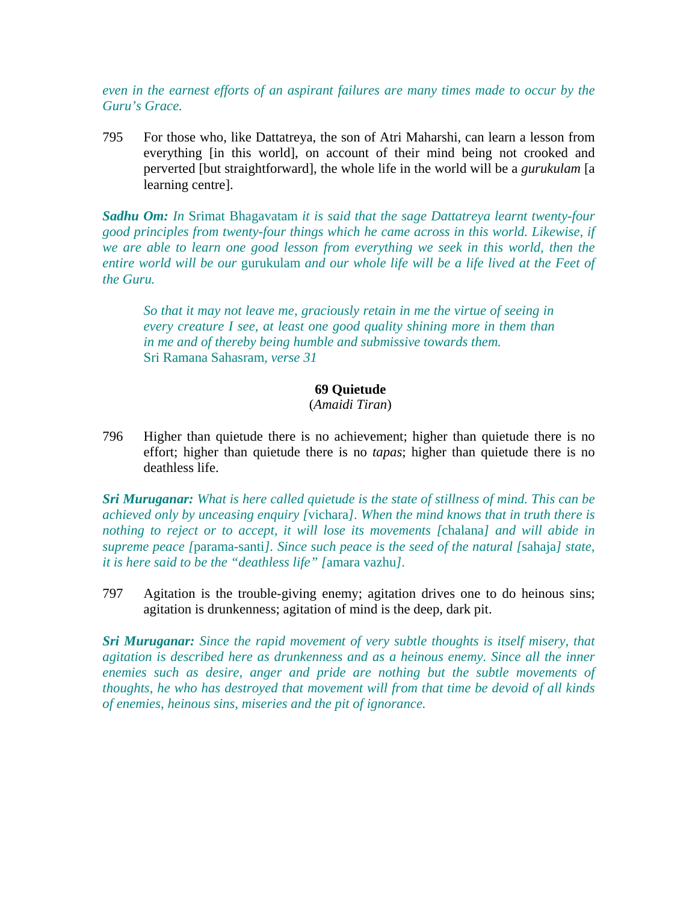*even in the earnest efforts of an aspirant failures are many times made to occur by the Guru's Grace.* 

795 For those who, like Dattatreya, the son of Atri Maharshi, can learn a lesson from everything [in this world], on account of their mind being not crooked and perverted [but straightforward], the whole life in the world will be a *gurukulam* [a learning centre].

*Sadhu Om: In* Srimat Bhagavatam *it is said that the sage Dattatreya learnt twenty-four good principles from twenty-four things which he came across in this world. Likewise, if*  we are able to learn one good lesson from everything we seek in this world, then the *entire world will be our* gurukulam *and our whole life will be a life lived at the Feet of the Guru.* 

*So that it may not leave me, graciously retain in me the virtue of seeing in every creature I see, at least one good quality shining more in them than in me and of thereby being humble and submissive towards them.*  Sri Ramana Sahasram*, verse 31* 

### **69 Quietude**

#### (*Amaidi Tiran*)

796 Higher than quietude there is no achievement; higher than quietude there is no effort; higher than quietude there is no *tapas*; higher than quietude there is no deathless life.

*Sri Muruganar: What is here called quietude is the state of stillness of mind. This can be achieved only by unceasing enquiry [*vichara*]. When the mind knows that in truth there is nothing to reject or to accept, it will lose its movements [*chalana*] and will abide in supreme peace [*parama-santi*]. Since such peace is the seed of the natural [*sahaja*] state, it is here said to be the "deathless life" [*amara vazhu*].*

797 Agitation is the trouble-giving enemy; agitation drives one to do heinous sins; agitation is drunkenness; agitation of mind is the deep, dark pit.

*Sri Muruganar: Since the rapid movement of very subtle thoughts is itself misery, that agitation is described here as drunkenness and as a heinous enemy. Since all the inner enemies such as desire, anger and pride are nothing but the subtle movements of thoughts, he who has destroyed that movement will from that time be devoid of all kinds of enemies, heinous sins, miseries and the pit of ignorance.*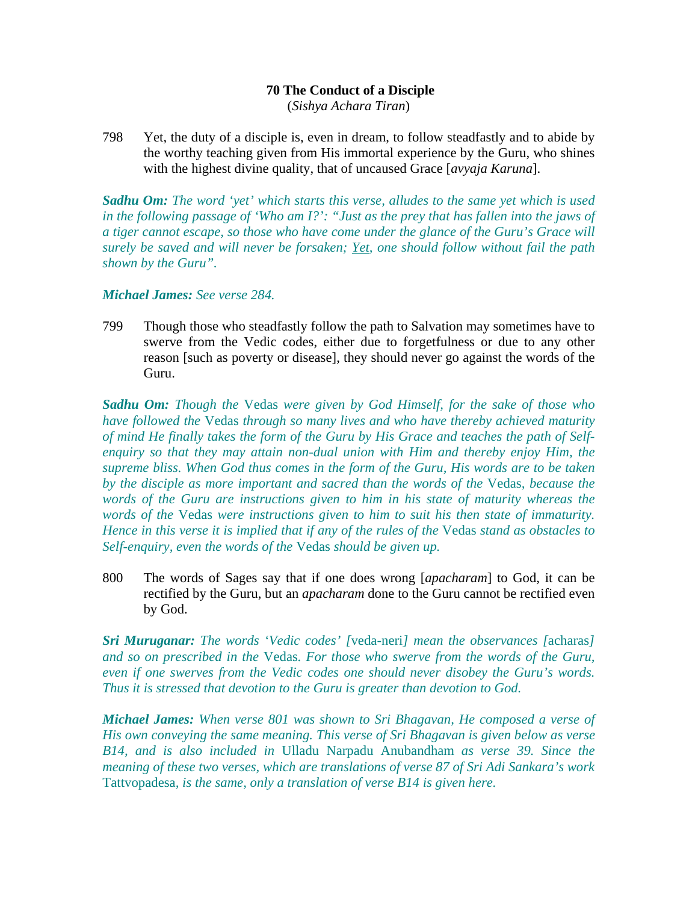### **70 The Conduct of a Disciple**

(*Sishya Achara Tiran*)

798 Yet, the duty of a disciple is, even in dream, to follow steadfastly and to abide by the worthy teaching given from His immortal experience by the Guru, who shines with the highest divine quality, that of uncaused Grace [*avyaja Karuna*].

*Sadhu Om: The word 'yet' which starts this verse, alludes to the same yet which is used in the following passage of 'Who am I?': "Just as the prey that has fallen into the jaws of a tiger cannot escape, so those who have come under the glance of the Guru's Grace will surely be saved and will never be forsaken; Yet, one should follow without fail the path shown by the Guru".* 

### *Michael James: See verse 284.*

799 Though those who steadfastly follow the path to Salvation may sometimes have to swerve from the Vedic codes, either due to forgetfulness or due to any other reason [such as poverty or disease], they should never go against the words of the Guru.

*Sadhu Om: Though the* Vedas *were given by God Himself, for the sake of those who have followed the* Vedas *through so many lives and who have thereby achieved maturity of mind He finally takes the form of the Guru by His Grace and teaches the path of Selfenquiry so that they may attain non-dual union with Him and thereby enjoy Him, the supreme bliss. When God thus comes in the form of the Guru, His words are to be taken by the disciple as more important and sacred than the words of the* Vedas*, because the words of the Guru are instructions given to him in his state of maturity whereas the words of the* Vedas *were instructions given to him to suit his then state of immaturity. Hence in this verse it is implied that if any of the rules of the* Vedas *stand as obstacles to Self-enquiry, even the words of the* Vedas *should be given up.* 

800 The words of Sages say that if one does wrong [*apacharam*] to God, it can be rectified by the Guru, but an *apacharam* done to the Guru cannot be rectified even by God.

*Sri Muruganar: The words 'Vedic codes' [*veda-neri*] mean the observances [*acharas*] and so on prescribed in the* Vedas*. For those who swerve from the words of the Guru, even if one swerves from the Vedic codes one should never disobey the Guru's words. Thus it is stressed that devotion to the Guru is greater than devotion to God.* 

*Michael James: When verse 801 was shown to Sri Bhagavan, He composed a verse of His own conveying the same meaning. This verse of Sri Bhagavan is given below as verse B14, and is also included in* Ulladu Narpadu Anubandham *as verse 39. Since the meaning of these two verses, which are translations of verse 87 of Sri Adi Sankara's work*  Tattvopadesa*, is the same, only a translation of verse B14 is given here.*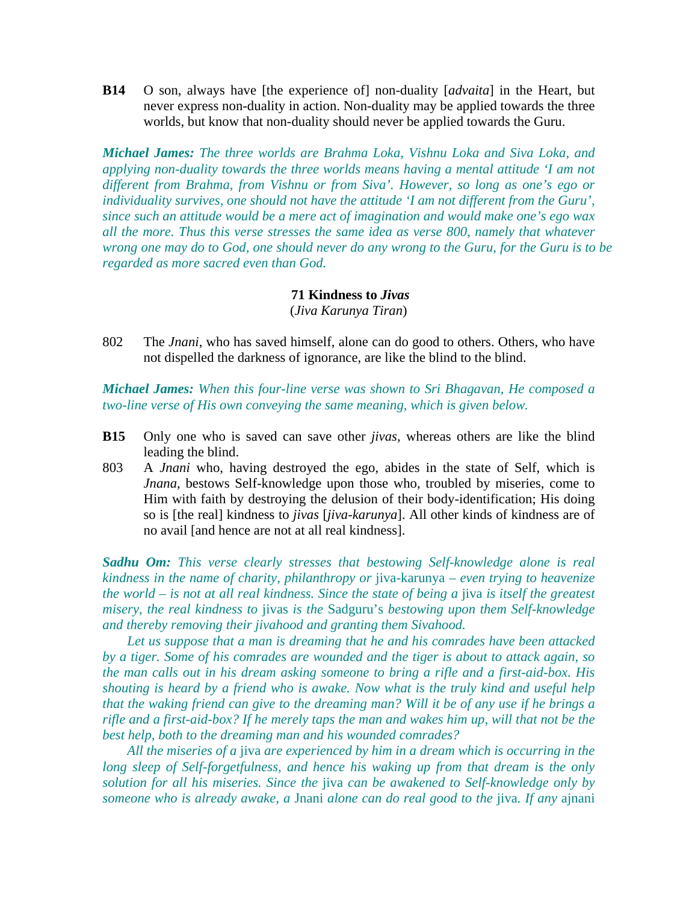**B14** O son, always have [the experience of] non-duality [*advaita*] in the Heart, but never express non-duality in action. Non-duality may be applied towards the three worlds, but know that non-duality should never be applied towards the Guru.

*Michael James: The three worlds are Brahma Loka, Vishnu Loka and Siva Loka, and applying non-duality towards the three worlds means having a mental attitude 'I am not different from Brahma, from Vishnu or from Siva'. However, so long as one's ego or individuality survives, one should not have the attitude 'I am not different from the Guru', since such an attitude would be a mere act of imagination and would make one's ego wax all the more. Thus this verse stresses the same idea as verse 800, namely that whatever wrong one may do to God, one should never do any wrong to the Guru, for the Guru is to be regarded as more sacred even than God.* 

### **71 Kindness to** *Jivas*

(*Jiva Karunya Tiran*)

802 The *Jnani*, who has saved himself, alone can do good to others. Others, who have not dispelled the darkness of ignorance, are like the blind to the blind.

*Michael James: When this four-line verse was shown to Sri Bhagavan, He composed a two-line verse of His own conveying the same meaning, which is given below.* 

- **B15** Only one who is saved can save other *jivas*, whereas others are like the blind leading the blind.
- 803 A *Jnani* who, having destroyed the ego, abides in the state of Self, which is *Jnana*, bestows Self-knowledge upon those who, troubled by miseries, come to Him with faith by destroying the delusion of their body-identification; His doing so is [the real] kindness to *jivas* [*jiva-karunya*]. All other kinds of kindness are of no avail [and hence are not at all real kindness].

*Sadhu Om: This verse clearly stresses that bestowing Self-knowledge alone is real kindness in the name of charity, philanthropy or* jiva-karunya – *even trying to heavenize the world* – *is not at all real kindness. Since the state of being a* jiva *is itself the greatest misery, the real kindness to* jivas *is the* Sadguru's *bestowing upon them Self-knowledge and thereby removing their jivahood and granting them Sivahood.* 

*Let us suppose that a man is dreaming that he and his comrades have been attacked by a tiger. Some of his comrades are wounded and the tiger is about to attack again, so the man calls out in his dream asking someone to bring a rifle and a first-aid-box. His shouting is heard by a friend who is awake. Now what is the truly kind and useful help that the waking friend can give to the dreaming man? Will it be of any use if he brings a rifle and a first-aid-box? If he merely taps the man and wakes him up, will that not be the best help, both to the dreaming man and his wounded comrades?* 

*All the miseries of a* jiva *are experienced by him in a dream which is occurring in the long sleep of Self-forgetfulness, and hence his waking up from that dream is the only solution for all his miseries. Since the* jiva *can be awakened to Self-knowledge only by someone who is already awake, a* Jnani *alone can do real good to the* jiva*. If any* ajnani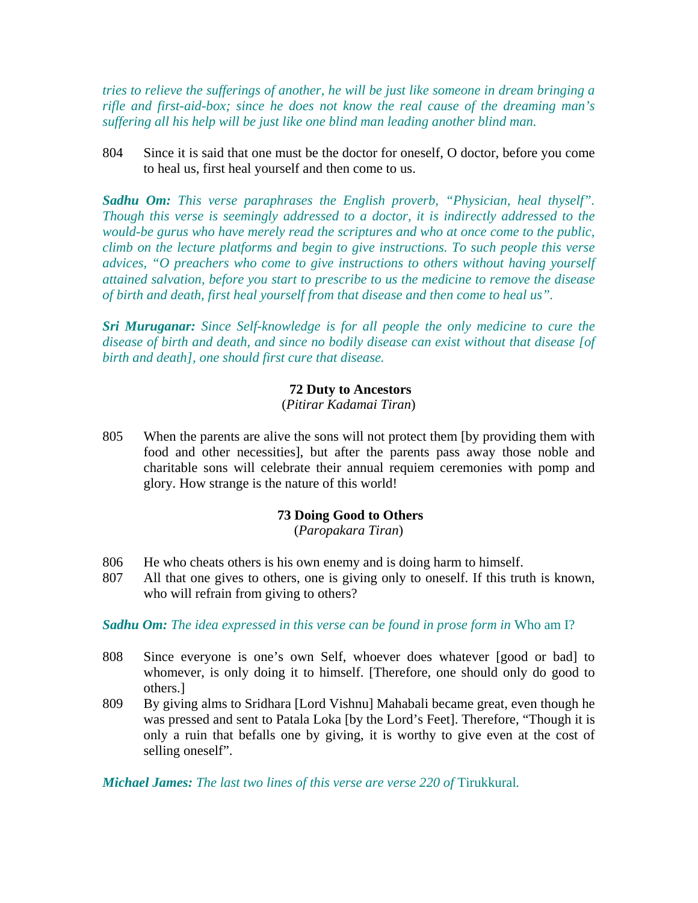*tries to relieve the sufferings of another, he will be just like someone in dream bringing a rifle and first-aid-box; since he does not know the real cause of the dreaming man's suffering all his help will be just like one blind man leading another blind man.* 

804 Since it is said that one must be the doctor for oneself, O doctor, before you come to heal us, first heal yourself and then come to us.

*Sadhu Om: This verse paraphrases the English proverb, "Physician, heal thyself". Though this verse is seemingly addressed to a doctor, it is indirectly addressed to the would-be gurus who have merely read the scriptures and who at once come to the public, climb on the lecture platforms and begin to give instructions. To such people this verse advices, "O preachers who come to give instructions to others without having yourself attained salvation, before you start to prescribe to us the medicine to remove the disease of birth and death, first heal yourself from that disease and then come to heal us".* 

*Sri Muruganar: Since Self-knowledge is for all people the only medicine to cure the disease of birth and death, and since no bodily disease can exist without that disease [of birth and death], one should first cure that disease.* 

### **72 Duty to Ancestors**

(*Pitirar Kadamai Tiran*)

805 When the parents are alive the sons will not protect them [by providing them with food and other necessities], but after the parents pass away those noble and charitable sons will celebrate their annual requiem ceremonies with pomp and glory. How strange is the nature of this world!

### **73 Doing Good to Others**

### (*Paropakara Tiran*)

- 806 He who cheats others is his own enemy and is doing harm to himself.
- 807 All that one gives to others, one is giving only to oneself. If this truth is known, who will refrain from giving to others?

#### *Sadhu Om: The idea expressed in this verse can be found in prose form in* Who am I?

- 808 Since everyone is one's own Self, whoever does whatever [good or bad] to whomever, is only doing it to himself. [Therefore, one should only do good to others.]
- 809 By giving alms to Sridhara [Lord Vishnu] Mahabali became great, even though he was pressed and sent to Patala Loka [by the Lord's Feet]. Therefore, "Though it is only a ruin that befalls one by giving, it is worthy to give even at the cost of selling oneself".

*Michael James: The last two lines of this verse are verse 220 of Tirukkural.*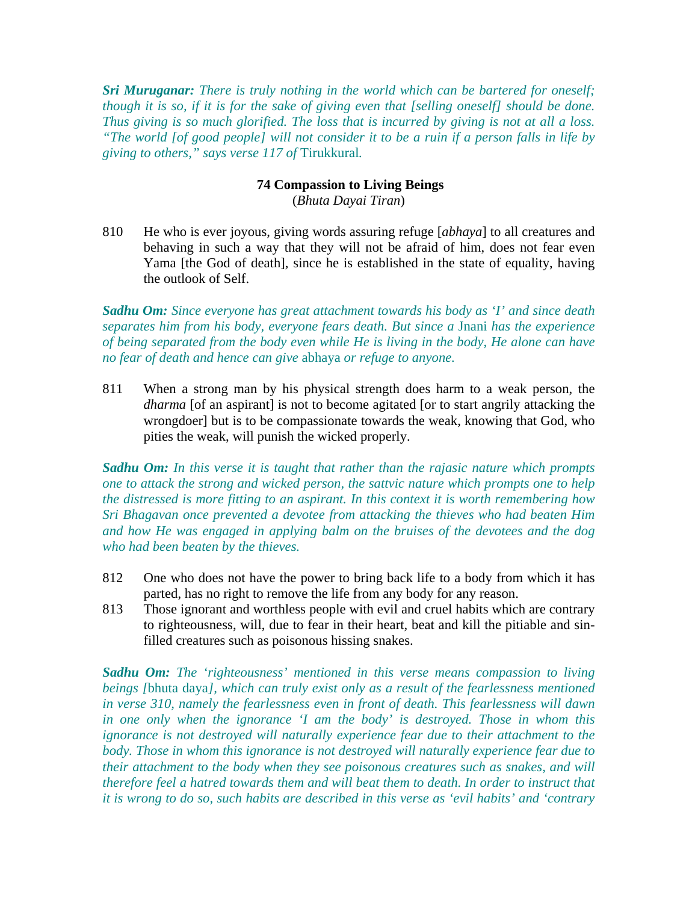*Sri Muruganar: There is truly nothing in the world which can be bartered for oneself; though it is so, if it is for the sake of giving even that [selling oneself] should be done. Thus giving is so much glorified. The loss that is incurred by giving is not at all a loss. "The world [of good people] will not consider it to be a ruin if a person falls in life by giving to others," says verse 117 of* Tirukkural*.* 

## **74 Compassion to Living Beings**

(*Bhuta Dayai Tiran*)

810 He who is ever joyous, giving words assuring refuge [*abhaya*] to all creatures and behaving in such a way that they will not be afraid of him, does not fear even Yama [the God of death], since he is established in the state of equality, having the outlook of Self.

*Sadhu Om: Since everyone has great attachment towards his body as 'I' and since death separates him from his body, everyone fears death. But since a* Jnani *has the experience of being separated from the body even while He is living in the body, He alone can have no fear of death and hence can give* abhaya *or refuge to anyone.* 

811 When a strong man by his physical strength does harm to a weak person, the *dharma* [of an aspirant] is not to become agitated [or to start angrily attacking the wrongdoer] but is to be compassionate towards the weak, knowing that God, who pities the weak, will punish the wicked properly.

*Sadhu Om: In this verse it is taught that rather than the rajasic nature which prompts one to attack the strong and wicked person, the sattvic nature which prompts one to help the distressed is more fitting to an aspirant. In this context it is worth remembering how Sri Bhagavan once prevented a devotee from attacking the thieves who had beaten Him and how He was engaged in applying balm on the bruises of the devotees and the dog who had been beaten by the thieves.* 

- 812 One who does not have the power to bring back life to a body from which it has parted, has no right to remove the life from any body for any reason.
- 813 Those ignorant and worthless people with evil and cruel habits which are contrary to righteousness, will, due to fear in their heart, beat and kill the pitiable and sinfilled creatures such as poisonous hissing snakes.

*Sadhu Om: The 'righteousness' mentioned in this verse means compassion to living beings [*bhuta daya*], which can truly exist only as a result of the fearlessness mentioned in verse 310, namely the fearlessness even in front of death. This fearlessness will dawn in one only when the ignorance 'I am the body' is destroyed. Those in whom this ignorance is not destroyed will naturally experience fear due to their attachment to the body. Those in whom this ignorance is not destroyed will naturally experience fear due to their attachment to the body when they see poisonous creatures such as snakes, and will therefore feel a hatred towards them and will beat them to death. In order to instruct that it is wrong to do so, such habits are described in this verse as 'evil habits' and 'contrary*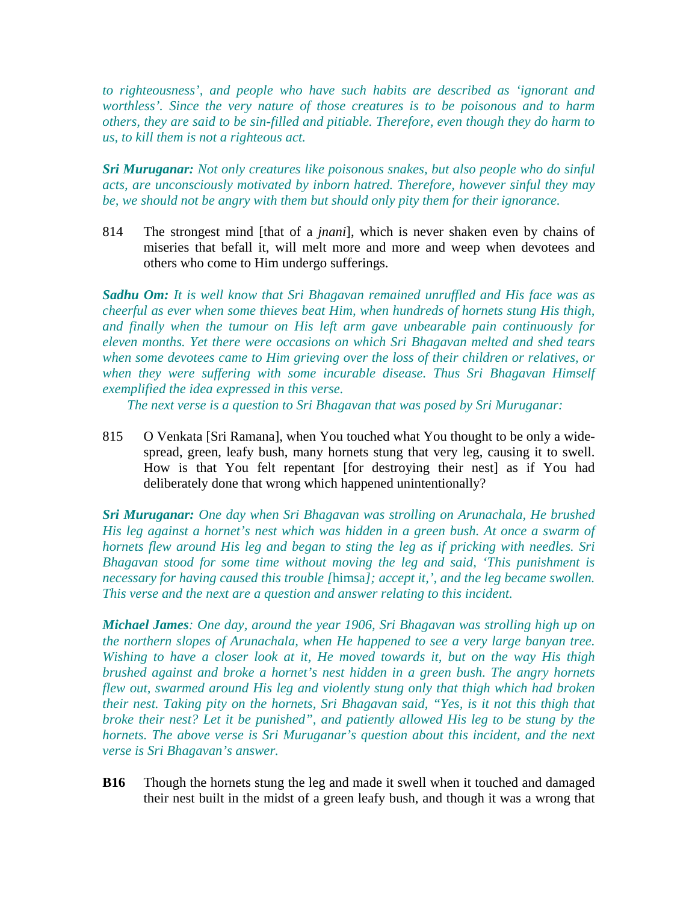*to righteousness', and people who have such habits are described as 'ignorant and worthless'. Since the very nature of those creatures is to be poisonous and to harm others, they are said to be sin-filled and pitiable. Therefore, even though they do harm to us, to kill them is not a righteous act.* 

*Sri Muruganar: Not only creatures like poisonous snakes, but also people who do sinful acts, are unconsciously motivated by inborn hatred. Therefore, however sinful they may be, we should not be angry with them but should only pity them for their ignorance.* 

814 The strongest mind [that of a *jnani*], which is never shaken even by chains of miseries that befall it, will melt more and more and weep when devotees and others who come to Him undergo sufferings.

*Sadhu Om: It is well know that Sri Bhagavan remained unruffled and His face was as cheerful as ever when some thieves beat Him, when hundreds of hornets stung His thigh, and finally when the tumour on His left arm gave unbearable pain continuously for eleven months. Yet there were occasions on which Sri Bhagavan melted and shed tears when some devotees came to Him grieving over the loss of their children or relatives, or*  when they were suffering with some incurable disease. Thus Sri Bhagavan Himself *exemplified the idea expressed in this verse.* 

*The next verse is a question to Sri Bhagavan that was posed by Sri Muruganar:* 

815 O Venkata [Sri Ramana], when You touched what You thought to be only a widespread, green, leafy bush, many hornets stung that very leg, causing it to swell. How is that You felt repentant [for destroying their nest] as if You had deliberately done that wrong which happened unintentionally?

*Sri Muruganar: One day when Sri Bhagavan was strolling on Arunachala, He brushed His leg against a hornet's nest which was hidden in a green bush. At once a swarm of hornets flew around His leg and began to sting the leg as if pricking with needles. Sri Bhagavan stood for some time without moving the leg and said, 'This punishment is necessary for having caused this trouble [*himsa*]; accept it,', and the leg became swollen. This verse and the next are a question and answer relating to this incident.* 

*Michael James: One day, around the year 1906, Sri Bhagavan was strolling high up on the northern slopes of Arunachala, when He happened to see a very large banyan tree. Wishing to have a closer look at it, He moved towards it, but on the way His thigh brushed against and broke a hornet's nest hidden in a green bush. The angry hornets flew out, swarmed around His leg and violently stung only that thigh which had broken their nest. Taking pity on the hornets, Sri Bhagavan said, "Yes, is it not this thigh that broke their nest? Let it be punished", and patiently allowed His leg to be stung by the hornets. The above verse is Sri Muruganar's question about this incident, and the next verse is Sri Bhagavan's answer.* 

**B16** Though the hornets stung the leg and made it swell when it touched and damaged their nest built in the midst of a green leafy bush, and though it was a wrong that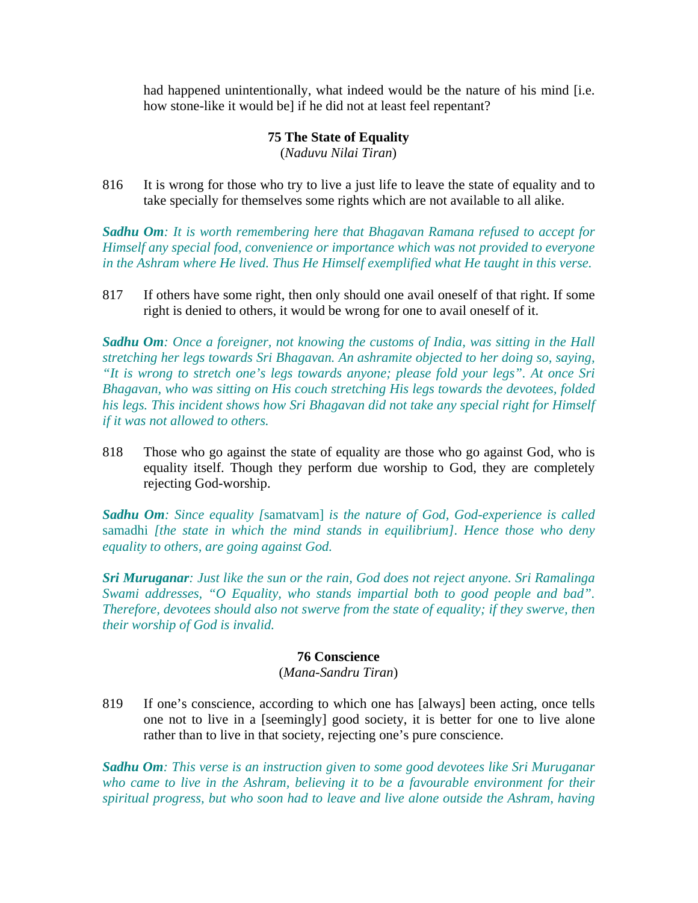had happened unintentionally, what indeed would be the nature of his mind [i.e. how stone-like it would be] if he did not at least feel repentant?

### **75 The State of Equality**

(*Naduvu Nilai Tiran*)

816 It is wrong for those who try to live a just life to leave the state of equality and to take specially for themselves some rights which are not available to all alike.

*Sadhu Om: It is worth remembering here that Bhagavan Ramana refused to accept for Himself any special food, convenience or importance which was not provided to everyone in the Ashram where He lived. Thus He Himself exemplified what He taught in this verse.* 

817 If others have some right, then only should one avail oneself of that right. If some right is denied to others, it would be wrong for one to avail oneself of it.

*Sadhu Om: Once a foreigner, not knowing the customs of India, was sitting in the Hall stretching her legs towards Sri Bhagavan. An ashramite objected to her doing so, saying, "It is wrong to stretch one's legs towards anyone; please fold your legs". At once Sri Bhagavan, who was sitting on His couch stretching His legs towards the devotees, folded his legs. This incident shows how Sri Bhagavan did not take any special right for Himself if it was not allowed to others.* 

818 Those who go against the state of equality are those who go against God, who is equality itself. Though they perform due worship to God, they are completely rejecting God-worship.

*Sadhu Om: Since equality [*samatvam] *is the nature of God, God-experience is called* samadhi *[the state in which the mind stands in equilibrium]. Hence those who deny equality to others, are going against God.* 

*Sri Muruganar: Just like the sun or the rain, God does not reject anyone. Sri Ramalinga Swami addresses, "O Equality, who stands impartial both to good people and bad". Therefore, devotees should also not swerve from the state of equality; if they swerve, then their worship of God is invalid.* 

### **76 Conscience**

(*Mana-Sandru Tiran*)

819 If one's conscience, according to which one has [always] been acting, once tells one not to live in a [seemingly] good society, it is better for one to live alone rather than to live in that society, rejecting one's pure conscience.

*Sadhu Om: This verse is an instruction given to some good devotees like Sri Muruganar*  who came to live in the Ashram, believing it to be a favourable environment for their *spiritual progress, but who soon had to leave and live alone outside the Ashram, having*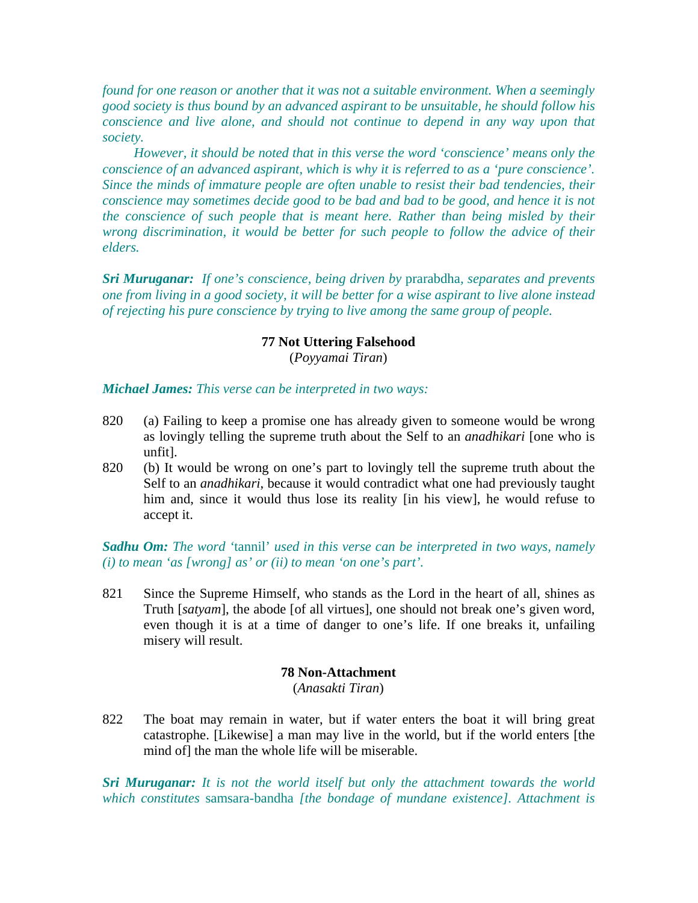*found for one reason or another that it was not a suitable environment. When a seemingly good society is thus bound by an advanced aspirant to be unsuitable, he should follow his conscience and live alone, and should not continue to depend in any way upon that society.* 

*However, it should be noted that in this verse the word 'conscience' means only the conscience of an advanced aspirant, which is why it is referred to as a 'pure conscience'. Since the minds of immature people are often unable to resist their bad tendencies, their conscience may sometimes decide good to be bad and bad to be good, and hence it is not the conscience of such people that is meant here. Rather than being misled by their wrong discrimination, it would be better for such people to follow the advice of their elders.* 

*Sri Muruganar: If one's conscience, being driven by* prarabdha*, separates and prevents one from living in a good society, it will be better for a wise aspirant to live alone instead of rejecting his pure conscience by trying to live among the same group of people.* 

#### **77 Not Uttering Falsehood**

(*Poyyamai Tiran*)

*Michael James: This verse can be interpreted in two ways:* 

- 820 (a) Failing to keep a promise one has already given to someone would be wrong as lovingly telling the supreme truth about the Self to an *anadhikari* [one who is unfit].
- 820 (b) It would be wrong on one's part to lovingly tell the supreme truth about the Self to an *anadhikari*, because it would contradict what one had previously taught him and, since it would thus lose its reality [in his view], he would refuse to accept it.

*Sadhu Om: The word '*tannil' *used in this verse can be interpreted in two ways, namely (i) to mean 'as [wrong] as' or (ii) to mean 'on one's part'.* 

821 Since the Supreme Himself, who stands as the Lord in the heart of all, shines as Truth [*satyam*], the abode [of all virtues], one should not break one's given word, even though it is at a time of danger to one's life. If one breaks it, unfailing misery will result.

#### **78 Non-Attachment**

(*Anasakti Tiran*)

822 The boat may remain in water, but if water enters the boat it will bring great catastrophe. [Likewise] a man may live in the world, but if the world enters [the mind of] the man the whole life will be miserable.

*Sri Muruganar: It is not the world itself but only the attachment towards the world which constitutes* samsara-bandha *[the bondage of mundane existence]. Attachment is*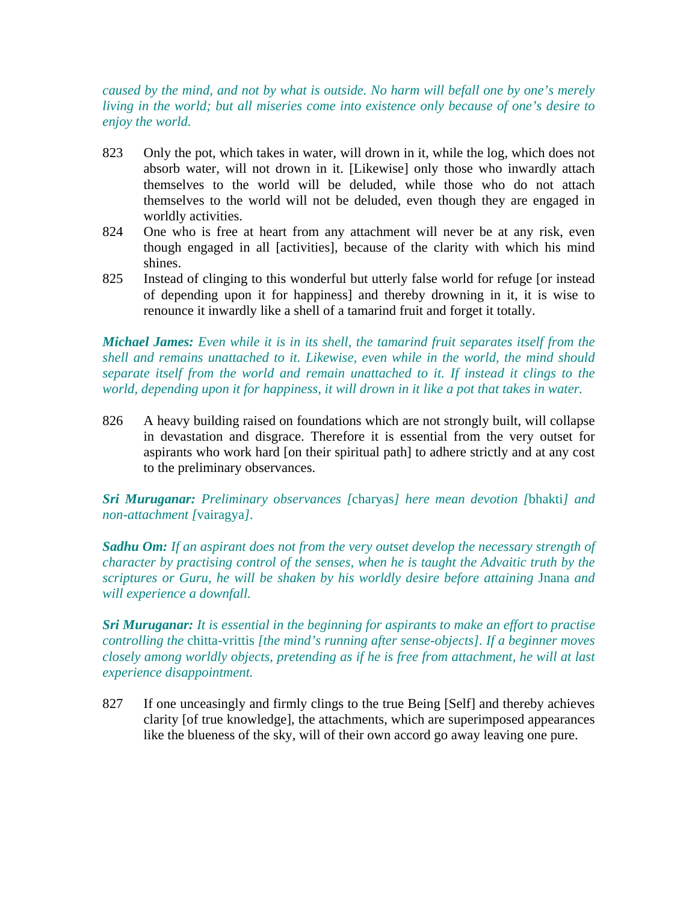*caused by the mind, and not by what is outside. No harm will befall one by one's merely living in the world; but all miseries come into existence only because of one's desire to enjoy the world.* 

- 823 Only the pot, which takes in water, will drown in it, while the log, which does not absorb water, will not drown in it. [Likewise] only those who inwardly attach themselves to the world will be deluded, while those who do not attach themselves to the world will not be deluded, even though they are engaged in worldly activities.
- 824 One who is free at heart from any attachment will never be at any risk, even though engaged in all [activities], because of the clarity with which his mind shines.
- 825 Instead of clinging to this wonderful but utterly false world for refuge [or instead of depending upon it for happiness] and thereby drowning in it, it is wise to renounce it inwardly like a shell of a tamarind fruit and forget it totally.

*Michael James: Even while it is in its shell, the tamarind fruit separates itself from the shell and remains unattached to it. Likewise, even while in the world, the mind should separate itself from the world and remain unattached to it. If instead it clings to the world, depending upon it for happiness, it will drown in it like a pot that takes in water.* 

826 A heavy building raised on foundations which are not strongly built, will collapse in devastation and disgrace. Therefore it is essential from the very outset for aspirants who work hard [on their spiritual path] to adhere strictly and at any cost to the preliminary observances.

*Sri Muruganar: Preliminary observances [*charyas*] here mean devotion [*bhakti*] and non-attachment [*vairagya*].* 

*Sadhu Om: If an aspirant does not from the very outset develop the necessary strength of character by practising control of the senses, when he is taught the Advaitic truth by the scriptures or Guru, he will be shaken by his worldly desire before attaining* Jnana *and will experience a downfall.* 

*Sri Muruganar: It is essential in the beginning for aspirants to make an effort to practise controlling the* chitta-vrittis *[the mind's running after sense-objects]. If a beginner moves closely among worldly objects, pretending as if he is free from attachment, he will at last experience disappointment.* 

827 If one unceasingly and firmly clings to the true Being [Self] and thereby achieves clarity [of true knowledge], the attachments, which are superimposed appearances like the blueness of the sky, will of their own accord go away leaving one pure.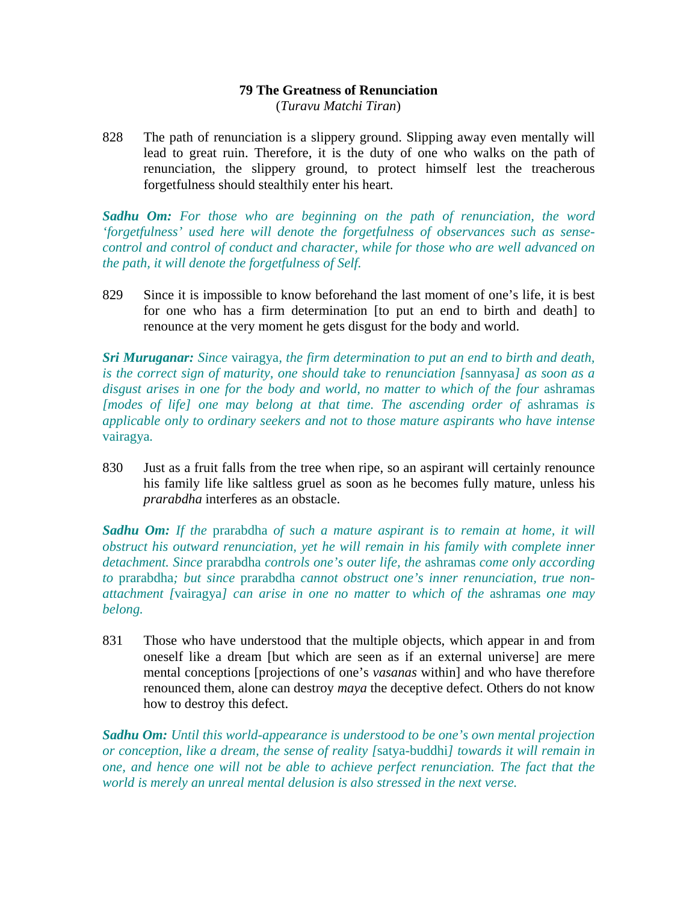# **79 The Greatness of Renunciation**

(*Turavu Matchi Tiran*)

828 The path of renunciation is a slippery ground. Slipping away even mentally will lead to great ruin. Therefore, it is the duty of one who walks on the path of renunciation, the slippery ground, to protect himself lest the treacherous forgetfulness should stealthily enter his heart.

*Sadhu Om: For those who are beginning on the path of renunciation, the word 'forgetfulness' used here will denote the forgetfulness of observances such as sensecontrol and control of conduct and character, while for those who are well advanced on the path, it will denote the forgetfulness of Self.* 

829 Since it is impossible to know beforehand the last moment of one's life, it is best for one who has a firm determination [to put an end to birth and death] to renounce at the very moment he gets disgust for the body and world.

*Sri Muruganar: Since* vairagya*, the firm determination to put an end to birth and death, is the correct sign of maturity, one should take to renunciation [*sannyasa*] as soon as a*  disgust arises in one for the body and world, no matter to which of the four ashramas *[modes of life] one may belong at that time. The ascending order of ashramas is applicable only to ordinary seekers and not to those mature aspirants who have intense*  vairagya*.* 

830 Just as a fruit falls from the tree when ripe, so an aspirant will certainly renounce his family life like saltless gruel as soon as he becomes fully mature, unless his *prarabdha* interferes as an obstacle.

*Sadhu Om: If the* prarabdha *of such a mature aspirant is to remain at home, it will obstruct his outward renunciation, yet he will remain in his family with complete inner detachment. Since* prarabdha *controls one's outer life, the* ashramas *come only according to* prarabdha*; but since* prarabdha *cannot obstruct one's inner renunciation, true nonattachment [*vairagya*] can arise in one no matter to which of the* ashramas *one may belong.* 

831 Those who have understood that the multiple objects, which appear in and from oneself like a dream [but which are seen as if an external universe] are mere mental conceptions [projections of one's *vasanas* within] and who have therefore renounced them, alone can destroy *maya* the deceptive defect. Others do not know how to destroy this defect.

*Sadhu Om: Until this world-appearance is understood to be one's own mental projection or conception, like a dream, the sense of reality [*satya-buddhi*] towards it will remain in one, and hence one will not be able to achieve perfect renunciation. The fact that the world is merely an unreal mental delusion is also stressed in the next verse.*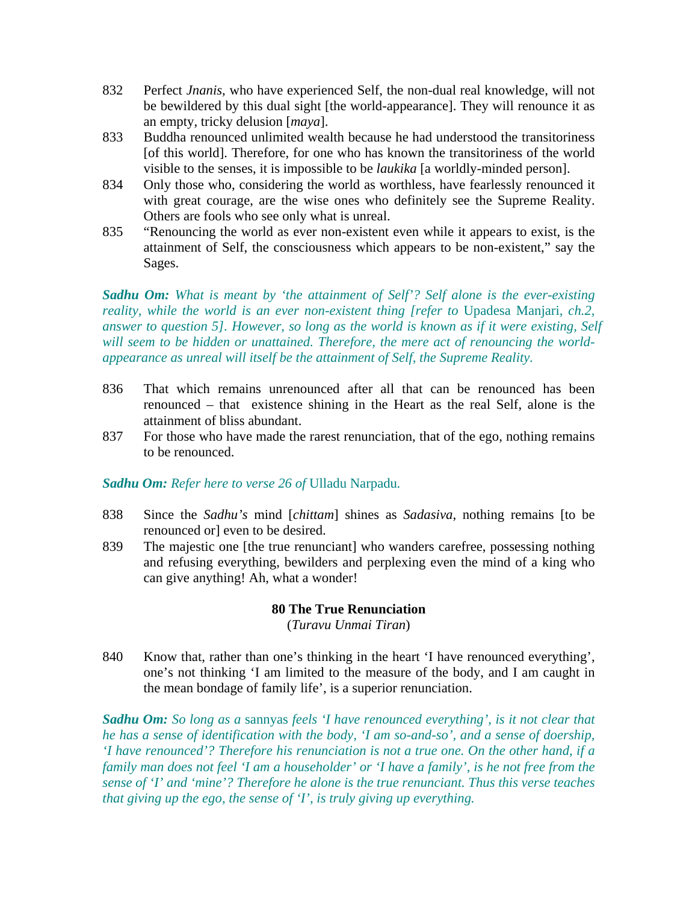- 832 Perfect *Jnanis*, who have experienced Self, the non-dual real knowledge, will not be bewildered by this dual sight [the world-appearance]. They will renounce it as an empty, tricky delusion [*maya*].
- 833 Buddha renounced unlimited wealth because he had understood the transitoriness [of this world]. Therefore, for one who has known the transitoriness of the world visible to the senses, it is impossible to be *laukika* [a worldly-minded person].
- 834 Only those who, considering the world as worthless, have fearlessly renounced it with great courage, are the wise ones who definitely see the Supreme Reality. Others are fools who see only what is unreal.
- 835 "Renouncing the world as ever non-existent even while it appears to exist, is the attainment of Self, the consciousness which appears to be non-existent," say the Sages.

*Sadhu Om: What is meant by 'the attainment of Self'? Self alone is the ever-existing reality, while the world is an ever non-existent thing [refer to Upadesa Manjari, ch.2, answer to question 5]. However, so long as the world is known as if it were existing, Self will seem to be hidden or unattained. Therefore, the mere act of renouncing the worldappearance as unreal will itself be the attainment of Self, the Supreme Reality.* 

- 836 That which remains unrenounced after all that can be renounced has been renounced – that existence shining in the Heart as the real Self, alone is the attainment of bliss abundant.
- 837 For those who have made the rarest renunciation, that of the ego, nothing remains to be renounced.

# *Sadhu Om: Refer here to verse 26 of* Ulladu Narpadu*.*

- 838 Since the *Sadhu's* mind [*chittam*] shines as *Sadasiva*, nothing remains [to be renounced or] even to be desired.
- 839 The majestic one [the true renunciant] who wanders carefree, possessing nothing and refusing everything, bewilders and perplexing even the mind of a king who can give anything! Ah, what a wonder!

# **80 The True Renunciation**

(*Turavu Unmai Tiran*)

840 Know that, rather than one's thinking in the heart 'I have renounced everything', one's not thinking 'I am limited to the measure of the body, and I am caught in the mean bondage of family life', is a superior renunciation.

*Sadhu Om: So long as a* sannyas *feels 'I have renounced everything', is it not clear that he has a sense of identification with the body, 'I am so-and-so', and a sense of doership, 'I have renounced'? Therefore his renunciation is not a true one. On the other hand, if a family man does not feel 'I am a householder' or 'I have a family', is he not free from the sense of 'I' and 'mine'? Therefore he alone is the true renunciant. Thus this verse teaches that giving up the ego, the sense of 'I', is truly giving up everything.*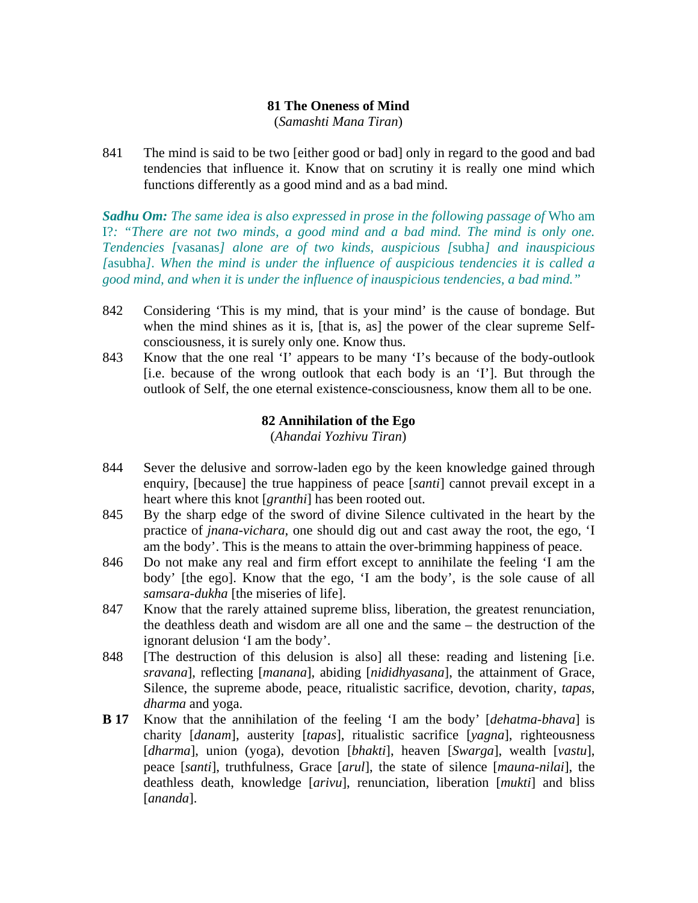### **81 The Oneness of Mind**

(*Samashti Mana Tiran*)

841 The mind is said to be two [either good or bad] only in regard to the good and bad tendencies that influence it. Know that on scrutiny it is really one mind which functions differently as a good mind and as a bad mind.

*Sadhu Om: The same idea is also expressed in prose in the following passage of* Who am I?*: "There are not two minds, a good mind and a bad mind. The mind is only one. Tendencies [*vasanas*] alone are of two kinds, auspicious [*subha*] and inauspicious [*asubha*]. When the mind is under the influence of auspicious tendencies it is called a good mind, and when it is under the influence of inauspicious tendencies, a bad mind."* 

- 842 Considering 'This is my mind, that is your mind' is the cause of bondage. But when the mind shines as it is, [that is, as] the power of the clear supreme Selfconsciousness, it is surely only one. Know thus.
- 843 Know that the one real 'I' appears to be many 'I's because of the body-outlook [i.e. because of the wrong outlook that each body is an 'I']. But through the outlook of Self, the one eternal existence-consciousness, know them all to be one.

# **82 Annihilation of the Ego**

(*Ahandai Yozhivu Tiran*)

- 844 Sever the delusive and sorrow-laden ego by the keen knowledge gained through enquiry, [because] the true happiness of peace [*santi*] cannot prevail except in a heart where this knot [*granthi*] has been rooted out.
- 845 By the sharp edge of the sword of divine Silence cultivated in the heart by the practice of *jnana-vichara*, one should dig out and cast away the root, the ego, 'I am the body'. This is the means to attain the over-brimming happiness of peace.
- 846 Do not make any real and firm effort except to annihilate the feeling 'I am the body' [the ego]. Know that the ego, 'I am the body', is the sole cause of all *samsara-dukha* [the miseries of life].
- 847 Know that the rarely attained supreme bliss, liberation, the greatest renunciation, the deathless death and wisdom are all one and the same – the destruction of the ignorant delusion 'I am the body'.
- 848 [The destruction of this delusion is also] all these: reading and listening [i.e. *sravana*], reflecting [*manana*], abiding [*nididhyasana*], the attainment of Grace, Silence, the supreme abode, peace, ritualistic sacrifice, devotion, charity, *tapas*, *dharma* and yoga.
- **B 17** Know that the annihilation of the feeling 'I am the body' [*dehatma-bhava*] is charity [*danam*], austerity [*tapas*], ritualistic sacrifice [*yagna*], righteousness [*dharma*], union (yoga), devotion [*bhakti*], heaven [*Swarga*], wealth [*vastu*], peace [*santi*], truthfulness, Grace [*arul*], the state of silence [*mauna-nilai*], the deathless death, knowledge [*arivu*], renunciation, liberation [*mukti*] and bliss [*ananda*].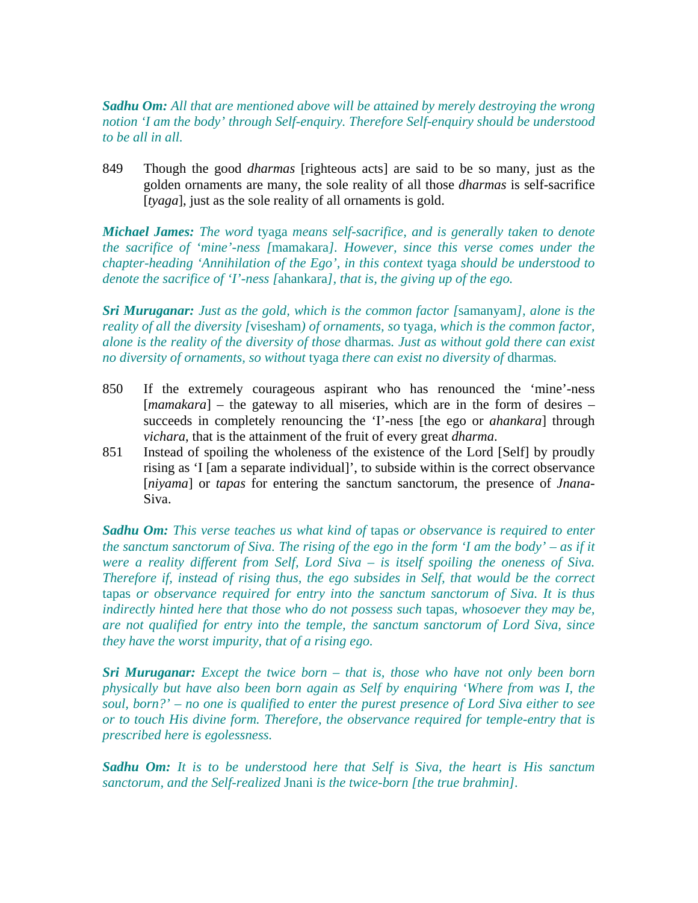*Sadhu Om: All that are mentioned above will be attained by merely destroying the wrong notion 'I am the body' through Self-enquiry. Therefore Self-enquiry should be understood to be all in all.* 

849 Though the good *dharmas* [righteous acts] are said to be so many, just as the golden ornaments are many, the sole reality of all those *dharmas* is self-sacrifice [*tyaga*], just as the sole reality of all ornaments is gold.

*Michael James: The word* tyaga *means self-sacrifice, and is generally taken to denote the sacrifice of 'mine'-ness [*mamakara*]. However, since this verse comes under the chapter-heading 'Annihilation of the Ego', in this context* tyaga *should be understood to denote the sacrifice of 'I'-ness [*ahankara*], that is, the giving up of the ego.* 

*Sri Muruganar: Just as the gold, which is the common factor [*samanyam*], alone is the reality of all the diversity [*visesham*) of ornaments, so* tyaga*, which is the common factor, alone is the reality of the diversity of those* dharmas*. Just as without gold there can exist no diversity of ornaments, so without* tyaga *there can exist no diversity of* dharmas*.* 

- 850 If the extremely courageous aspirant who has renounced the 'mine'-ness [*mamakara*] – the gateway to all miseries, which are in the form of desires – succeeds in completely renouncing the 'I'-ness [the ego or *ahankara*] through *vichara*, that is the attainment of the fruit of every great *dharma*.
- 851 Instead of spoiling the wholeness of the existence of the Lord [Self] by proudly rising as 'I [am a separate individual]', to subside within is the correct observance [*niyama*] or *tapas* for entering the sanctum sanctorum, the presence of *Jnana*-Siva.

*Sadhu Om: This verse teaches us what kind of* tapas *or observance is required to enter the sanctum sanctorum of Siva. The rising of the ego in the form 'I am the body' – as if it were a reality different from Self, Lord Siva* – *is itself spoiling the oneness of Siva. Therefore if, instead of rising thus, the ego subsides in Self, that would be the correct*  tapas *or observance required for entry into the sanctum sanctorum of Siva. It is thus indirectly hinted here that those who do not possess such* tapas*, whosoever they may be, are not qualified for entry into the temple, the sanctum sanctorum of Lord Siva, since they have the worst impurity, that of a rising ego.* 

*Sri Muruganar: Except the twice born* – *that is, those who have not only been born physically but have also been born again as Self by enquiring 'Where from was I, the soul, born?'* – *no one is qualified to enter the purest presence of Lord Siva either to see or to touch His divine form. Therefore, the observance required for temple-entry that is prescribed here is egolessness.* 

*Sadhu Om: It is to be understood here that Self is Siva, the heart is His sanctum sanctorum, and the Self-realized* Jnani *is the twice-born [the true brahmin].*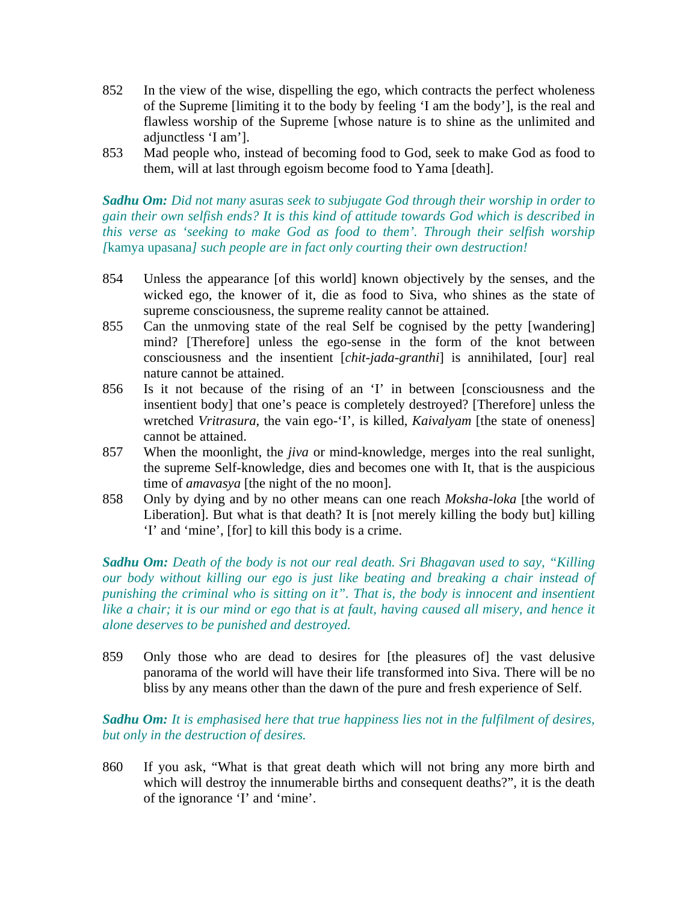- 852 In the view of the wise, dispelling the ego, which contracts the perfect wholeness of the Supreme [limiting it to the body by feeling 'I am the body'], is the real and flawless worship of the Supreme [whose nature is to shine as the unlimited and adjunctless 'I am'].
- 853 Mad people who, instead of becoming food to God, seek to make God as food to them, will at last through egoism become food to Yama [death].

*Sadhu Om: Did not many* asuras *seek to subjugate God through their worship in order to gain their own selfish ends? It is this kind of attitude towards God which is described in this verse as 'seeking to make God as food to them'. Through their selfish worship [*kamya upasana*] such people are in fact only courting their own destruction!* 

- 854 Unless the appearance [of this world] known objectively by the senses, and the wicked ego, the knower of it, die as food to Siva, who shines as the state of supreme consciousness, the supreme reality cannot be attained.
- 855 Can the unmoving state of the real Self be cognised by the petty [wandering] mind? [Therefore] unless the ego-sense in the form of the knot between consciousness and the insentient [*chit-jada-granthi*] is annihilated, [our] real nature cannot be attained.
- 856 Is it not because of the rising of an 'I' in between [consciousness and the insentient body] that one's peace is completely destroyed? [Therefore] unless the wretched *Vritrasura*, the vain ego-'I', is killed, *Kaivalyam* [the state of oneness] cannot be attained.
- 857 When the moonlight, the *jiva* or mind-knowledge, merges into the real sunlight, the supreme Self-knowledge, dies and becomes one with It, that is the auspicious time of *amavasya* [the night of the no moon].
- 858 Only by dying and by no other means can one reach *Moksha-loka* [the world of Liberation]. But what is that death? It is [not merely killing the body but] killing 'I' and 'mine', [for] to kill this body is a crime.

*Sadhu Om: Death of the body is not our real death. Sri Bhagavan used to say, "Killing our body without killing our ego is just like beating and breaking a chair instead of punishing the criminal who is sitting on it". That is, the body is innocent and insentient like a chair; it is our mind or ego that is at fault, having caused all misery, and hence it alone deserves to be punished and destroyed.* 

859 Only those who are dead to desires for [the pleasures of] the vast delusive panorama of the world will have their life transformed into Siva. There will be no bliss by any means other than the dawn of the pure and fresh experience of Self.

### *Sadhu Om: It is emphasised here that true happiness lies not in the fulfilment of desires, but only in the destruction of desires.*

860 If you ask, "What is that great death which will not bring any more birth and which will destroy the innumerable births and consequent deaths?", it is the death of the ignorance 'I' and 'mine'.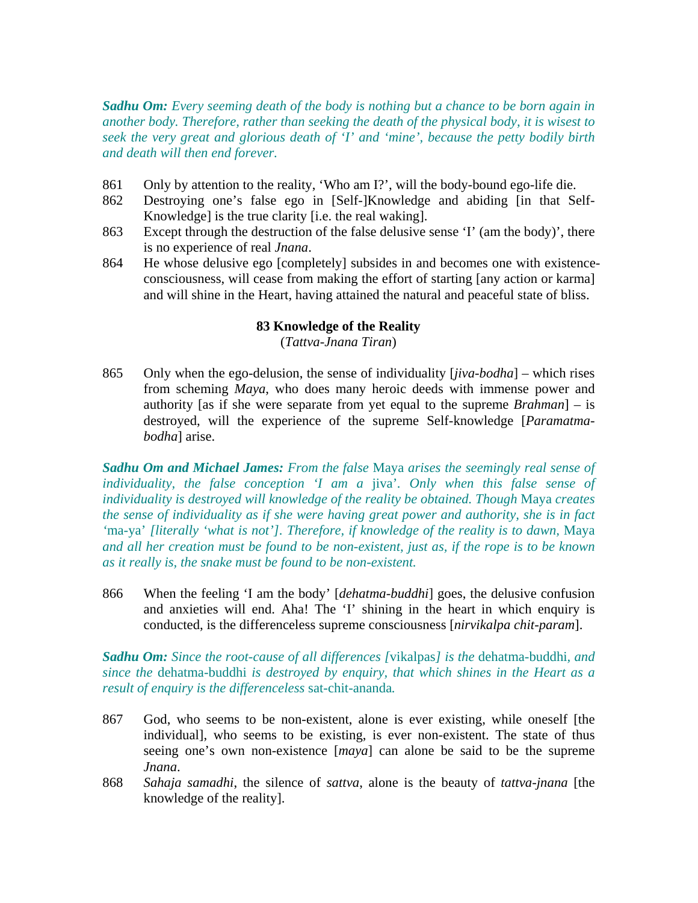*Sadhu Om: Every seeming death of the body is nothing but a chance to be born again in another body. Therefore, rather than seeking the death of the physical body, it is wisest to seek the very great and glorious death of 'I' and 'mine', because the petty bodily birth and death will then end forever.* 

- 861 Only by attention to the reality, 'Who am I?', will the body-bound ego-life die.
- 862 Destroying one's false ego in [Self-]Knowledge and abiding [in that Self-Knowledge] is the true clarity [i.e. the real waking].
- 863 Except through the destruction of the false delusive sense 'I' (am the body)', there is no experience of real *Jnana*.
- 864 He whose delusive ego [completely] subsides in and becomes one with existenceconsciousness, will cease from making the effort of starting [any action or karma] and will shine in the Heart, having attained the natural and peaceful state of bliss.

#### **83 Knowledge of the Reality**

(*Tattva-Jnana Tiran*)

865 Only when the ego-delusion, the sense of individuality [*jiva-bodha*] – which rises from scheming *Maya*, who does many heroic deeds with immense power and authority [as if she were separate from yet equal to the supreme *Brahman*] – is destroyed, will the experience of the supreme Self-knowledge [*Paramatmabodha*] arise.

*Sadhu Om and Michael James: From the false* Maya *arises the seemingly real sense of individuality, the false conception 'I am a* jiva'*. Only when this false sense of individuality is destroyed will knowledge of the reality be obtained. Though* Maya *creates the sense of individuality as if she were having great power and authority, she is in fact '*ma*-*ya' *[literally 'what is not']. Therefore, if knowledge of the reality is to dawn,* Maya *and all her creation must be found to be non-existent, just as, if the rope is to be known as it really is, the snake must be found to be non-existent.*

866 When the feeling 'I am the body' [*dehatma-buddhi*] goes, the delusive confusion and anxieties will end. Aha! The 'I' shining in the heart in which enquiry is conducted, is the differenceless supreme consciousness [*nirvikalpa chit-param*].

**Sadhu Om:** Since the root-cause of all differences [vikalpas] is the dehatma-buddhi, and *since the* dehatma-buddhi *is destroyed by enquiry, that which shines in the Heart as a result of enquiry is the differenceless* sat-chit-ananda*.* 

- 867 God, who seems to be non-existent, alone is ever existing, while oneself [the individual], who seems to be existing, is ever non-existent. The state of thus seeing one's own non-existence [*maya*] can alone be said to be the supreme *Jnana*.
- 868 *Sahaja samadhi*, the silence of *sattva*, alone is the beauty of *tattva-jnana* [the knowledge of the reality].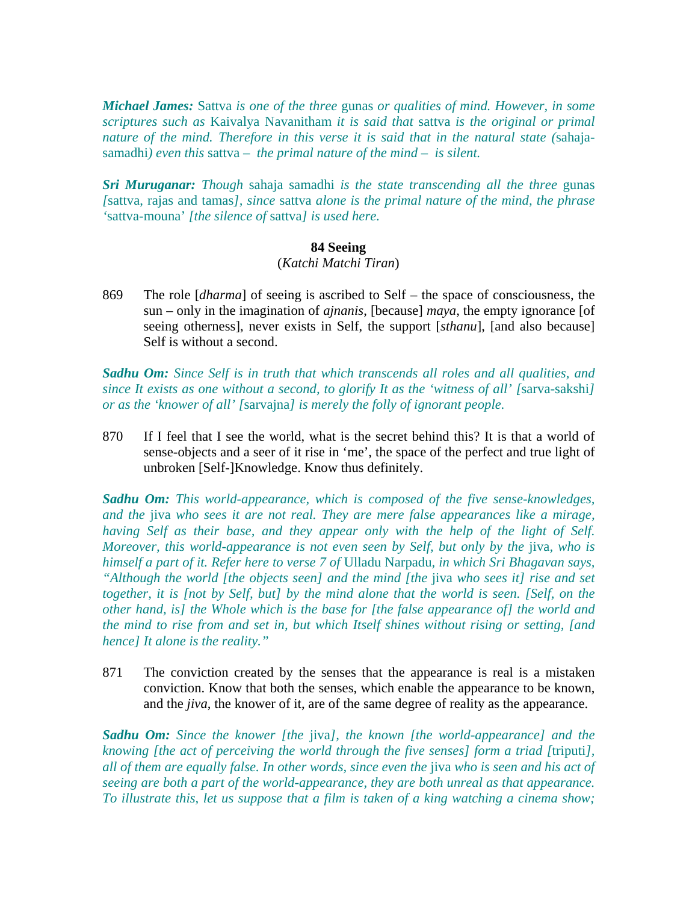*Michael James:* Sattva *is one of the three* gunas *or qualities of mind. However, in some scriptures such as* Kaivalya Navanitham *it is said that* sattva *is the original or primal nature of the mind. Therefore in this verse it is said that in the natural state (*sahajasamadhi*) even this* sattva – *the primal nature of the mind* – *is silent.* 

*Sri Muruganar: Though* sahaja samadhi *is the state transcending all the three* gunas *[*sattva, rajas and tamas*], since* sattva *alone is the primal nature of the mind, the phrase '*sattva-mouna' *[the silence of* sattva*] is used here.* 

#### **84 Seeing**

#### (*Katchi Matchi Tiran*)

869 The role [*dharma*] of seeing is ascribed to Self – the space of consciousness, the sun – only in the imagination of *ajnanis*, [because] *maya*, the empty ignorance [of seeing otherness], never exists in Self, the support [*sthanu*], [and also because] Self is without a second.

*Sadhu Om: Since Self is in truth that which transcends all roles and all qualities, and since It exists as one without a second, to glorify It as the 'witness of all' [*sarva-sakshi*] or as the 'knower of all' [*sarvajna*] is merely the folly of ignorant people.* 

870 If I feel that I see the world, what is the secret behind this? It is that a world of sense-objects and a seer of it rise in 'me', the space of the perfect and true light of unbroken [Self-]Knowledge. Know thus definitely.

*Sadhu Om: This world-appearance, which is composed of the five sense-knowledges, and the* jiva *who sees it are not real. They are mere false appearances like a mirage, having Self as their base, and they appear only with the help of the light of Self. Moreover, this world-appearance is not even seen by Self, but only by the jiva, who is himself a part of it. Refer here to verse 7 of* Ulladu Narpadu*, in which Sri Bhagavan says, "Although the world [the objects seen] and the mind [the* jiva *who sees it] rise and set together, it is [not by Self, but] by the mind alone that the world is seen. [Self, on the other hand, is] the Whole which is the base for [the false appearance of] the world and the mind to rise from and set in, but which Itself shines without rising or setting, [and hence] It alone is the reality."* 

871 The conviction created by the senses that the appearance is real is a mistaken conviction. Know that both the senses, which enable the appearance to be known, and the *jiva*, the knower of it, are of the same degree of reality as the appearance.

*Sadhu Om: Since the knower [the* jiva*], the known [the world-appearance] and the knowing [the act of perceiving the world through the five senses] form a triad [*triputi*], all of them are equally false. In other words, since even the* jiva *who is seen and his act of seeing are both a part of the world-appearance, they are both unreal as that appearance. To illustrate this, let us suppose that a film is taken of a king watching a cinema show;*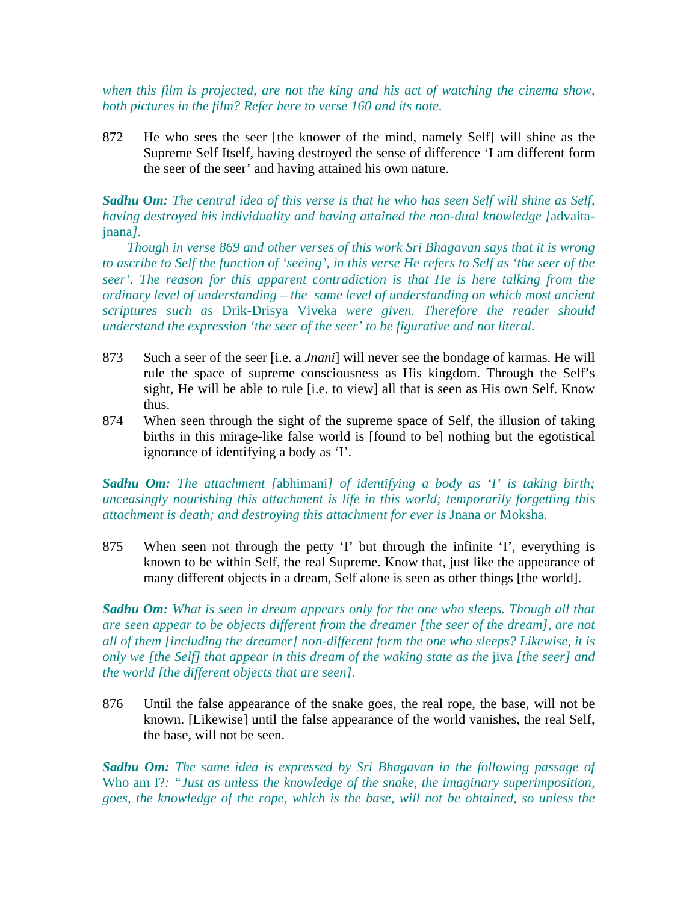*when this film is projected, are not the king and his act of watching the cinema show, both pictures in the film? Refer here to verse 160 and its note.* 

872 He who sees the seer [the knower of the mind, namely Self] will shine as the Supreme Self Itself, having destroyed the sense of difference 'I am different form the seer of the seer' and having attained his own nature.

*Sadhu Om: The central idea of this verse is that he who has seen Self will shine as Self, having destroyed his individuality and having attained the non-dual knowledge [*advaitajnana*].*

*Though in verse 869 and other verses of this work Sri Bhagavan says that it is wrong*  to ascribe to Self the function of 'seeing', in this verse He refers to Self as 'the seer of the *seer'. The reason for this apparent contradiction is that He is here talking from the ordinary level of understanding – the same level of understanding on which most ancient scriptures such as* Drik-Drisya Viveka *were given. Therefore the reader should understand the expression 'the seer of the seer' to be figurative and not literal.* 

- 873 Such a seer of the seer [i.e. a *Jnani*] will never see the bondage of karmas. He will rule the space of supreme consciousness as His kingdom. Through the Self's sight, He will be able to rule [i.e. to view] all that is seen as His own Self. Know thus.
- 874 When seen through the sight of the supreme space of Self, the illusion of taking births in this mirage-like false world is [found to be] nothing but the egotistical ignorance of identifying a body as 'I'.

*Sadhu Om: The attachment [*abhimani*] of identifying a body as 'I' is taking birth; unceasingly nourishing this attachment is life in this world; temporarily forgetting this attachment is death; and destroying this attachment for ever is* Jnana *or* Moksha*.* 

875 When seen not through the petty 'I' but through the infinite 'I', everything is known to be within Self, the real Supreme. Know that, just like the appearance of many different objects in a dream, Self alone is seen as other things [the world].

*Sadhu Om: What is seen in dream appears only for the one who sleeps. Though all that are seen appear to be objects different from the dreamer [the seer of the dream], are not all of them [including the dreamer] non-different form the one who sleeps? Likewise, it is only we [the Self] that appear in this dream of the waking state as the jiva [the seer] and the world [the different objects that are seen].*

876 Until the false appearance of the snake goes, the real rope, the base, will not be known. [Likewise] until the false appearance of the world vanishes, the real Self, the base, will not be seen.

*Sadhu Om: The same idea is expressed by Sri Bhagavan in the following passage of*  Who am I?*: "Just as unless the knowledge of the snake, the imaginary superimposition, goes, the knowledge of the rope, which is the base, will not be obtained, so unless the*